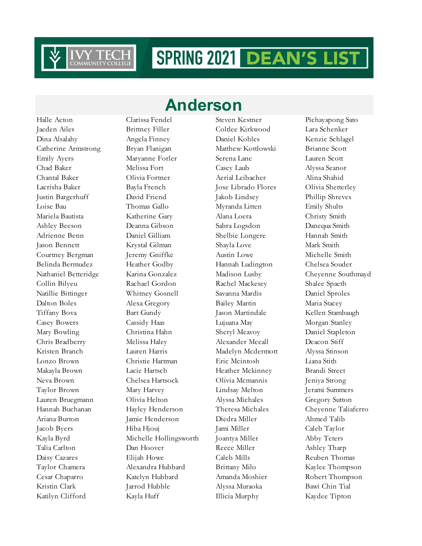

### **Anderson**

Halle Acton Clarissa Fendel Steven Kestner Pichayapong Sato

Jaeden Ailes Brittney Filler Coltlee Kirkwood Lara Schenker Dina Alsalahy Angela Finney Daniel Kohles Kenzie Schlagel Catherine Armstrong Bryan Flanigan Matthew Kottlowski Brianne Scott Emily Ayers Maryanne Forler Serena Lane Lauren Scott Chad Baker Melissa Fort Casey Laub Alyssa Seanor Chantal Baker Olivia Fortner Aerial Leibacher Alina Shahid Lacrisha Baker Bayla French Jose Librado Flores Olivia Shetterley Justin Bargerhuff David Friend Jakob Lindsey Phillip Shreves Loise Bau Thomas Gallo Myranda Litten Emily Shults Mariela Bautista Katherine Gary Alana Loera Christy Smith Ashley Beeson Deanna Gibson Sabra Logsdon Danequa Smith Adrienne Benn Daniel Gilliam Shelbie Longere Hannah Smith Jason Bennett Krystal Gilman Shayla Love Mark Smith Courtney Bergman Jeremy Gniffke Austin Lowe Michelle Smith Belinda Bermudez Heather Godby Hannah Ludington Chelsea Souder Collin Bilyeu Rachael Gordon Rachel Mackesey Shalee Spaeth Natillie Bittinger Whitney Gosnell Savanna Mardis Daniel Sproles Dalton Boles Alexa Gregory Bailey Martin Maria Stacey Tiffany Bova Bart Gundy Jason Martindale Kellen Stambaugh Casey Bowers Cassidy Haas Lujuana May Morgan Stanley Mary Bowling Christina Hahn Sheryl Mcavoy Daniel Stapleton Chris Bradberry Melissa Haley Alexander Mccall Deacon Stiff Kristen Branch Lauren Harris Madelyn Mcdermott Alyssa Stinson Lonzo Brown Christie Hartman Eric Mcintosh Liana Stith Makayla Brown Lacie Hartsch Heather Mckinney Brandi Street Neva Brown Chelsea Hartsock Olivia Mcmannis Jeniya Strong Taylor Brown Mary Harvey Lindsay Melton Jerami Summers Lauren Bruegmann Olivia Helton Alyssa Michales Gregory Sutton Ariana Burton Jamie Henderson Diedra Miller Ahmed Talib Jacob Byers Hiba Hjouj Jami Miller Caleb Taylor Kayla Byrd Michelle Hollingsworth Joantya Miller Abby Teters Talia Carlton Dan Hoover Reece Miller Ashley Tharp Daisy Cazares Elijah Howe Caleb Mills Reuben Thomas Taylor Chamera Alexandra Hubbard Brittany Milo Kaylee Thompson Cesar Chaparro Katelyn Hubbard Amanda Moshier Robert Thompson Kristin Clark Jarrod Hubble Alyssa Muraoka Bawi Chin Tial Katilyn Clifford Kayla Huff Illicia Murphy Kaydee Tipton

Nathaniel Betteridge Karina Gonzalez Madison Lusby Cheyenne Southmayd Hannah Buchanan Hayley Henderson Theresa Michales Cheyenne Taliaferro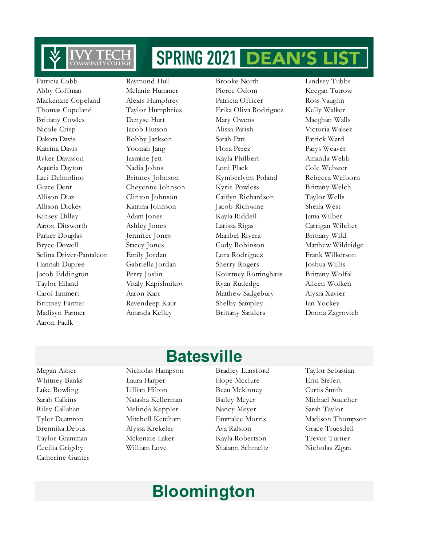

Abby Coffman Melanie Hummer Pierce Odom Keegan Tutrow Mackenzie Copeland Alexis Humphrey Patricia Officer Ross Vaughn Thomas Copeland Taylor Humphries Erika Oliva Rodriguez Kelly Walker Brittany Cowles Denyse Hurt Mary Owens Maeghan Walls Nicole Crisp Jacob Hutson Alissa Parish Victoria Walser Dakota Davis Bobby Jackson Sarah Pate Patrick Ward Katrina Davis Yoonah Jang Flora Perez Parys Weaver Ryker Davisson Jasmine Jett Kayla Philbert Amanda Webb Aquaria Dayton Nadia Johns Loni Plack Cole Webster Laci Delmolino Brittney Johnson Kymberlynn Poland Rebecca Welborn Grace Dent Cheyenne Johnson Kyrie Powless Brittany Welch Allison Diaz Clinton Johnson Caitlyn Richardson Taylor Wells Allison Dickey Katrina Johnson Jacob Richwine Sheila West Kinsey Dilley Adam Jones Kayla Riddell Jama Wilber Aaron Ditsworth Ashley Jones Larissa Rigas Carrigan Wilcher Parker Douglas Jennifer Jones Maribel Rivera Brittany Wild Bryce Dowell Stacey Jones Cody Robinson Matthew Wildridge Selina Driver-Pantaleon Emily Jordan Lora Rodriguez Frank Wilkerson Hannah Dupree Gabriella Jordan Sherry Rogers Joshua Willis Jacob Eddington Perry Joslin Kourtney Rottinghaus Brittany Wolfal Taylor Eiland Vitaly Kapishnikov Ryan Rutledge Aileen Wolken Carol Emmert Aaron Karr Matthew Sadgebury Alysia Xavier Brittney Farmer Ravendeep Kaur Shelby Sampley Ian Yockey Madisyn Farmer Amanda Kelley Brittany Sanders Donna Zagrovich Aaron Faulk

Patricia Cobb Raymond Hull Brooke North Lindsey Tubbs

### **Batesville**

Catherine Gunter

Megan Asher Nicholas Hampson Bradley Lunsford Taylor Sebastian Whitney Banks Laura Harper Hope Mcclure Erin Siefert Luke Bowling Lillian Hilton Beau Mckinney Curtis Smith Sarah Calkins Natasha Kellerman Bailey Meyer Michael Stuecher Riley Callahan Melinda Keppler Nancy Meyer Sarah Taylor Brennika Debus Alyssa Krekeler Ava Ralston Grace Truesdell Taylor Gramman Mckenzie Laker Kayla Robertson Trevor Turner Cecilia Grigsby William Love Shaiann Schmeltz Nicholas Zigan

Tyler Deamron Mitchell Ketcham Emmalee Morris Madison Thompson

### **Bloomington**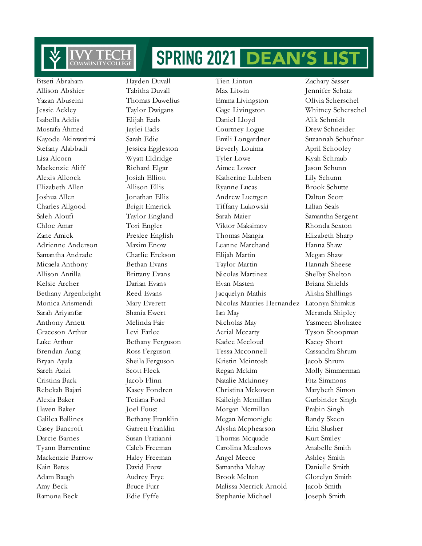

### Allison Abshier Tabitha Duvall Max Litwin Jennifer Schatz Yazan Abuseini Thomas Duwelius Emma Livingston Olivia Scherschel Jessie Ackley Taylor Dwigans Gage Livingston Whitney Scherschel Isabella Addis Elijah Eads Daniel Lloyd Alik Schmidt Mostafa Ahmed Jaylei Eads Courtney Logue Drew Schneider Kayode Akinwatimi Sarah Edie Emili Longardner Suzannah Schofner Stefany Alabbadi Jessica Eggleston Beverly Louima April Schooley Lisa Alcorn Wyatt Eldridge Tyler Lowe Kyah Schraub Mackenzie Aliff **Richard Elgar** Aimee Lower Jason Schunn Alexis Allcock Josiah Elliott Katherine Lubben Lily Schunn Elizabeth Allen Allison Ellis Ryanne Lucas Brook Schutte Joshua Allen Jonathan Ellis Andrew Luettgen Dalton Scott Charles Allgood Brigit Emerick Tiffany Lukowski Lilian Seals Saleh Aloufi Taylor England Sarah Maier Samantha Sergent Chloe Amar Tori Engler Viktor Maksimov Rhonda Sexton Zane Amick Preslee English Thomas Mangia Elizabeth Sharp Adrienne Anderson Maxim Enow Leanne Marchand Hanna Shaw Samantha Andrade Charlie Erekson Elijah Martin Megan Shaw Micaela Anthony Bethan Evans Taylor Martin Hannah Sheese Allison Antilla Brittany Evans Nicolas Martinez Shelby Shelton Kelsie Archer Darian Evans Evan Masten Briana Shields Bethany Argenbright Reed Evans Jacquelyn Mathis Alisha Shillings Monica Arismendi Mary Everett Nicolas Mauries Hernandez Latonya Shimkus Sarah Ariyanfar Shania Ewert Ian May Meranda Shipley Anthony Arnett Melinda Fair Nicholas May Yasmeen Shohatee Graceson Arthur Levi Farlee Aerial Mccarty Tyson Shoopman Luke Arthur Bethany Ferguson Kadee Mccloud Kacey Short Brendan Aung Ross Ferguson Tessa Mcconnell Cassandra Shrum Bryan Ayala Sheila Ferguson Kristin Mcintosh Jacob Shrum Sareh Azizi Scott Fleck Regan Mckim Molly Simmerman Cristina Back Jacob Flinn Natalie Mckinney Fitz Simmons Rebekah Bajari Kasey Fondren Christina Mckowen Marybeth Simon Alexia Baker Tetiana Ford Kaileigh Mcmillan Gurbinder Singh Haven Baker Joel Foust Morgan Mcmillan Prabin Singh Galilea Ballines Bethany Franklin Megan Mcmonigle Randy Skeen Casey Bancroft Garrett Franklin Alysha Mcphearson Erin Slusher Darcie Barnes Susan Fratianni Thomas Mcquade Kurt Smiley Tyann Barrentine Caleb Freeman Carolina Meadows Anabelle Smith Mackenzie Barrow Haley Freeman Angel Meece Ashley Smith Kain Bates David Frew Samantha Mehay Danielle Smith Adam Baugh Audrey Frye Brook Melton Glorelyn Smith Amy Beck Bruce Furr Malissa Merrick Arnold Jacob Smith

# Btseti Abraham Hayden Duvall Tien Linton Zachary Sasser Ramona Beck Edie Fyffe Stephanie Michael Joseph Smith

### SPRING 2021 DEAN'S LIST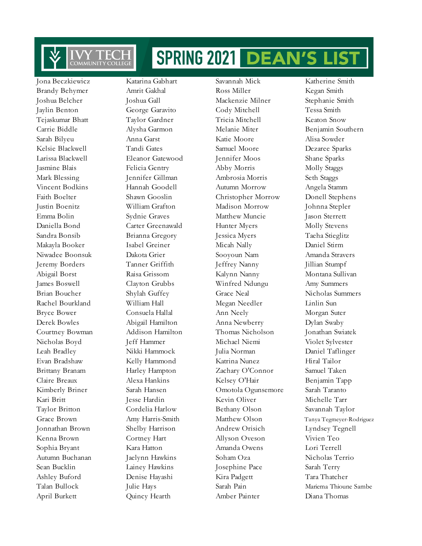

# Jona Beczkiewicz Katarina Gabhart Savannah Mick Katherine Smith

Brandy Behymer Amrit Gakhal Ross Miller Kegan Smith Joshua Belcher Joshua Gall Mackenzie Milner Stephanie Smith Jaylin Benton George Garavito Cody Mitchell Tessa Smith Tejaskumar Bhatt Taylor Gardner Tricia Mitchell Keaton Snow Carrie Biddle Alysha Garmon Melanie Miter Benjamin Southern Sarah Bilyeu Anna Garst Katie Moore Alisa Sowder Kelsie Blackwell Tandi Gates Samuel Moore Dezaree Sparks Larissa Blackwell Eleanor Gatewood Jennifer Moos Shane Sparks Jasmine Blais Felicia Gentry Abby Morris Molly Staggs Mark Blessing Jennifer Gillman Ambrosia Morris Seth Staggs Vincent Bodkins Hannah Goodell Autumn Morrow Angela Stamm Faith Boelter Shawn Gooslin Christopher Morrow Donell Stephens Justin Boenitz William Grafton Madison Morrow Johnna Stepler Emma Bolin Sydnie Graves Matthew Muncie Jason Sterrett Daniella Bond Carter Greenawald Hunter Myers Molly Stevens Sandra Bonsib Brianna Gregory Jessica Myers Taeha Stieglitz Makayla Booker Isabel Greiner Micah Nally Daniel Stirm Niwadee Boonsuk Dakota Grier Sooyoun Nam Amanda Stravers Jeremy Borders Tanner Griffith Jeffrey Nanny Jillian Stumpf Abigail Borst Raisa Grissom Kalynn Nanny Montana Sullivan James Boswell Clayton Grubbs Winfred Ndungu Amy Summers Brian Boucher Shylah Guffey Grace Neal Nicholas Summers Rachel Bourkland William Hall Megan Needler Linlin Sun Bryce Bower Consuela Hallal Ann Neely Morgan Suter Derek Bowles Abigail Hamilton Anna Newberry Dylan Swaby Courtney Bowman Addison Hamilton Thomas Nicholson Jonathan Swiatek Nicholas Boyd Jeff Hammer Michael Niemi Violet Sylvester Leah Bradley Nikki Hammock Julia Norman Daniel Taflinger Evan Bradshaw Kelly Hammond Katrina Nunez Hiral Tailor Brittany Branam Harley Hampton Zachary O'Connor Samuel Taken Claire Breaux Alexa Hankins Kelsey O'Hair Benjamin Tapp Kimberly Briner Sarah Hansen Omotola Ogunsemore Sarah Taranto Kari Britt Jesse Hardin Kevin Oliver Michelle Tarr Taylor Britton Cordelia Harlow Bethany Olson Savannah Taylor Jonnathan Brown Shelby Harrison Andrew Orisich Lyndsey Tegnell Kenna Brown Cortney Hart Allyson Oveson Vivien Teo Sophia Bryant Kara Hatton Amanda Owens Lori Terrell Autumn Buchanan Jaelynn Hawkins Soham Oza Nicholas Terrio Sean Bucklin Lainey Hawkins Josephine Pace Sarah Terry Ashley Buford Denise Hayashi Kira Padgett Tara Thatcher April Burkett Quincy Hearth Amber Painter Diana Thomas

SPRING 2021 DEAN'S LIST

Grace Brown **Amy Harris-Smith** Matthew Olson Tanya Tegmeyer-Rodriguez Talan Bullock Julie Hays Sarah Pain Mariema Thioune Sambe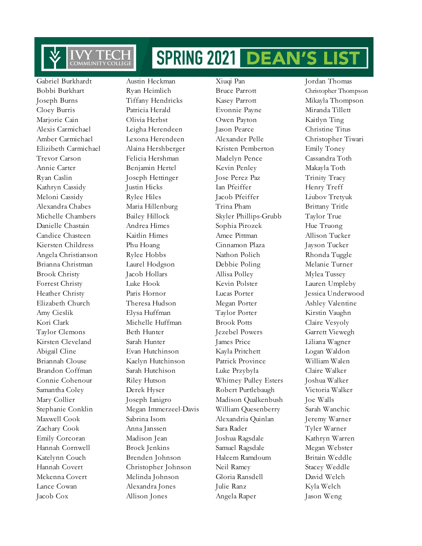

Gabriel Burkhardt Austin Heckman Xiuqi Pan Jordan Thomas Bobbi Burkhart Ryan Heimlich Bruce Parrott Christopher Thompson Joseph Burns Tiffany Hendricks Kasey Parrott Mikayla Thompson Cloey Burris Patricia Herald Evonnie Payne Miranda Tillett Marjorie Cain Olivia Herbst Owen Payton Kaitlyn Ting Alexis Carmichael Leigha Herendeen Jason Pearce Christine Titus Amber Carmichael Lexona Herendeen Alexander Pelle Christopher Tiwari Elizibeth Carmichael Alaina Hershberger Kristen Pemberton Emily Toney Trevor Carson Felicia Hershman Madelyn Pence Cassandra Toth Annie Carter Benjamin Hertel Kevin Penley Makayla Toth Ryan Caslin Joseph Hettinger Jose Perez Paz Trinity Tracy Kathryn Cassidy Justin Hicks Ian Pfeiffer Henry Treff Meloni Cassidy Rylee Hiles Jacob Pfeiffer Liubov Tretyuk Alexandra Chabes Maria Hillenburg Trina Pham Brittany Tritle Michelle Chambers Bailey Hillock Skyler Phillips-Grubb Taylor True Danielle Chastain Andrea Himes Sophia Pirozek Hue Truong Candice Chasteen Kaitlin Himes Amee Pittman Allison Tucker Kiersten Childress Phu Hoang Cinnamon Plaza Jayson Tucker Angela Christianson Rylee Hobbs Nathon Polich Rhonda Tuggle Brianna Christman Laurel Hodgson Debbie Poling Melanie Turner Brook Christy Jacob Hollars Allisa Polley Mylea Tussey Forrest Christy Luke Hook Kevin Polster Lauren Umpleby Heather Christy Paris Hornor Lucas Porter Jessica Underwood Elizabeth Church Theresa Hudson Megan Porter Ashley Valentine Amy Cieslik Elysa Huffman Taylor Porter Kirstin Vaughn Kori Clark Michelle Huffman Brook Potts Claire Vesyoly Taylor Clemons Beth Hunter Jezebel Powers Garrett Viewegh Kirsten Cleveland Sarah Hunter James Price Liliana Wagner Abigail Cline Evan Hutchinson Kayla Pritchett Logan Waldon Briannah Clouse Kaelyn Hutchinson Patrick Province William Walen Brandon Coffman Sarah Hutchison Luke Przybyla Claire Walker Connie Cohenour Riley Hutson Whitney Pulley Esters Joshua Walker Samantha Coley Derek Hyser Robert Purtlebaugh Victoria Walker Mary Collier Joseph Ianigro Madison Qualkenbush Joe Walls Stephanie Conklin Megan Immerzeel-Davis William Quesenberry Sarah Wanchic Maxwell Cook Sabrina Isom Alexandria Quinlan Jeremy Warner Zachary Cook Anna Janssen Sara Rader Tyler Warner Emily Corcoran Madison Jean Joshua Ragsdale Kathryn Warren Hannah Cornwell Brock Jenkins Samuel Ragsdale Megan Webster Katelynn Couch Brenden Johnson Haleem Ramdoum Britain Weddle Hannah Covert Christopher Johnson Neil Ramey Stacey Weddle Mckenna Covert Melinda Johnson Gloria Ransdell David Welch Lance Cowan Alexandra Jones Julie Ranz Kyla Welch Jacob Cox Allison Jones Angela Raper Jason Weng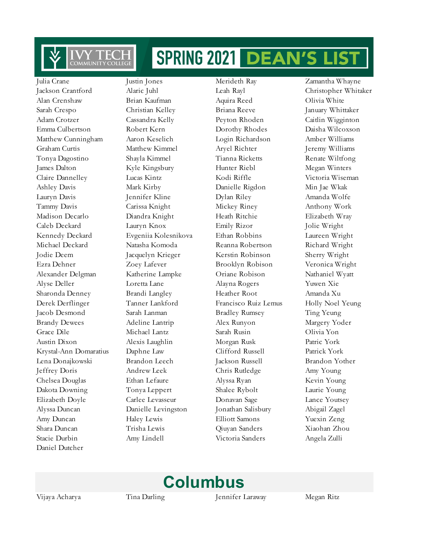

### Julia Crane Justin Jones Merideth Ray Zamantha Whayne Jackson Crantford Alaric Juhl Leah Rayl Christopher Whitaker Alan Crenshaw Brian Kaufman Aquira Reed Olivia White Sarah Crespo Christian Kelley Briana Reeve January Whittaker Adam Crotzer Cassandra Kelly Peyton Rhoden Caitlin Wigginton Emma Culbertson Robert Kern Dorothy Rhodes Daisha Wilcoxson Matthew Cunningham Aaron Keselich Login Richardson Amber Williams Graham Curtis Matthew Kimmel Aryel Richter Jeremy Williams Tonya Dagostino Shayla Kimmel Tianna Ricketts Renate Wiltfong James Dalton Kyle Kingsbury Hunter Riebl Megan Winters Claire Dannelley Lucas Kintz Kodi Riffle Victoria Wiseman Ashley Davis Mark Kirby Danielle Rigdon Min Jae Wkak Lauryn Davis Jennifer Kline Dylan Riley Amanda Wolfe Tammy Davis Carissa Knight Mickey Riney Anthony Work Madison Decarlo Diandra Knight Heath Ritchie Elizabeth Wray Caleb Deckard Lauryn Knox Emily Rizor Jolie Wright Kennedy Deckard Evgeniia Kolesnikova Ethan Robbins Laureen Wright Michael Deckard Natasha Komoda Reanna Robertson Richard Wright Jodie Deem Jacquelyn Krieger Kerstin Robinson Sherry Wright Ezra Dehner Zoey Lafever Brooklyn Robison Veronica Wright Alexander Delgman Katherine Lampke Oriane Robison Nathaniel Wyatt Alyse Deller Loretta Lane Alayna Rogers Yuwen Xie Sharonda Denney Brandi Langley Heather Root Amanda Xu Derek Derflinger Tanner Lankford Francisco Ruiz Lemus Holly Noel Yeung Jacob Desmond Sarah Lanman Bradley Rumsey Ting Yeung Brandy Dewees Adeline Lantrip Alex Runyon Margery Yoder Grace Dile Michael Lantz Sarah Rusin Olivia Yon Austin Dixon Alexis Laughlin Morgan Rusk Patric York Krystal-Ann Domaratius Daphne Law Clifford Russell Patrick York Lena Donajkowski Brandon Leech Jackson Russell Brandon Yother Jeffrey Doris Andrew Leek Chris Rutledge Amy Young Chelsea Douglas Ethan Lefaure Alyssa Ryan Kevin Young Dakota Downing Tonya Leppert Shalee Rybolt Laurie Young Elizabeth Doyle Carlee Levasseur Donavan Sage Lance Youtsey Alyssa Duncan Danielle Levingston Jonathan Salisbury Abigail Zagel Amy Duncan Haley Lewis Elliott Samons Yuexin Zeng Shara Duncan Trisha Lewis Qiuyan Sanders Xiaohan Zhou Stacie Durbin Amy Lindell Victoria Sanders Angela Zulli Daniel Dutcher

SPRING 2021 DEAN'S LIST

### **Columbus**

Vijaya Acharya Tina Darling Jennifer Laraway Megan Ritz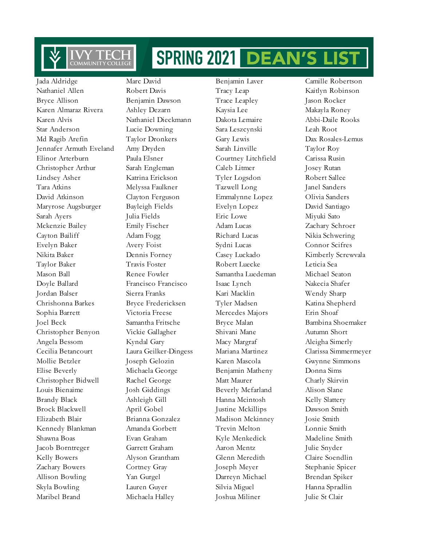

### SPRING 2021 DEAN'S LIST

Jada Aldridge Marc David Benjamin Laver Camille Robertson Nathaniel Allen Robert Davis Tracy Leap Kaitlyn Robinson Bryce Allison Benjamin Dawson Trace Leapley Jason Rocker Karen Almaraz Rivera Ashley Dezarn Kaysia Lee Makayla Roney Karen Alvis Nathaniel Dieckmann Dakota Lemaire Abbi-Daile Rooks Star Anderson Lucie Downing Sara Leszcynski Leah Root Md Ragib Arefin Taylor Dronkers Gary Lewis Dax Rosales-Lemus Jennafer Armuth Eveland Amy Dryden Sarah Linville Taylor Roy Elinor Arterburn Paula Elsner Courtney Litchfield Carissa Rusin Christopher Arthur Sarah Engleman Caleb Litmer Josey Rutan Lindsey Asher Katrina Erickson Tyler Logsdon Robert Sallee Tara Atkins Melyssa Faulkner Tazwell Long Janel Sanders David Atkinson Clayton Ferguson Emmalynne Lopez Olivia Sanders Maryrose Augsburger Bayleigh Fields Evelyn Lopez David Santiago Sarah Ayers Julia Fields Eric Lowe Miyuki Sato Mckenzie Bailey **Emily Fischer Adam Lucas** Zachary Schroer Cayton Bailiff Adam Fogg Richard Lucas Nikia Schwering Evelyn Baker Avery Foist Sydni Lucas Connor Scifres Nikita Baker Dennis Forney Casey Luckado Kimberly Screwvala Taylor Baker Travis Foster Robert Luecke Leticia Sea Mason Ball Renee Fowler Samantha Luedeman Michael Seaton Doyle Ballard Francisco Francisco Isaac Lynch Nakecia Shafer Jordan Balser Sierra Franks Kari Macklin Wendy Sharp Chrishonna Barkes Bryce Fredericksen Tyler Madsen Katina Shepherd Sophia Barrett Victoria Freese Mercedes Majors Erin Shoaf Joel Beck Samantha Fritsche Bryce Malan Bambina Shoemaker Christopher Benyon Vickie Gallagher Shivani Mane Autumn Short Angela Bessom Kyndal Gary Macy Margraf Aleigha Simerly Cecilia Betancourt Laura Geilker-Dingess Mariana Martinez Clarissa Simmermeyer Mollie Betzler Joseph Gelozin Karen Mascola Gwynne Simmons Elise Beverly Michaela George Benjamin Matheny Donna Sims Christopher Bidwell Rachel George Matt Maurer Charly Skirvin Louis Bienaime Josh Giddings Beverly Mcfarland Alison Slane Brandy Black Ashleigh Gill Hanna Mcintosh Kelly Slattery Brock Blackwell April Gobel Justine Mckillips Dawson Smith Elizabeth Blair Brianna Gonzalez Madison Mckinney Josie Smith Kennedy Blankman Amanda Gorbett Trevin Melton Lonnie Smith Shawna Boas Evan Graham Kyle Menkedick Madeline Smith Jacob Borntreger Garrett Graham Aaron Mentz Julie Snyder Kelly Bowers Alyson Grantham Glenn Meredith Claire Soendlin Zachary Bowers Cortney Gray Joseph Meyer Stephanie Spicer Allison Bowling Yan Gurgel Darreyn Michael Brendan Spiker Skyla Bowling Lauren Guyer Silvia Miguel Hanna Spradlin

Maribel Brand Michaela Halley Joshua Miliner Julie St Clair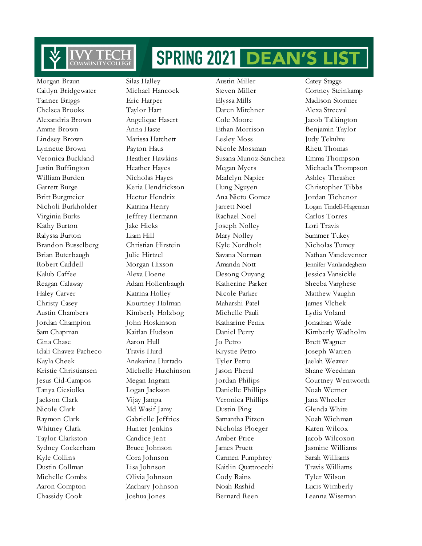

Morgan Braun Silas Halley Austin Miller Catey Staggs Caitlyn Bridgewater Michael Hancock Steven Miller Cortney Steinkamp Tanner Briggs Eric Harper Elyssa Mills Madison Stormer Chelsea Brooks Taylor Hart Daren Mitchner Alexa Streeval Alexandria Brown Angelique Hasert Cole Moore Jacob Talkington Amme Brown Anna Haste Ethan Morrison Benjamin Taylor Lindsey Brown Marissa Hatchett Lesley Moss Judy Tekulve Lynnette Brown Payton Haus Nicole Mossman Rhett Thomas Veronica Buckland Heather Hawkins Susana Munoz-Sanchez Emma Thompson Justin Buffington Heather Hayes Megan Myers Michaela Thompson William Burden Nicholas Hayes Madelyn Napier Ashley Thrasher Garrett Burge Keria Hendrickson Hung Nguyen Christopher Tibbs Britt Burgmeier Hector Hendrix Ana Nieto Gomez Jordan Tichenor Nicholi Burkholder Katrina Henry Jarrett Noel Logan Tindell-Hageman Virginia Burks Jeffrey Hermann Rachael Noel Carlos Torres Kathy Burton Jake Hicks Joseph Nolley Lori Travis Ralyssa Burton Liam Hill Mary Nolley Summer Tukey Brandon Busselberg Christian Hirstein Kyle Nordholt Nicholas Tumey Brian Buterbaugh Julie Hirtzel Savana Norman Nathan Vandeventer Robert Caddell Morgan Hixson Amanda Nott Jennifer Vanlandeghem Kalub Caffee Alexa Hoene Desong Ouyang Jessica Vansickle Reagan Calaway Adam Hollenbaugh Katherine Parker Sheeba Varghese Haley Carver Katrina Holley Nicole Parker Matthew Vaughn Christy Casey Kourtney Holman Maharshi Patel James Vlchek Austin Chambers Kimberly Holzbog Michelle Pauli Lydia Voland Jordan Champion John Hoskinson Katharine Penix Jonathan Wade Sam Chapman Kaitlan Hudson Daniel Perry Kimberly Wadholm Gina Chase Aaron Hull Jo Petro Brett Wagner Idali Chavez Pacheco Travis Hurd Krystie Petro Joseph Warren Kayla Cheek Anakarina Hurtado Tyler Petro Jaelah Weaver Kristie Christiansen Michelle Hutchinson Jason Pheral Shane Weedman Jesus Cid-Campos Megan Ingram Jordan Philips Courtney Wentworth Tanya Ciesiolka Logan Jackson Danielle Phillips Noah Werner Jackson Clark Vijay Jampa Veronica Phillips Jana Wheeler Nicole Clark Md Wasif Jamy Dustin Ping Glenda White Raymon Clark Gabrielle Jeffries Samantha Pitzen Noah Wichman Whitney Clark Hunter Jenkins Nicholas Ploeger Karen Wilcox Taylor Clarkston Candice Jent Amber Price Jacob Wilcoxon Sydney Cockerham Bruce Johnson James Pruett Jasmine Williams Kyle Collins Cora Johnson Carmen Pumphrey Sarah Williams Dustin Collman Lisa Johnson Kaitlin Quattrocchi Travis Williams Michelle Combs Olivia Johnson Cody Rains Tyler Wilson Aaron Compton Zachary Johnson Noah Rashid Lucis Wimberly

Chassidy Cook Joshua Jones Bernard Reen Leanna Wiseman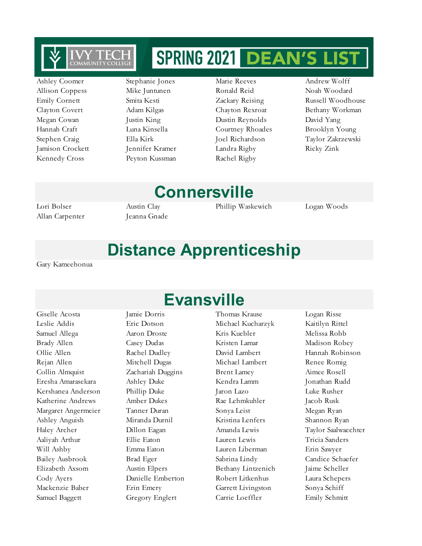

Allan Carpenter Jeanna Gnade

### Kennedy Cross Peyton Kussman Rachel Rigby

Ashley Coomer Stephanie Jones Marie Reeves Andrew Wolff Allison Coppess Mike Juntunen Ronald Reid Noah Woodard Clayton Covert Adam Kilgas Chayton Rexroat Bethany Workman Megan Cowan Justin King Dustin Reynolds David Yang Hannah Craft Luna Kinsella Courtney Rhoades Brooklyn Young Stephen Craig Ella Kirk Joel Richardson Taylor Zakrzewski Jamison Crockett Jennifer Kramer Landra Rigby Ricky Zink

SPRING 2021 DEAN'S LIST

Emily Cornett Smita Kesti Zackary Reising Russell Woodhouse

### **Connersville**

Lori Bolser Austin Clay Phillip Waskewich Logan Woods

### **Distance Apprenticeship**

Gary Kameehonua

### **Evansville**

Giselle Acosta Jamie Dorris Thomas Krause Logan Risse Leslie Addis Eric Dotson Michael Kucharzyk Kaitilyn Rittel Samuel Allega Aaron Droste Kris Kuebler Melissa Robb Brady Allen Casey Dudas Kristen Lamar Madison Robey Ollie Allen Rachel Dudley David Lambert Hannah Robinson Rejan Allen Mitchell Dugas Michael Lambert Renee Romig Collin Almquist Zachariah Duggins Brent Lamey Aimee Rosell Eresha Amarasekara Ashley Duke Kendra Lamm Jonathan Rudd Kershanea Anderson Phillip Duke Jaron Lazo Luke Rusher Katherine Andrews Amber Dukes Rae Lehmkuhler Jacob Rusk Margaret Angermeier Tanner Duran Sonya Leist Megan Ryan Ashley Anguish Miranda Durnil Kristina Lenfers Shannon Ryan Haley Archer Dillon Eagan Amanda Lewis Taylor Saalwaechter Aaliyah Arthur Ellie Eaton Lauren Lewis Tricia Sanders Will Ashby Emma Eaton Lauren Liberman Erin Sawyer Bailey Ausbrook Brad Eger Sabrina Lindy Candice Schaefer Elizabeth Axsom Austin Elpers Bethany Lintzenich Jaime Scheller Cody Ayers Danielle Emberton Robert Litkenhus Laura Schepers Mackenzie Baber Erin Emery Garrett Livingston Sonya Schiff Samuel Baggett Gregory Englert Carrie Loeffler Emily Schmitt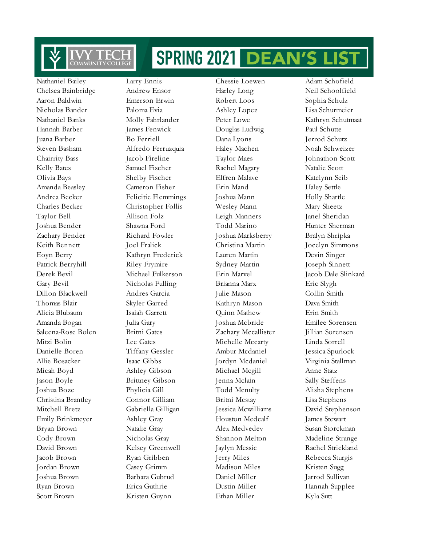

### Nathaniel Bailey Larry Ennis Chessie Loewen Adam Schofield Chelsea Bainbridge Andrew Ensor Harley Long Neil Schoolfield Aaron Baldwin Emerson Erwin Robert Loos Sophia Schulz Nicholas Bander Paloma Evia Ashley Lopez Lisa Schurmeier Nathaniel Banks Molly Fahrlander Peter Lowe Kathryn Schutmaat Hannah Barber James Fenwick Douglas Ludwig Paul Schutte Juana Barber Bo Ferriell Dana Lyons Jerrod Schutz Steven Basham Alfredo Ferruzquia Haley Machen Noah Schweizer Chairrity Bass Jacob Fireline Taylor Maes Johnathon Scott Kelly Bates Samuel Fischer Rachel Magary Natalie Scott Olivia Bays Shelby Fischer Elfren Malave Katelynn Seib Amanda Beasley Cameron Fisher Erin Mand Haley Settle Andrea Becker Felicitie Flemmings Joshua Mann Holly Shartle Charles Becker Christopher Follis Wesley Mann Mary Sheetz Taylor Bell Allison Folz Leigh Manners Janel Sheridan Joshua Bender Shawna Ford Todd Marino Hunter Sherman Zachary Bender Richard Fowler Joshua Marksberry Bralyn Shripka Keith Bennett Joel Fralick Christina Martin Jocelyn Simmons Eoyn Berry Kathryn Frederick Lauren Martin Devin Singer Patrick Berryhill Riley Frymire Sydney Martin Joseph Sinnett Derek Bevil Michael Fulkerson Erin Marvel Jacob Dale Slinkard Gary Bevil Nicholas Fulling Brianna Marx Eric Slygh Dillon Blackwell Andres Garcia Julie Mason Collin Smith Thomas Blair Skyler Garred Kathryn Mason Dava Smith Alicia Blubaum Isaiah Garrett Quinn Mathew Erin Smith Amanda Bogan Julia Gary Joshua Mcbride Emilee Sorensen Saleena-Rose Bolen Britni Gates Zachary Mccallister Jillian Sorensen Mitzi Bolin Lee Gates Michelle Mccarty Linda Sorrell Danielle Boren Tiffany Gessler Ambur Mcdaniel Jessica Spurlock Allie Bosacker Isaac Gibbs Jordyn Mcdaniel Virginia Stallman Micah Boyd Ashley Gibson Michael Mcgill Anne Statz Jason Boyle Brittney Gibson Jenna Mclain Sally Steffens Joshua Boze Phylicia Gill Todd Mcnulty Alisha Stephens Christina Brantley Connor Gilliam Britni Mcstay Lisa Stephens Mitchell Bretz Gabriella Gilligan Jessica Mcwilliams David Stephenson Emily Brinkmeyer Ashley Gray Houston Medcalf James Stewart Bryan Brown Natalie Gray Alex Medvedev Susan Storckman Cody Brown Nicholas Gray Shannon Melton Madeline Strange David Brown Kelsey Greenwell Jaylyn Messic Rachel Strickland Jacob Brown Ryan Gribben Jerry Miles Rebecca Sturgis Jordan Brown Casey Grimm Madison Miles Kristen Sugg Joshua Brown Barbara Gubrud Daniel Miller Jarrod Sullivan

Ryan Brown Erica Guthrie Dustin Miller Hannah Supplee Scott Brown Kristen Guynn Ethan Miller Kyla Sutt

SPRING 2021 DEAN'S LIST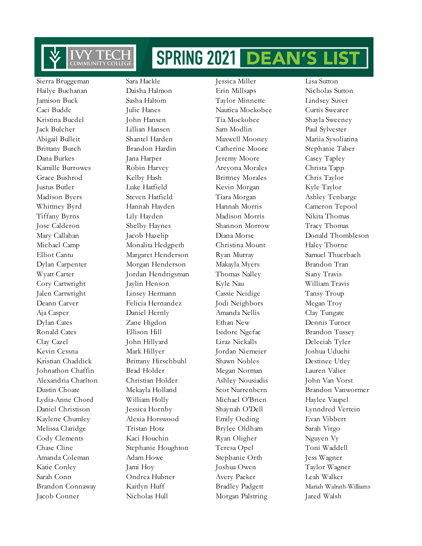

Hailye Buchanan Daisha Halmon Erin Millsaps Nicholas Sutton Jamison Buck Sasha Haltom Taylor Minnette Lindsey Suver Caci Budde Julie Hanes Nautica Mockobee Curtis Swearer Kristina Buedel John Hansen Tia Mockobee Shayla Sweeney Jack Bulcher Lillian Hansen Sam Modlin Paul Sylvester Abigail Bulleit Shantel Harden Maxwell Mooney Mariia Sysoliatina Brittany Burch Brandon Hardin Catherine Moore Stephanie Taber Dana Burkes Jana Harper Jeremy Moore Casey Tapley Kamille Burrowes Robin Harvey Areyona Morales Christa Tapp Grace Bushrod Kelby Hash Brittney Morales Chris Taylor Justus Butler Luke Hatfield Kevin Morgan Kyle Taylor Madison Byers Steven Hatfield Tiara Morgan Ashley Tenbarge Whittney Byrd Hannah Hayden Hannah Morris Cameron Tepool Tiffany Byrns Lily Hayden Madison Morris Nikita Thomas Jose Calderon Shelby Haynes Shannon Morrow Tracy Thomas Michael Camp Monalita Hedgpeth Christina Mount Haley Thorne Elliot Cantu Margaret Henderson Ryan Murray Samuel Thuerbach Dylan Carpenter Morgan Henderson Makayla Myers Brandon Tran Wyatt Carter Jordan Hendrigsman Thomas Nalley Siany Travis Cory Cartwright Jaylin Henson Kyle Nau William Travis Jalen Cartwright Linsey Hermann Cassie Neidige Tansy Troup Deann Carver Felicia Hernandez Jodi Neighbors Megan Troy Aja Casper Daniel Hernly Amanda Nellis Clay Tungate Dylan Cates Zane Higdon Ethan New Dennis Turner Ronald Cates Ellison Hill Isidore Ngefac Brandon Tussey Clay Cazel John Hillyard Liraz Nickalls Deleciah Tyler Kevin Cessna Mark Hillyer Jordan Niemeier Joshua Uduehi Kristian Chaddick Brittany Hirschbuhl Shawn Nobles Destinee Utley Johnathon Chaffin Brad Holder Megan Norman Lauren Valier Alexandria Charlton Christian Holder Ashley Nousiadis John Van Vorst Lydia-Anne Chord William Holly Michael O'Brien Haylee Vaupel Daniel Christison Jessica Hornby Shaynah O'Dell Lynndred Vertein Kaylene Chumley Alexia Horswood Emily Oeding Evan Vibbert Melissa Claridge Tristan Hotz Brylee Oldham Sarah Virgo Cody Clements Kaci Houchin Ryan Oligher Nguyen Vy Chase Cline Stephanie Houghton Teresa Opel Toni Waddell Amanda Coleman Adam Howe Stephanie Orth Jess Wagner Katie Conley Jami Hoy Joshua Owen Taylor Wagner Sarah Conn Ondrea Hubner Avery Packer Leah Walker

Jacob Conner Nicholas Hull Morgan Palstring Jared Walsh

Sierra Bruggeman Sara Hackle Jessica Miller Lisa Sutton

Mary Callahan Jacob Hazelip Diana Morse Donald Thombleson Dustin Choate Mckayla Holland Scot Nurrenbern Brandon Vanwormer Brandon Connaway Kaitlyn Huff Bradley Padgett Mariah Walrath-Williams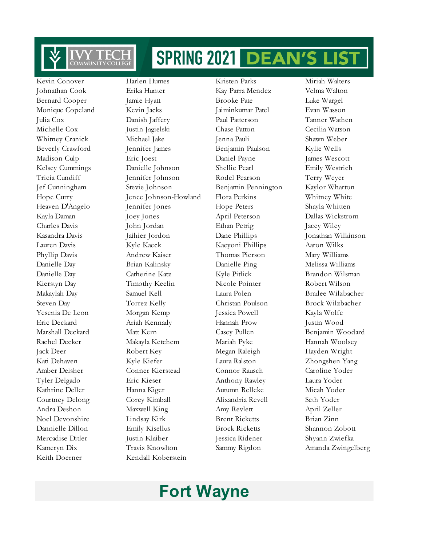

### TECH<sup></sup>

### SPRING 2021 DEAN'S LIST

Kevin Conover Harlen Humes Kristen Parks Miriah Walters Keith Doerner Kendall Koberstein

Johnathan Cook Erika Hunter Kay Parra Mendez Velma Walton Bernard Cooper Jamie Hyatt Brooke Pate Luke Wargel Monique Copeland Kevin Jacks Jaiminkumar Patel Evan Wasson Julia Cox Danish Jaffery Paul Patterson Tanner Wathen Michelle Cox Justin Jagielski Chase Patton Cecilia Watson Whitney Cranick Michael Jake Jenna Pauli Shawn Weber Beverly Crawford Jennifer James Benjamin Paulson Kylie Wells Madison Culp Eric Joest Daniel Payne James Wescott Kelsey Cummings Danielle Johnson Shellie Pearl Emily Westrich Tricia Cundiff Jennifer Johnson Rodel Pearson Terry Weyer Jef Cunningham Stevie Johnson Benjamin Pennington Kaylor Wharton Hope Curry **State Library Series Upon Accord Flora Perkins** Whitney White Heaven D'Angelo Jennifer Jones Hope Peters Shayla Whitten Kayla Daman Joey Jones April Peterson Dallas Wickstrom Charles Davis John Jordan Ethan Petrig Jacey Wiley Kasandra Davis Jaihier Jordon Dane Phillips Jonathan Wilkinson Lauren Davis Kyle Kaeck Kaeyoni Phillips Aaron Wilks Phyllip Davis Andrew Kaiser Thomas Pierson Mary Williams Danielle Day Brian Kalinsky Danielle Ping Melissa Williams Danielle Day Catherine Katz Kyle Pitlick Brandon Wilsman Kierstyn Day Timothy Keelin Nicole Pointer Robert Wilson Makaylah Day Samuel Kell Laura Polen Bradee Wilzbacher Steven Day Torrez Kelly Christan Poulson Brock Wilzbacher Yesenia De Leon Morgan Kemp Jessica Powell Kayla Wolfe Eric Deckard Ariah Kennady Hannah Prow Justin Wood Marshall Deckard Matt Kern Casey Pullen Benjamin Woodard Rachel Decker Makayla Ketchem Mariah Pyke Hannah Woolsey Jack Deer Robert Key Megan Raleigh Hayden Wright Kati Dehaven Kyle Kiefer Laura Ralston Zhongshen Yang Amber Deisher Conner Kierstead Connor Rausch Caroline Yoder Tyler Delgado Eric Kieser Anthony Rawley Laura Yoder Kathrine Deller Hanna Kiger Autumn Relleke Micah Yoder Courtney Delong Corey Kimball Alixandria Revell Seth Yoder Andra Deshon Maxwell King Amy Revlett April Zeller Noel Devonshire Lindsay Kirk Brent Ricketts Brian Zinn Dannielle Dillon Emily Kisellus Brock Ricketts Shannon Zobott Mercadise Ditler Justin Klaiber Jessica Ridener Shyann Zwiefka Kameryn Dix Travis Knowlton Sammy Rigdon Amanda Zwingelberg

### **Fort Wayne**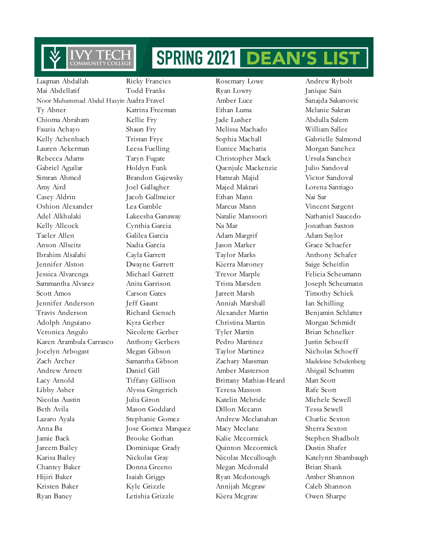

Luqman Abdallah Ricky Francies Rosemary Lowe Andrew Rybolt Mai Abdellatif Todd Franks Ryan Lowry Janique Sain Noor Muhammad Abdul HasyimAudra Fravel Amber Luce Sanajda Sakanovic Ty Abner Katrina Freeman Ethan Luma Melanie Sakran Chioma Abraham Kellie Fry Jade Lusher Abdulla Salem Fauzia Achayo Shaun Fry Melissa Machado William Sallee Kelly Achenbach Tristan Frye Sophia Machall Gabrielle Salmond Lauren Ackerman Leesa Fuelling Eunice Macharia Morgan Sanchez Rebecca Adams Taryn Fugate Christopher Mack Ursula Sanchez Gabriel Aguilar Holdyn Funk Quenjule Mackenzie Julio Sandoval Simran Ahmed Brandon Gajewsky Hamzah Majid Victor Sandoval Amy Aird Joel Gallagher Majed Maktari Lorena Santiago Casey Aldrin Jacob Gallmeier Ethan Mann Nai Sar Oshion Alexander Lea Gamble Marcus Mann Vincent Sargent Adel Alkhulaki Lakeesha Ganaway Natalie Mansoori Nathaniel Saucedo Kelly Allcock Cynthia Garcia Na Mar Jonathan Saxton Taeler Allen Galilea Garcia Adam Margrif Adam Saylor Anson Allseitz Nadia Garcia Jason Marker Grace Schaefer Ibrahim Alsalahi Cayla Garrett Taylor Marks Anthony Schafer Jennifer Alston Dwayne Garrett Kierra Maroney Saige Scheitlin Jessica Alvarenga Michael Garrett Trevor Marple Felicia Scheumann Sammantha Alvarez Anita Garrison Trista Marsden Joseph Scheumann Scott Amos Carson Gates Jarrett Marsh Timothy Schiek Jennifer Anderson Jeff Gaunt Anniah Marshall Ian Schilling Travis Anderson Richard Gensch Alexander Martin Benjamin Schlatter Adolph Anguiano Kyra Gerber Christina Martin Morgan Schmidt Veronica Angulo Nicolette Gerber Tyler Martin Brian Schnelker Karen Arambula Carrasco Anthony Gerbers Pedro Martinez Justin Schoeff Jocelyn Arbogast Megan Gibson Taylor Martinez Nicholas Schoeff Zach Archer Samantha Gibson Zachary Massman Madeleine Schulenberg Andrew Arnett Daniel Gill Amber Masterson Abigail Schumm Lacy Arnold Tiffany Gillison Brittany Mathias-Heard Matt Scott Libby Asher Alyssa Gingerich Teresa Maxson Rafe Scott Nicolas Austin Julia Giron Katelin Mcbride Michele Sewell Beth Avila Mason Goddard Dillon Mccann Tessa Sewell Lazaro Ayala Stephanie Gomez Andrew Mcclanahan Charlie Sexton Anna Ba Jose Gomez Marquez Macy Mcclane Sherra Sexton Jamie Back Brooke Gothan Kalie Mccormick Stephen Shadbolt Jareem Bailey Dominique Grady Quinton Mccormick Dustin Shafer Karisa Bailey Nickolas Gray Nicolas Mccullough Katelynn Shambaugh Chantey Baker Donna Greeno Megan Mcdonald Brian Shank Hijiri Baker Isaiah Griggs Ryan Mcdonough Amber Shannon Kristen Baker Kyle Grizzle Annijah Mcgraw Caleb Shannon Ryan Baney Letishia Grizzle Kiera Mcgraw Owen Sharpe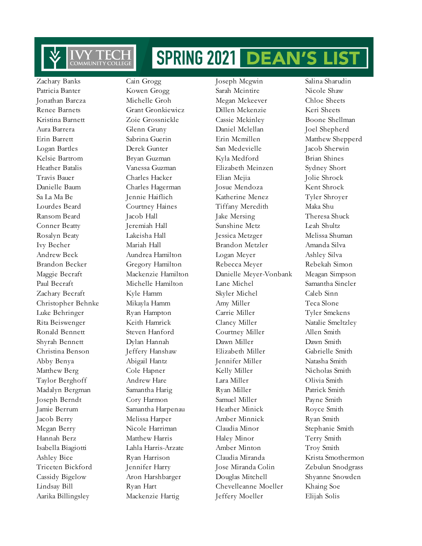

Aarika Billingsley Mackenzie Hartig Jeffery Moeller Elijah Solis

Zachary Banks Cain Grogg Joseph Mcgwin Salina Sharudin Patricia Banter Kowen Grogg Sarah Mcintire Nicole Shaw Jonathan Barcza Michelle Groh Megan Mckeever Chloe Sheets Renee Barnets Grant Gronkiewicz Dillen Mckenzie Keri Sheets Kristina Barnett Zoie Grossnickle Cassie Mckinley Boone Shellman Aura Barrera Glenn Gruny Daniel Mclellan Joel Shepherd Erin Barrett Sabrina Guerin Erin Mcmillen Matthew Shepperd Logan Bartles Derek Gunter San Medevielle Jacob Sherwin Kelsie Bartrom Bryan Guzman Kyla Medford Brian Shines Heather Batalis Vanessa Guzman Elizabeth Meinzen Sydney Short Travis Bauer Charles Hacker Elian Mejia Jolie Shrock Danielle Baum Charles Hagerman Josue Mendoza Kent Shrock Sa La Ma Be Jennie Haiflich Katherine Menez Tyler Shroyer Lourdes Beard Courtney Haines Tiffany Meredith Maka Shu Ransom Beard Jacob Hall Jake Mersing Theresa Shuck Conner Beatty Jeremiah Hall Sunshine Metz Leah Shultz Rosalyn Beaty Lakeisha Hall Jessica Metzger Melissa Shuman Ivy Becher Mariah Hall Brandon Metzler Amanda Silva Andrew Beck Aundrea Hamilton Logan Meyer Ashley Silva Brandon Becker Gregory Hamilton Rebecca Meyer Rebekah Simon Maggie Becraft Mackenzie Hamilton Danielle Meyer-Vonbank Meagan Simpson Paul Becraft Michelle Hamilton Lane Michel Samantha Sincler Zachary Becraft Kyle Hamm Skyler Michel Caleb Sinn Christopher Behnke Mikayla Hamm Amy Miller Teca Slone Luke Behringer Ryan Hampton Carrie Miller Tyler Smekens Rita Beiswenger Keith Hamrick Clancy Miller Natalie Smeltzley Ronald Bennett Steven Hanford Courtney Miller Allen Smith Shyrah Bennett Dylan Hannah Dawn Miller Dawn Smith Christina Benson Jeffery Hanshaw Elizabeth Miller Gabrielle Smith Abby Benya Abigail Hantz Jennifer Miller Natasha Smith Matthew Berg Cole Hapner Kelly Miller Nicholas Smith Taylor Berghoff Andrew Hare Lara Miller Olivia Smith Madalyn Bergman Samantha Harig Ryan Miller Patrick Smith Joseph Berndt Cory Harmon Samuel Miller Payne Smith Jamie Berrum Samantha Harpenau Heather Minick Royce Smith Jacob Berry Melissa Harper Amber Minnick Ryan Smith Megan Berry Nicole Harriman Claudia Minor Stephanie Smith Hannah Berz Matthew Harris Haley Minor Terry Smith Isabella Biagiotti Lahla Harris-Arzate Amber Minton Troy Smith Ashley Bice Ryan Harrison Claudia Miranda Krista Smothermon Triceten Bickford Jennifer Harry Jose Miranda Colin Zebulun Snodgrass Cassidy Bigelow Aron Harshbarger Douglas Mitchell Shyanne Snowden Lindsay Bill Ryan Hart Chevelleanne Moeller Khaing Soe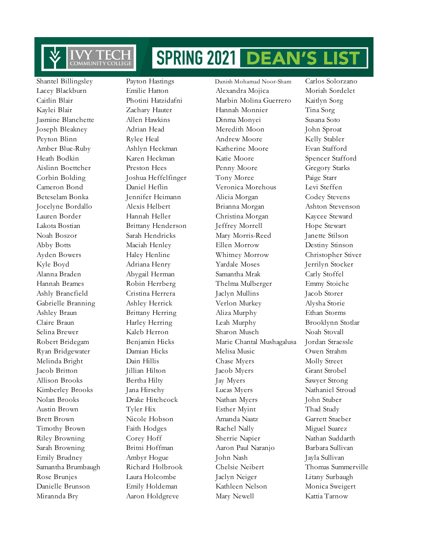

Shantel Billingsley Payton Hastings Danish Mohamad Noor-Sham Carlos Solorzano Lacey Blackburn Emilie Hatton Alexandra Mojica Moriah Sordelet Caitlin Blair Photini Hatzidafni Marbin Molina Guerrero Kaitlyn Sorg Kaylei Blair Zachary Hauter Hannah Monnier Tina Sorg Jasmine Blanchette Allen Hawkins Dinma Monyei Susana Soto Joseph Bleakney Adrian Head Meredith Moon John Sproat Peyton Blinn **Rylee Heal** Andrew Moore Kelly Stabler Amber Blue-Ruby Ashlyn Heckman Katherine Moore Evan Stafford Heath Bodkin Karen Heckman Katie Moore Spencer Stafford Aislinn Boettcher Preston Hees Penny Moore Gregory Starks Corbin Bolding Joshua Heffelfinger Tony Moree Paige Starr Cameron Bond Daniel Heflin Veronica Morehous Levi Steffen Beteselam Bonka Jennifer Heimann Alicia Morgan Codey Stevens Jocelyne Bordallo Alexis Helbert Brianna Morgan Ashton Stevenson Lauren Border Hannah Heller Christina Morgan Kaycee Steward Lakota Bostian Brittany Henderson Jeffrey Morrell Hope Stewart Noah Boszor Sarah Hendricks Mary Morris-Reed Janette Stilson Abby Botts Maciah Henley Ellen Morrow Destiny Stinson Ayden Bowers Haley Henline Whitney Morrow Christopher Stiver Kyle Boyd Adriana Henry Yardale Moses Jerrilyn Stocker Alanna Braden Abygail Herman Samantha Mrak Carly Stoffel Hannah Brames Robin Herrberg Thelma Mulberger Emmy Stoiche Ashly Brancfield Cristina Herrera Jaclyn Mullins Jacob Storer Gabrielle Branning Ashley Herrick Verlon Murkey Alysha Storie Ashley Braun Brittany Herring Aliza Murphy Ethan Storms Claire Braun Harley Herring Leah Murphy Brooklynn Stotlar Selina Brewer Kaleb Herron Sharon Musch Noah Stovall Robert Bridegam Benjamin Hicks Marie Chantal Mushagalusa Jordan Straessle Ryan Bridgewater Damian Hicks Melisa Music Owen Strahm Melinda Bright Dain Hillis Chase Myers Molly Street Jacob Britton Jillian Hilton Jacob Myers Grant Strobel Allison Brooks Bertha Hilty Jay Myers Sawyer Strong Kimberley Brooks Jana Hirschy Lucas Myers Nathaniel Stroud Nolan Brooks Drake Hitchcock Nathan Myers John Stuber Austin Brown Tyler Hix Esther Myint Thad Study Brett Brown Nicole Hobson Amanda Naatz Garrett Stueber Timothy Brown Faith Hodges Rachel Nally Miguel Suarez Riley Browning Corey Hoff Sherrie Napier Nathan Suddarth Sarah Browning Britni Hoffman Aaron Paul Naranjo Barbara Sullivan Emily Brudney Ambyr Hogue John Nash Jayla Sullivan Samantha Brumbaugh Richard Holbrook Chelsie Neibert Thomas Summerville Rose Brunjes Laura Holcombe Jaclyn Neiger Litany Surbaugh Danielle Brunson Emily Holdeman Kathleen Nelson Monica Sweigert Mirannda Bry Aaron Holdgreve Mary Newell Kattia Tarnow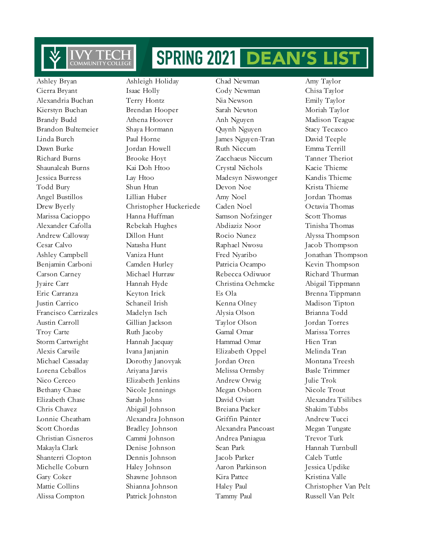

Ashley Bryan Ashleigh Holiday Chad Newman Amy Taylor Cierra Bryant Isaac Holly Cody Newman Chisa Taylor Alexandria Buchan Terry Hontz Nia Newson Emily Taylor Kierstyn Buchan Brendan Hooper Sarah Newton Moriah Taylor Brandy Budd Athena Hoover Anh Nguyen Madison Teague Brandon Bultemeier Shaya Hormann Quynh Nguyen Stacy Tecaxco Linda Burch Paul Horne James Nguyen-Tran David Teeple Dawn Burke Jordan Howell Ruth Niccum Emma Terrill Richard Burns Brooke Hoyt Zacchaeus Niccum Tanner Theriot Shaunaleah Burns Kai Doh Htoo Crystal Nichols Kacie Thieme Jessica Burress Lay Htoo Madesyn Niswonger Kandis Thieme Todd Bury Shun Htun Devon Noe Krista Thieme Angel Bustillos Lillian Huber Amy Noel Jordan Thomas Drew Byerly Christopher Huckeriede Caden Noel Octavia Thomas Marissa Cacioppo Hanna Huffman Samson Nofzinger Scott Thomas Alexander Cafolla Rebekah Hughes Abdiaziz Noor Tinisha Thomas Andrew Calloway Dillon Hunt Rocio Nunez Alyssa Thompson Cesar Calvo Natasha Hunt Raphael Nwosu Jacob Thompson Ashley Campbell Vaniza Hunt Fred Nyaribo Jonathan Thompson Benjamin Carboni Camden Hurley Patricia Ocampo Kevin Thompson Carson Carney Michael Hurraw Rebecca Odiwuor Richard Thurman Jyaire Carr Hannah Hyde Christina Oehmcke Abigail Tippmann Eric Carranza Keyton Irick Es Ola Brenna Tippmann Justin Carrico Schaneil Irish Kenna Olney Madison Tipton Francisco Carrizales Madelyn Isch Alysia Olson Brianna Todd Austin Carroll Gillian Jackson Taylor Olson Jordan Torres Troy Carte Ruth Jacoby Gamal Omar Marissa Torres Storm Cartwright Hannah Jacquay Hammad Omar Hien Tran Alexis Carwile Ivana Janjanin Elizabeth Oppel Melinda Tran Michael Cassaday Dorothy Janovyak Jordan Oren Montana Treesh Lorena Ceballos Ariyana Jarvis Melissa Ormsby Basle Trimmer Nico Cerceo Elizabeth Jenkins Andrew Orwig Julie Trok Bethany Chase Nicole Jennings Megan Osborn Nicole Trout Elizabeth Chase Sarah Johns David Oviatt Alexandra Tsilibes Chris Chavez Abigail Johnson Breiana Packer Shakim Tubbs Lonnie Cheatham Alexandra Johnson Griffin Painter Andrew Tucci Scott Chordas Bradley Johnson Alexandra Pancoast Megan Tungate Christian Cisneros Cammi Johnson Andrea Paniagua Trevor Turk Makayla Clark Denise Johnson Sean Park Hannah Turnbull Shanterri Clopton Dennis Johnson Jacob Parker Caleb Tuttle Michelle Coburn Haley Johnson Aaron Parkinson Jessica Updike Gary Coker Shawne Johnson Kira Pattee Kristina Valle Alissa Compton Patrick Johnston Tammy Paul Russell Van Pelt

SPRING 2021 DEAN'S LIST

Mattie Collins Shianna Johnson Haley Paul Christopher Van Pelt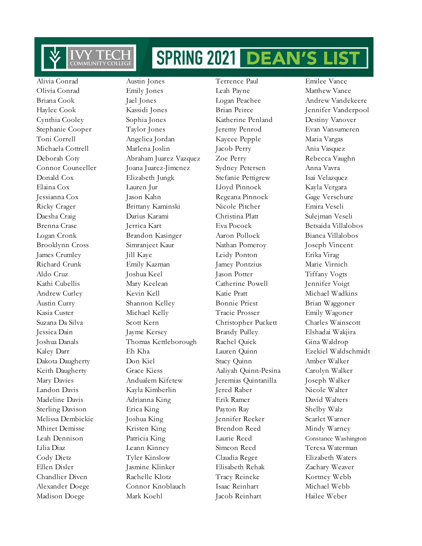

Alivia Conrad Austin Jones Terrence Paul Emilee Vance

Olivia Conrad Emily Jones Leah Payne Matthew Vance Briana Cook Jael Jones Logan Peachee Andrew Vandekeere Haylee Cook Kassidi Jones Brian Peirce Jennifer Vanderpool Cynthia Cooley Sophia Jones Katherine Penland Destiny Vanover Stephanie Cooper Taylor Jones Jeremy Penrod Evan Vansumeren Toni Correll Angelica Jordan Kaycee Pepple Maria Vargas Michaela Cottrell Marlena Joslin Jacob Perry Ania Vasquez Deborah Coty Abraham Juarez Vazquez Zoe Perry Rebecca Vaughn Connor Counceller Joana Juarez-Jimenez Sydney Petersen Anna Vavra Donald Cox Elizabeth Jungk Stefanie Pettigrew Isai Velazquez Elaina Cox Lauren Jur Lloyd Pinnock Kayla Vergara Jessianna Cox Jason Kahn Regeana Pinnock Gage Verschure Ricky Crager Brittany Kaminski Nicole Pitcher Emira Veseli Daesha Craig Darius Karami Christina Platt Sulejman Veseli Brenna Crase Jerrica Kart Eva Pocock Betsaida Villalobos Logan Cronk Brandon Kasinger Aaron Pollock Bianca Villalobos Brooklynn Cross Simranjeet Kaur Nathan Pomeroy Joseph Vincent James Crumley Jill Kaye Leidy Ponton Erika Virag Richard Crunk Emily Kazman Jamey Pontzius Marie Virnich Aldo Cruz Joshua Keel Jason Potter Tiffany Vogts Kathi Cubellis Mary Keelean Catherine Powell Jennifer Voigt Andrew Curley Kevin Kell Katie Pratt Michael Wadkins Austin Curry Shannon Kelley Bonnie Priest Brian Waggoner Kasia Custer Michael Kelly Tracie Prosser Emily Wagoner Suzana Da Silva Scott Kern Christopher Puckett Charles Wainscott Jessica Dain Jayme Kersey Brandy Pulley Elshadai Wakjira Joshua Danals Thomas Kettleborough Rachel Quick Gina Waldrop Kaley Darr Eh Kha Lauren Quinn Ezekiel Waldschmidt Dakota Daugherty Don Kiel Stacy Quinn Amber Walker Keith Daugherty Grace Kiess Aaliyah Quinn-Pesina Carolyn Walker Mary Davies Andualem Kifetew Jeremias Quintanilla Joseph Walker Landon Davis Kayla Kimberlin Jered Raber Nicole Walter Madeline Davis Adrianna King Erik Ramer David Walters Sterling Davison Erica King Payton Ray Shelby Walz Melissa Dembickie Joshua King Jennifer Recker Scarlet Warner Mhiret Demisse Kristen King Brendon Reed Mindy Warney Leah Dennison Patricia King Laurie Reed Constance Washington Lilia Diaz Leann Kinney Simeon Reed Teresa Waterman Cody Dietz Tyler Kinslow Claudia Reger Elizabeth Waters Ellen Disler Jasmine Klinker Elisabeth Rehak Zachary Weaver Chandlier Diven Rachelle Klotz Tracy Reincke Kortney Webb Alexander Doege Connor Knoblauch Isaac Reinhart Michael Webb Madison Doege Mark Koehl Jacob Reinhart Hailee Weber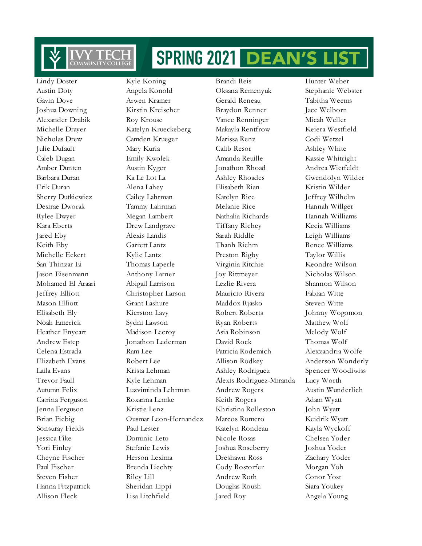

Lindy Doster Kyle Koning Brandi Reis Hunter Weber Austin Doty Angela Konold Oksana Remenyuk Stephanie Webster Gavin Dove Arwen Kramer Gerald Reneau Tabitha Weems Joshua Downing Kirstin Kreischer Braydon Renner Jace Welborn Alexander Drabik Roy Krouse Vance Renninger Micah Weller Michelle Drayer Katelyn Krueckeberg Makayla Rentfrow Keiera Westfield Nicholas Drew Camden Krueger Marissa Renz Codi Wetzel Julie Dufault Mary Kuria Calib Resor Ashley White Caleb Dugan Emily Kwolek Amanda Reuille Kassie Whitright Amber Dunten Austin Kyger Jonathon Rhoad Andrea Wietfeldt Barbara Duran Ka Le Lot La Ashley Rhoades Gwendolyn Wilder Erik Duran Alena Lahey Elisabeth Rian Kristin Wilder Sherry Dutkiewicz Cailey Lahrman Katelyn Rice Jeffrey Wilhelm Desirae Dworak Tammy Lahrman Melanie Rice Hannah Willger Rylee Dwyer Megan Lambert Nathalia Richards Hannah Williams Kara Eberts Drew Landgrave Tiffany Richey Kecia Williams Jared Eby Alexis Landis Sarah Riddle Leigh Williams Keith Eby Garrett Lantz Thanh Riehm Renee Williams Michelle Eckert Kylie Lantz Preston Rigby Taylor Willis San Thinzar Ei Thomas Laperle Virginia Ritchie Keondre Wilson Jason Eisenmann Anthony Larner Joy Rittmeyer Nicholas Wilson Mohamed El Araari Abigail Larrison Lezlie Rivera Shannon Wilson Jeffrey Elliott Christopher Larson Mauricio Rivera Fabian Witte Mason Elliott Grant Lashure Maddox Rjasko Steven Witte Elisabeth Ely Kierston Lavy Robert Roberts Johnny Wogomon Noah Emerick Sydni Lawson Ryan Roberts Matthew Wolf Heather Enyeart Madison Lecroy Asia Robinson Melody Wolf Andrew Estep Jonathon Lederman David Rock Thomas Wolf Celena Estrada Ram Lee Patricia Rodemich Alexzandria Wolfe Elizabeth Evans Robert Lee Allison Rodkey Anderson Wonderly Laila Evans Krista Lehman Ashley Rodriguez Spencer Woodiwiss Trevor Faull Kyle Lehman Alexis Rodriguez-Miranda Lucy Worth Autumn Felix Luzviminda Lehrman Andrew Rogers Austin Wunderlich Catrina Ferguson Roxanna Lemke Keith Rogers Adam Wyatt Jenna Ferguson Kristie Lenz Khristina Rolleston John Wyatt Brian Fiebig Ousmar Leon-Hernandez Marcos Romero Keidrik Wyatt Sonsuray Fields Paul Lester Katelyn Rondeau Kayla Wyckoff Jessica Fike Dominic Leto Nicole Rosas Chelsea Yoder Yori Finley Stefanie Lewis Joshua Roseberry Joshua Yoder Cheyne Fischer Herson Lexima Dreshawn Ross Zachary Yoder Paul Fischer Brenda Liechty Cody Rostorfer Morgan Yoh Steven Fisher Riley Lill Andrew Roth Conor Yost Hanna Fitzpatrick Sheridan Lippi Douglas Roush Siara Youkey Allison Fleck Lisa Litchfield Jared Roy Angela Young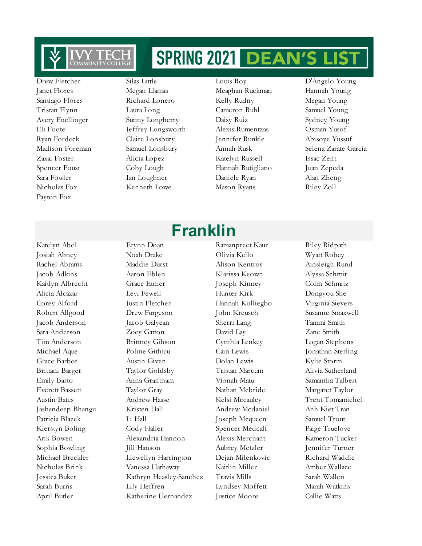

Nicholas Fox Kenneth Lowe Mason Ryans Riley Zoll Payton Fox

Drew Fletcher Silas Little Louis Roy D'Angelo Young Janet Flores Megan Llamas Meaghan Ruckman Hannah Young Santiago Flores **Richard Lonero** Kelly Rudny Megan Young Tristan Flynn Laura Long Cameron Ruhl Samuel Young Avery Foellinger Sunny Longberry Daisy Ruiz Sydney Young Eli Foote Jeffrey Longsworth Alexis Rumentzas Osman Yusof Ryan Fordeck Claire Lonsbury Jennifer Runkle Abisoye Yussuf Zaxai Foster Alicia Lopez Katelyn Russell Issac Zent Spencer Foust Coby Lough Hannah Rutigliano Juan Zepeda Sara Fowler Ian Loughner Daniele Ryan Alan Zheng

SPRING 2021 DEAN'S LIST

## Madison Foreman Samuel Lonsbury Annah Rusk Selena Zarate Garcia

### **Franklin**

Katelyn Abel Erynn Doan Ramanpreet Kaur Riley Ridpath

Josiah Abney Noah Drake Olivia Kello Wyatt Robey Rachel Abrams Maddie Durst Alison Kentros Ainsleigh Rund Jacob Adkins Aaron Eblen Klarissa Keown Alyssa Schmit Kaitlyn Albrecht Grace Etnier Joseph Kinney Colin Schmitz Alicia Alcazar Levi Fewell Hunter Kirk Dongyou She Corey Alford Justin Fletcher Hannah Kolliegbo Virginia Sievers Robert Allgood Drew Furgeson John Kreusch Susanne Smaxwell Jacob Anderson Jacob Galyean Sherri Lang Tammi Smith Sara Anderson Zoey Gatton David Lay Zane Smith Tim Anderson Brittney Gibson Cynthia Lenkey Logan Stephens Michael Aque Poline Githiru Cain Lewis Jonathan Sterling Grace Barbee Austin Given Dolan Lewis Kylie Storm Brittani Barger Taylor Goldsby Tristan Marcum Alivia Sutherland Emily Barto Anna Grantham Vionah Matu Samantha Talbert Everett Bassett Taylor Gray Nathan Mcbride Margaret Taylor Austin Bates Andrew Haase Kelsi Mccauley Trent Tomamichel Jashandeep Bhangu Kristen Hall Andrew Mcdaniel Anh Kiet Tran Patricia Blazek Li Hall Joseph Mcqueen Samuel Trout Kierstyn Boling Cody Haller Spencer Medcalf Paige Truelove Arik Bowen Alexandria Hannon Alexis Merchant Kameron Tucker Sophia Bowling Jill Hanson Aubrey Metzler Jennifer Turner Michael Breckler Llewellyn Harrington Dejan Milenkovic Richard Waddle Nicholas Brink Vanessa Hathaway Kaitlin Miller Amber Wallace Jessica Buker Kathryn Heasley-Sanchez Travis Mills Sarah Wallen Sarah Burns Lily Heffren Lyndsey Moffett Marah Watkins April Butler **Katherine Hernandez** Justice Moore Callie Watts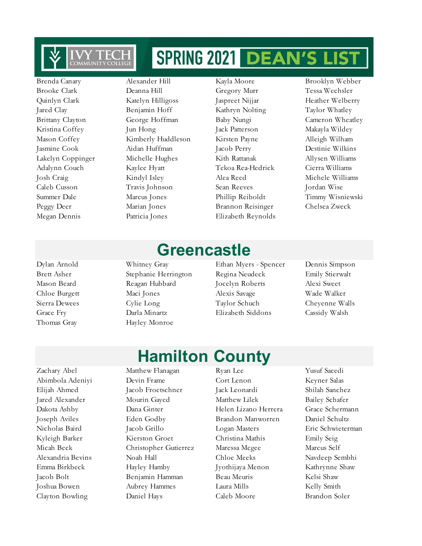

Brenda Canary Alexander Hill Kayla Moore Brooklyn Webber Brooke Clark Deanna Hill Gregory Murr Tessa Wechsler Quinlyn Clark Katelyn Hilligoss Jaspreet Nijjar Heather Welberry Jared Clay Benjamin Hoff Kathryn Nolting Taylor Whatley Brittany Clayton George Hoffman Baby Nungi Cameron Wheatley Kristina Coffey Jun Hong Jack Patterson Makayla Wildey Mason Coffey Kimberly Huddleson Kirsten Payne Alleigh Wilham Jasmine Cook Aidan Huffman Jacob Perry Destinie Wilkins Lakelyn Coppinger Michelle Hughes Kith Rattanak Allysen Williams Adalynn Couch Kaylee Hyatt Tekoa Rea-Hedrick Cierra Williams Josh Craig Kindyl Isley Alea Reed Michele Williams Caleb Cusson Travis Johnson Sean Reeves Jordan Wise Summer Dale Marcus Jones Phillip Reiboldt Timmy Wisniewski Peggy Deer Marian Jones Brannon Reisinger Chelsea Zweck Megan Dennis Patricia Jones Elizabeth Reynolds

- 
- 

### Thomas Gray Hayley Monroe

Grace Fry Darla Minartz Elizabeth Siddons Cassidy Walsh

Dylan Arnold Whitney Gray Ethan Myers - Spencer Dennis Simpson Brett Asher Stephanie Herrington Regina Neudeck Emily Stierwalt Mason Beard Reagan Hubbard Jocelyn Roberts Alexi Sweet Chloe Burgett Maci Jones Alexis Savage Wade Walker Sierra Dewees Cylie Long Taylor Schuch Cheyenne Walls

### **Hamilton County**

**Greencastle**

Zachary Abel Matthew Flanagan Ryan Lee Yusuf Saeedi Abimbola Adeniyi Devin Frame Cort Lenon Keyner Salas Elijah Ahmed Jacob Froetschner Jack Leonardi Shilah Sanchez Jared Alexander Mourin Gayed Matthew Lilek Bailey Schafer Dakota Ashby Dana Ginter Helen Lizano Herrera Grace Schermann Joseph Aviles Eden Godby Brandon Manworren Daniel Schultz Nicholas Baird Jacob Grillo Logan Masters Eric Schwieterman Kyleigh Barker Kierston Groet Christina Mathis Emily Seig Micah Beck Christopher Gutierrez Maressa Mcgee Marcus Self Alexandria Bevins Noah Hall Chloe Meeks Navdeep Sembhi Emma Birkbeck Hayley Hamby Jyothijaya Menon Kathrynne Shaw Jacob Bolt Benjamin Hamman Beau Meuris Kelsi Shaw Joshua Bowen Aubrey Hammes Laura Mills Kelly Smith Clayton Bowling Daniel Hays Caleb Moore Brandon Soler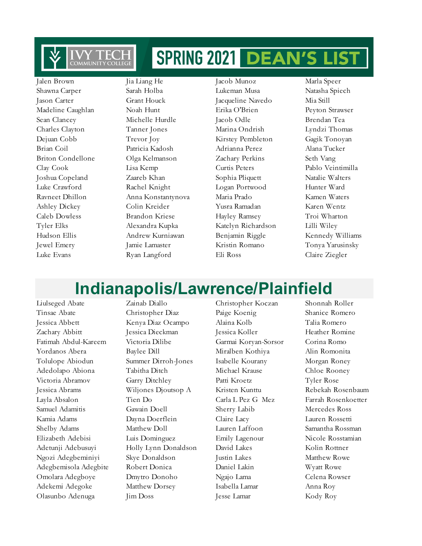

Jalen Brown Jia Liang He Jacob Munoz Marla Speer Shawna Carper Sarah Holba Lukeman Musa Natasha Spiech Jason Carter Grant Houck Jacqueline Navedo Mia Still Madeline Caughlan Noah Hunt Erika O'Brien Peyton Strawser Sean Clancey Michelle Hurdle Jacob Odle Brendan Tea Charles Clayton Tanner Jones Marina Ondrish Lyndzi Thomas Dejuan Cobb Trevor Joy Kirstey Pembleton Gagik Tonoyan Brian Coil Patricia Kadosh Adrianna Perez Alana Tucker Briton Condellone Olga Kelmanson Zachary Perkins Seth Vang Clay Cook Lisa Kemp Curtis Peters Pablo Veintimilla Joshua Copeland Zaareb Khan Sophia Pliquett Natalie Walters Luke Crawford Rachel Knight Logan Portwood Hunter Ward Ravneet Dhillon Anna Konstantynova Maria Prado Kamen Waters Ashley Dickey Colin Kreider Yusra Ramadan Karen Wentz Caleb Dowless Brandon Kriese Hayley Ramsey Troi Wharton Tyler Elks Alexandra Kupka Katelyn Richardson Lilli Wiley Hudson Ellis Andrew Kurniawan Benjamin Riggle Kennedy Williams Jewel Emery Jamie Lamaster Kristin Romano Tonya Yarusinsky Luke Evans Ryan Langford Eli Ross Claire Ziegler

### **Indianapolis/Lawrence/Plainfield**

Liulseged Abate Zainab Diallo Christopher Koczan Shonnah Roller Tinsae Abate Christopher Diaz Paige Koenig Shanice Romero Jessica Abbett Kenya Diaz Ocampo Alaina Kolb Talia Romero Zachary Abbitt Jessica Dieckman Jessica Koller Heather Romine Fatimah Abdul-Kareem Victoria Dilibe Garmai Koryan-Sorsor Corina Romo Yordanos Abera Baylee Dill Miralben Kothiya Alin Romonita Tolulope Abiodun Summer Dirroh-Jones Isabelle Kourany Morgan Roney Adedolapo Abiona Tabitha Ditch Michael Krause Chloe Rooney Victoria Abramov Garry Ditchley Patti Kroetz Tyler Rose Jessica Abrams Wiljones Djoutsop A Kristen Kunttu Rebekah Rosenbaum Layla Absalon Tien Do Carla L Pez G Mez Farrah Rosenkoetter Samuel Adamitis Gawain Doell Sherry Labib Mercedes Ross Kamia Adams Dayna Doerflein Claire Lacy Lauren Rossetti Shelby Adams Matthew Doll Lauren Laffoon Samantha Rossman Elizabeth Adebisi Luis Dominguez Emily Lagenour Nicole Rosstamian Adetunji Adebusuyi Holly Lynn Donaldson David Lakes Kolin Rottner Ngozi Adegbeminiyi Skye Donaldson Justin Lakes Matthew Rowe Adegbemisola Adegbite Robert Donica Daniel Lakin Wyatt Rowe Omolara Adegboye Dmytro Donoho Ngajo Lama Celena Rowser Adekemi Adegoke Matthew Dorsey Isabella Lamar Anna Roy

Olasunbo Adenuga Jim Doss Jesse Lamar Kody Roy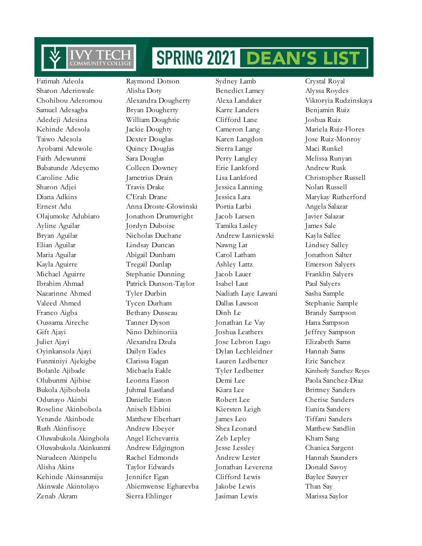

Fatimah Adeola Raymond Dotson Sydney Lamb Crystal Royal Sharon Aderinwale Alisha Doty Benedict Lamey Alyssa Roydes Chohibou Aderomou Alexandra Dougherty Alexa Landaker Viktoryia Rudzinskaya Samuel Adesagba Bryan Dougherty Karre Landers Benjamin Ruiz Adedeji Adesina William Doughtie Clifford Lane Joshua Ruiz Kehinde Adesola Jackie Doughty Cameron Lang Mariela Ruiz-Flores Taiwo Adesola Dexter Douglas Karen Langdon Jose Ruiz-Monroy Ayobami Adewole Quincy Douglas Sierra Lange Maci Runkel Faith Adewunmi Sara Douglas Perry Langley Melissa Runyan Babatunde Adeyemo Colleen Downey Eric Lankford Andrew Rusk Caroline Adie Jametrius Drain Lisa Lankford Christopher Russell Sharon Adjei Travis Drake Jessica Lanning Nolan Russell Diana Adkins C'Erah Drane Jessica Lara Marykay Rutherford Ernest Adu Anna Droste-Glowinski Portia Larbi Angela Salazar Olajumoke Adubiaro Jonathon Drumwright Jacob Larsen Javier Salazar Ayline Aguilar Jordyn Duboise Tamika Lasley James Sale Bryan Aguilar Nicholas Duchane Andrew Lasniewski Kayla Sallee Elian Aguilar Lindsay Duncan Nawng Lat Lindsey Salley Maria Aguilar Abigail Dunham Carol Latham Jonathon Salter Kayla Aguirre Tregail Dunlap Ashley Lattz Emerson Salyers Michael Aguirre Stephanie Dunning Jacob Lauer Franklin Salyers Ibrahim Ahmad Patrick Dunson-Taylor Isabel Laut Paul Salyers Nazarinne Ahmed Tyler Durbin Nadiath Laye Lawani Sasha Sample Valeed Ahmed Tycen Durham Dallas Lawson Stephanie Sample Franco Aigba Bethany Dusseau Dinh Le Brandy Sampson Oussama Aireche Tanner Dyson Jonathan Le Vay Hana Sampson Gift Ajayi Nino Dzhinoriia Joshua Leathers Jeffrey Sampson Juliet Ajayi Alexandra Dzula Jose Lebron Lugo Elizabeth Sams Oyinkansola Ajayi Dailyn Eades Dylan Lechleidner Hannah Sams Funminiyi Ajekigbe Clarissa Eagan Lauren Ledbetter Eric Sanchez Bolanle Ajibade Michaela Eakle Tyler Ledbetter Kimberly Sanchez Reyes Olubunmi Ajibise Leonna Eason Demi Lee Paola Sanchez-Diaz Bukola Ajibobola Juhmal Eastland Kiara Lee Brittney Sanders Odunayo Akinbi Danielle Eaton Robert Lee Cherise Sanders Roseline Akinbobola Aniseh Ebbini Kiersten Leigh Eunita Sanders Yetunde Akinbode Matthew Eberhart James Leo Tiffani Sanders Ruth Akinfisoye Andrew Ebeyer Shea Leonard Matthew Sandlin Oluwabukola Akingbola Angel Echevarria Zeb Lepley Kham Sang Oluwabukola Akinkunmi Andrew Edgington Jesse Lessley Chaniea Sargent Nurudeen Akinpelu Rachel Edmonds Andrew Lester Hannah Saunders Alisha Akins Taylor Edwards Jonathan Leverenz Donald Savoy Kehinde Akinsanmiju Jennifer Egan Clifford Lewis Baylee Sawyer Akinwale Akintolayo Abiemwense Egharevba Jakobe Lewis Than Say

Zenab Akram Sierra Ehlinger Jasiman Lewis Marissa Saylor

SPRING 2021 DEAN'S LIST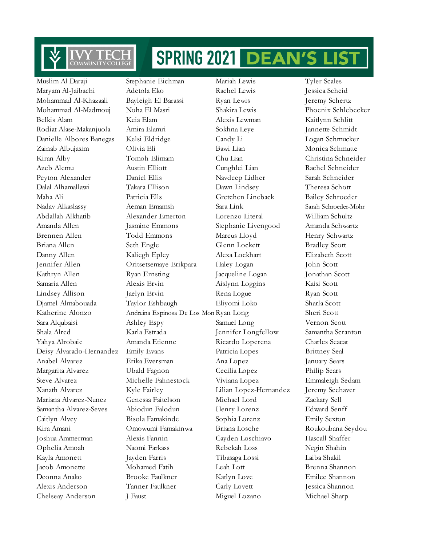

### SPRING 2021 DEAN'S LIST

Maryam Al-Jaibachi Adetola Eko Rachel Lewis Jessica Scheid Mohammad Al-Khazaali Bayleigh El Barassi Ryan Lewis Jeremy Schertz Mohammad Al-Madmouj Noha El Masri Shakira Lewis Phoenix Schlebecker Belkis Alam Keia Elam Alexis Lewman Kaitlynn Schlitt Rodiat Alase-Makanjuola Amira Elamri Sokhna Leye Jannette Schmidt Danielle Albores Banegas Kelsi Eldridge Candy Li Logan Schmucker Zainab Albujasim Olivia Eli Bawi Lian Monica Schmutte Kiran Alby Tomoh Elimam Chu Lian Christina Schneider Azeb Alemu Austin Elliott Cunghlei Lian Rachel Schneider Peyton Alexander Daniel Ellis Navdeep Lidher Sarah Schneider Dalal Alhamallawi Takara Ellison Dawn Lindsey Theresa Schott Maha Ali Patricia Ells Gretchen Lineback Bailey Schroeder Nadav Alkaslassy Aeman Emamsh Sara Link Sarah Schroeder-Mohr Abdallah Alkhatib Alexander Emerton Lorenzo Literal William Schultz Amanda Allen Jasmine Emmons Stephanie Livengood Amanda Schwartz Brennen Allen Todd Emmons Marcus Lloyd Henry Schwartz Briana Allen Seth Engle Glenn Lockett Bradley Scott Danny Allen Kaliegh Epley Alexa Lockhart Elizabeth Scott Jennifer Allen Oritsetsemaye Erikpara Haley Logan John Scott Kathryn Allen Ryan Ernsting Jacqueline Logan Jonathan Scott Samaria Allen Alexis Ervin Aislynn Loggins Kaisi Scott Lindsey Allison Jaelyn Ervin Rena Logue Ryan Scott Djamel Almabouada Taylor Eshbaugh Eliyomi Loko Sharla Scott Katherine Alonzo Andreina Espinosa De Los Mon Ryan Long Sheri Scott Sara Alqubaisi Ashley Espy Samuel Long Vernon Scott Shala Alred Karla Estrada Jennifer Longfellow Samantha Scranton Yahya Alrobaie Amanda Etienne Ricardo Loperena Charles Seacat Deisy Alvarado-Hernandez Emily Evans Patricia Lopes Brittney Seal Anabel Alvarez Erika Eversman Ana Lopez January Sears Margarita Alvarez Ubald Fagnon Cecilia Lopez Philip Sears Steve Alvarez Michelle Fahnestock Viviana Lopez Emmaleigh Sedam Xanath Alvarez Kyle Fairley Lilian Lopez-Hernandez Jeremy Seehaver Mariana Alvarez-Nunez Genessa Faitelson Michael Lord Zackary Sell Samantha Alvarez-Seves Abiodun Falodun Henry Lorenz Edward Senff Caitlyn Alvey Bisola Famakinde Sophia Lorenz Emily Sexton Kira Amani Omowumi Famakinwa Briana Losche Roukoubana Seydou Joshua Ammerman Alexis Fannin Cayden Loschiavo Hascall Shaffer Ophelia Amoah Naomi Farkass Rebekah Loss Negin Shahin Kayla Amonett Jayden Farris Tibasaga Lossi Laiba Shakil Jacob Amonette Mohamed Fatih Leah Lott Brenna Shannon Deonna Anako Brooke Faulkner Katlyn Love Emilee Shannon Alexis Anderson Tanner Faulkner Carly Lovett Jessica Shannon Chelseay Anderson J Faust Miguel Lozano Michael Sharp

Muslim Al Daraji Stephanie Eichman Mariah Lewis Tyler Scales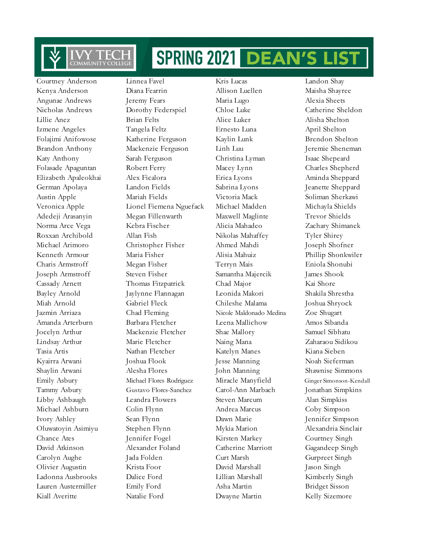

### SPRING 2021 DEAN'S LIST

Courtney Anderson Linnea Favel Kris Lucas Landon Shay

Kenya Anderson Diana Fearrin Allison Luellen Maisha Shayree Angunae Andrews Jeremy Fears Maria Lugo Alexia Sheets Nicholas Andrews Dorothy Federspiel Chloe Luke Catherine Sheldon Lillie Anez Brian Felts Alice Luker Alisha Shelton Izmene Angeles Tangela Feltz Ernesto Luna April Shelton Folajimi Anifowose Katherine Ferguson Kaylin Lunk Brendon Shelton Brandon Anthony Mackenzie Ferguson Linh Luu Jeremie Sheneman Katy Anthony Sarah Ferguson Christina Lyman Isaac Shepeard Folasade Apaguntan Robert Ferry Macey Lynn Charles Shepherd Elizabeth Apaleokhai Alex Ficalora Erica Lyons Aminda Sheppard German Apolaya Landon Fields Sabrina Lyons Jeanette Sheppard Austin Apple Mariah Fields Victoria Mack Soliman Sherkawi Veronica Apple Lionel Fiemena Nguefack Michael Madden Michayla Shields Adedeji Arasanyin Megan Fillenwarth Maxwell Maglinte Trevor Shields Norma Arce Vega Kebra Fischer Alicia Mahadeo Zachary Shimanek Roxxan Archibold Allan Fish Nikolas Mahaffey Tyler Shirey Michael Arimoro Christopher Fisher Ahmed Mahdi Joseph Shofner Kenneth Armour Maria Fisher Alisia Mahuiz Phillip Shonkwiler Charis Armstroff Megan Fisher Terryn Mais Eniola Shonubi Joseph Armstroff Steven Fisher Samantha Majercik James Shook Cassady Arnett Thomas Fitzpatrick Chad Major Kai Shore Bayley Arnold Jaylynne Flannagan Leonida Makori Shakila Shrestha Miah Arnold Gabriel Fleck Chileshe Malama Joshua Shryock Jazmin Arriaza Chad Fleming Nicole Maldonado Medina Zoe Shugart Amanda Arterburn Barbara Fletcher Leena Mallichow Amos Sibanda Jocelyn Arthur Mackenzie Fletcher Shae Mallory Samuel Sibhatu Lindsay Arthur Marie Fletcher Naing Mana Zaharaou Sidikou Tasia Artis Nathan Fletcher Katelyn Manes Kiana Sieben Kyairra Arwani Joshua Flook Jesse Manning Noah Sieferman Shaylin Arwani Alesha Flores John Manning Shawnise Simmons Emily Asbury Michael Flores Rodriguez Miracle Manyfield Ginger Simonson-Kendall Tammy Asbury Gustavo Flores-Sanchez Carol-Ann Marbach Jonathan Simpkins Libby Ashbaugh Leandra Flowers Steven Marcum Alan Simpkiss Michael Ashburn Colin Flynn Andrea Marcus Coby Simpson Ivory Ashley Sean Flynn Dawn Marie Jennifer Simpson Oluwatoyin Asimiyu Stephen Flynn Mykia Marion Alexandria Sinclair Chance Ates Jennifer Fogel Kirsten Markey Courtney Singh David Atkinson Alexander Foland Catherine Marriott Gagandeep Singh Carolyn Aughe Jada Folden Curt Marsh Gurpreet Singh Olivier Augustin Krista Foor David Marshall Jason Singh Ladonna Ausbrooks Dalice Ford Lillian Marshall Kimberly Singh Lauren Austermiller Emily Ford Asha Martin Bridget Sisson Kiall Averitte Natalie Ford Dwayne Martin Kelly Sizemore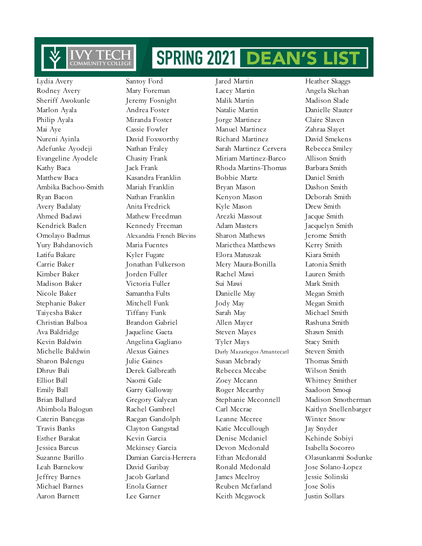

Lydia Avery Santoy Ford Jared Martin Heather Skaggs

Aaron Barnett Lee Garner Keith Mcgavock Justin Sollars

Rodney Avery Mary Foreman Lacey Martin Angela Skehan Sheriff Awokunle Jeremy Fosnight Malik Martin Madison Slade Marlon Ayala Andrea Foster Natalie Martin Danielle Slauter Philip Ayala Miranda Foster Jorge Martinez Claire Slaven Mai Aye Cassie Fowler Manuel Martinez Zahraa Slayet Nureni Ayinla David Foxworthy Richard Martinez David Smekens Adefunke Ayodeji Nathan Fraley Sarah Martinez Cervera Rebecca Smiley Evangeline Ayodele Chasity Frank Miriam Martinez-Barco Allison Smith Kathy Baca Jack Frank Rhoda Martins-Thomas Barbara Smith Matthew Baca Kasandra Franklin Bobbie Martz Daniel Smith Ambika Bachoo-Smith Mariah Franklin Bryan Mason Dashon Smith Ryan Bacon Nathan Franklin Kenyon Mason Deborah Smith Avery Badalaty **Anita Fredrick** Kyle Mason **Drew Smith** Ahmed Badawi Mathew Freedman Arezki Massout Jacque Smith Kendrick Baden Kennedy Freeman Adam Masters Jacquelyn Smith Omolayo Badmus Alexandria French Blevins Sharon Mathews Jerome Smith Yury Bahdanovich Maria Fuentes Mariethea Matthews Kerry Smith Latifu Bakare Kyler Fugate Elora Matuszak Kiara Smith Carrie Baker Jonathan Fulkerson Mery Maura-Bonilla Latonia Smith Kimber Baker Jorden Fuller Rachel Mawi Lauren Smith Madison Baker Victoria Fuller Sui Mawi Mark Smith Nicole Baker Samantha Fults Danielle May Megan Smith Stephanie Baker Mitchell Funk Jody May Megan Smith Taiyesha Baker Tiffany Funk Sarah May Michael Smith Christian Balboa Brandon Gabriel Allen Mayer Rashuna Smith Ava Baldridge Jaqueline Gaeta Steven Mayes Shawn Smith Kevin Baldwin Angelina Gagliano Tyler Mays Stacy Smith Michelle Baldwin Alexus Gaines Darly Mazariegos Amantecatl Steven Smith Sharon Balengu Julie Gaines Susan Mcbrady Thomas Smith Dhruv Bali Derek Galbreath Rebecca Mccabe Wilson Smith Elliot Ball Naomi Gale Zoey Mccann Whitney Smither Emily Ball Garry Galloway Roger Mccarthy Saadoon Smoqi Brian Ballard Gregory Galyean Stephanie Mcconnell Madison Smotherman Abimbola Balogun Rachel Gambrel Carl Mccrae Kaitlyn Snellenbarger Caterin Banegas Raegan Gandolph Leanne Mccree Winter Snow Travis Banks Clayton Gangstad Katie Mccullough Jay Snyder Esther Barakat Kevin Garcia Denise Mcdaniel Kehinde Sobiyi Jessica Barcus Mckinsey Garcia Devon Mcdonald Isabella Socorro Suzanne Barillo Damian Garcia-Herrera Ethan Mcdonald Olasunkanmi Sodunke Leah Barnekow David Garibay Ronald Mcdonald Jose Solano-Lopez Jeffrey Barnes Jacob Garland James Mcelroy Jessie Solinski Michael Barnes Enola Garner Reuben Mcfarland Jose Solis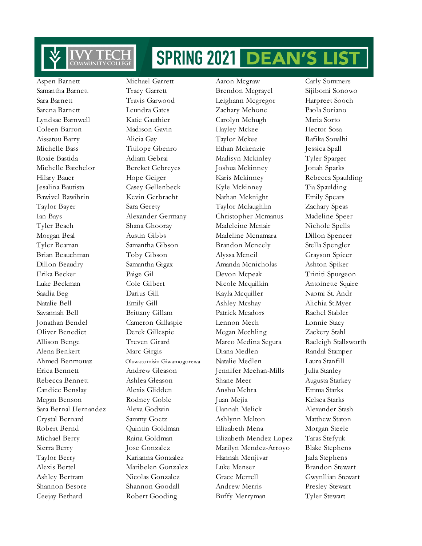

# Aspen Barnett Michael Garrett Aaron Mcgraw Carly Sommers

### Samantha Barnett Tracy Garrett Brendon Mcgrayel Sijibomi Sonowo Sara Barnett Travis Garwood Leighann Mcgregor Harpreet Sooch Sarena Barnett Leundra Gates Zachary Mchone Paola Soriano Lyndsae Barnwell Katie Gauthier Carolyn Mchugh Maria Sorto Coleen Barron Madison Gavin Hayley Mckee Hector Sosa Aissatou Barry Alicia Gay Taylor Mckee Rafika Soualhi Michelle Bass Titilope Gbenro Ethan Mckenzie Jessica Spall Roxie Bastida Adiam Gebrai Madisyn Mckinley Tyler Sparger Michelle Batchelor Bereket Gebreyes Joshua Mckinney Jonah Sparks Hilary Bauer Hope Geiger Karis Mckinney Rebecca Spaulding Jesalina Bautista Casey Gellenbeck Kyle Mckinney Tia Spaulding Bawivel Bawihrin Kevin Gerbracht Nathan Mcknight Emily Spears Taylor Bayer Sara Gerety Taylor Mclaughlin Zachary Speas Ian Bays Alexander Germany Christopher Mcmanus Madeline Speer Tyler Beach Shana Ghooray Madeleine Mcnair Nichole Spells Morgan Beal Austin Gibbs Madeline Mcnamara Dillon Spencer Tyler Beaman Samantha Gibson Brandon Mcneely Stella Spengler Brian Beauchman Toby Gibson Alyssa Mcneil Grayson Spicer Dillon Beaudry Samantha Gigax Amanda Mcnicholas Ashton Spiker Erika Becker Paige Gil Devon Mcpeak Triniti Spurgeon Luke Beckman Cole Gilbert Nicole Mcquilkin Antoinette Squire Saadia Beg Darius Gill Kayla Mcquiller Naomi St. Andr Natalie Bell Emily Gill Ashley Mcshay Alichia St.Myer Savannah Bell Brittany Gillam Patrick Meadors Rachel Stabler Jonathan Bendel Cameron Gillaspie Lennon Mech Lonnie Stacy Oliver Benedict Derek Gillespie Megan Mechling Zackery Stahl Allison Benge Treven Girard Marco Medina Segura Raeleigh Stallsworth Alena Benkert Marc Girgis Diana Medlen Randal Stamper Ahmed Benmouaz Oluwatomisin Giwamogorewa Natalie Medlen Laura Stanfill Erica Bennett Andrew Gleason Jennifer Meehan-Mills Julia Stanley Rebecca Bennett Ashlea Gleason Shane Meer Augusta Starkey Candice Benslay Alexis Glidden Anshu Mehra Emma Starks Megan Benson Rodney Goble Juan Mejia Kelsea Starks Sara Bernal Hernandez Alexa Godwin Hannah Melick Alexander Stash Crystal Bernard Sammy Goetz Ashlynn Melton Matthew Staton Robert Bernd Quintin Goldman Elizabeth Mena Morgan Steele Michael Berry Raina Goldman Elizabeth Mendez Lopez Taras Stefyuk Sierra Berry Jose Gonzalez Marilyn Mendez-Arroyo Blake Stephens Taylor Berry Karianna Gonzalez Hannah Menjivar Jada Stephens Alexis Bertel Maribelen Gonzalez Luke Menser Brandon Stewart Ashley Bertram Nicolas Gonzalez Grace Merrell Gwynllian Stewart

Shannon Besore Shannon Goodall Andrew Merris Presley Stewart Ceejay Bethard Robert Gooding Buffy Merryman Tyler Stewart

SPRING 2021 DEAN'S LIST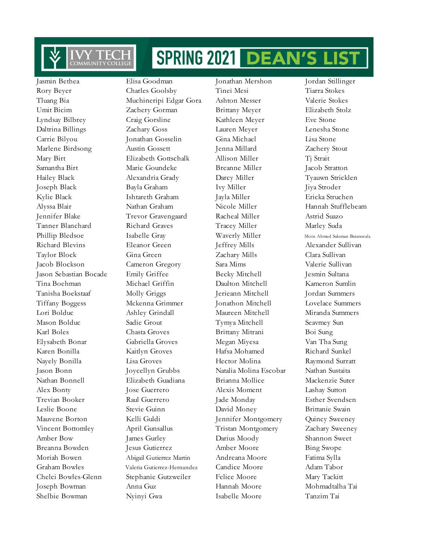

Shelbie Bowman Nyinyi Gwa Isabelle Moore Tanzim Tai

Jasmin Bethea Elisa Goodman Jonathan Mershon Jordan Stillinger Rory Beyer Charles Goolsby Tinei Mesi Tiarra Stokes Tluang Bia Muchineripi Edgar Gora Ashton Messer Valerie Stokes Umit Bicim Zachery Gorman Brittany Meyer Elizabeth Stolz Lyndsay Bilbrey Craig Gorsline Kathleen Meyer Eve Stone Daltrina Billings Zachary Goss Lauren Meyer Lenesha Stone Carrie Bilyou Jonathan Gosselin Gina Michael Lisa Stone Marlene Birdsong Austin Gossett Jenna Millard Zachery Stout Mary Birt Elizabeth Gottschalk Allison Miller Tj Strait Samantha Birt Marie Goundeke Breanne Miller Jacob Stratton Hailey Black Alexandria Grady Darcy Miller Tyauwn Stricklen Joseph Black Bayla Graham Ivy Miller Jiya Stroder Kylie Black Ishtareth Graham Jayla Miller Ericka Struchen Alyssa Blair Nathan Graham Nicole Miller Hannah Stufflebeam Jennifer Blake Trevor Gravengaard Racheal Miller Astrid Suazo Tanner Blanchard Richard Graves Tracey Miller Marley Suda Phillip Bledsoe Isabelle Gray Waverly Miller Moin Ahmed Suleman Batatawala Richard Blevins Eleanor Green Jeffrey Mills Alexander Sullivan Taylor Block Gina Green Zachary Mills Clara Sullivan Jacob Blockson Cameron Gregory Sara Mims Valerie Sullivan Jason Sebastian Bocade Emily Griffee Becky Mitchell Jesmin Sultana Tina Boehman Michael Griffin Daulton Mitchell Kameron Sumlin Tanisha Boekstaaf Molly Griggs Jerieann Mitchell Jordan Summers Tiffany Boggess Mckenna Grimmer Jonathon Mitchell Lovelace Summers Lori Bolduc Ashley Grindall Maureen Mitchell Miranda Summers Mason Bolduc Sadie Grout Tymya Mitchell Seavmey Sun Karl Boles Chasta Groves Brittany Mitrani Boi Sung Elysabeth Bonar Gabriella Groves Megan Miyesa Van Tha Sung Karen Bonilla Kaitlyn Groves Hafsa Mohamed Richard Sunkel Nayely Bonilla Lisa Groves Hector Molina Raymond Surratt Jason Bonn Joycellyn Grubbs Natalia Molina Escobar Nathan Sustaita Nathan Bonnell Elizabeth Guadiana Brianna Mollice Mackenzie Suter Alex Bonty Jose Guerrero Alexis Moment Lashay Sutton Trevian Booker Raul Guerrero Jade Monday Esther Svendsen Leslie Boone Stevie Guinn David Money Brittanie Swain Mauvene Borton Kelli Guldi Jennifer Montgomery Quincy Sweeney Vincent Bottomley April Gunsallus Tristan Montgomery Zachary Sweeney Amber Bow James Gurley Darius Moody Shannon Sweet Breanna Bowden Jesus Gutierrez Amber Moore Bing Swope Moriah Bowen Abigail Gutierrez Martin Andreana Moore Fatima Sylla Graham Bowles Valeria Gutierrez-Hernandez Candice Moore Adam Tabor Chelci Bowles-Glenn Stephanie Gutzweiler Felice Moore Mary Tackitt Joseph Bowman Anna Guz Hannah Moore Mohmadtalha Tai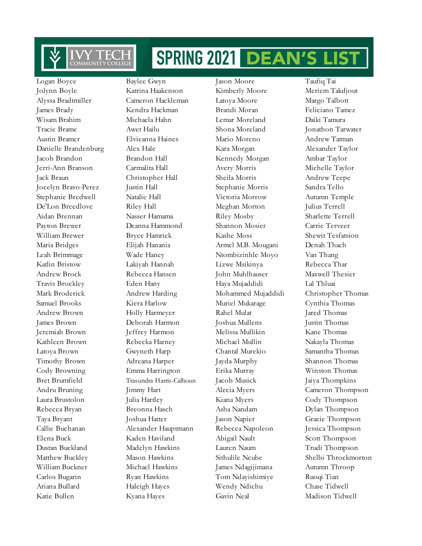

Katie Bullen Kyana Hayes Gavin Neal Madison Tidwell

Logan Boyce Baylee Gwyn Jason Moore Taufiq Tai Jolynn Boyle Katrina Haakenson Kimberly Moore Meriem Takdjout Alyssa Bradtmiller Cameron Hackleman Latoya Moore Margo Talbott James Brady Kendra Hackman Brandi Moran Feliciano Tamez Wisam Brahim Michaela Hahn Lemar Moreland Daiki Tamura Tracie Brame Awet Hailu Shona Moreland Jonathon Tarwater Austin Bramer Elvieanna Haines Mario Moreno Andrew Tatman Danielle Brandenburg Alex Hale Kara Morgan Alexander Taylor Jacob Brandon Brandon Hall Kennedy Morgan Ambar Taylor Jerri-Ann Branson Carmalita Hall Avery Morris Michelle Taylor Jack Braun Christopher Hall Sheila Morris Andrew Teepe Jocelyn Bravo-Perez Justin Hall Stephanie Morris Sandra Tello Stephanie Bredwell Natalie Hall Victoria Morrow Autumn Temple De'Lon Breedlove Riley Hall Meghan Morton Julius Terrell Aidan Brennan Nasser Hamama Riley Mosby Sharlette Terrell Payton Brewer Deanna Hammond Shannon Mosier Carrie Terveer William Brewer Bryce Hamrick Kashe Moss Shewit Tesfatsion Maria Bridges Elijah Hanania Armel M.B. Mougani Denah Thach Leah Brimmage Wade Haney Ntombizinhle Moyo Van Thang Katlin Bristow Lakiyah Hannah Lizwe Msikinya Rebecca Thar Andrew Brock Rebecca Hansen John Muhlhauser Maxwell Thesier Travis Brockley Eden Hany Haya Mujaddidi Lal Thluai Mark Broderick Andrew Harding Mohammed Mujaddidi Christopher Thomas Samuel Brooks Kiera Harlow Muriel Mukarage Cynthia Thomas Andrew Brown Holly Harmeyer Rahel Mulat Jared Thomas James Brown Deborah Harmon Joshua Mullens Justin Thomas Jeremiah Brown Jeffrey Harmon Melissa Mullikin Kane Thomas Kathleen Brown Rebecka Harney Michael Mullin Nakayla Thomas Latoya Brown Gwyneth Harp Chantal Murekio Samantha Thomas Timothy Brown Adreana Harper Jayda Murphy Shannon Thomas Cody Browning Emma Harrington Erika Murray Winston Thomas Bret Brumfield Trasundra Harris-Calhoun Jacob Musick Jaiya Thompkins Andru Bruning Jimmy Hart Alecia Myers Cameron Thompson Laura Brustolon Julia Hartley Kiana Myers Cody Thompson Rebecca Bryan Breonna Hasch Asha Nandam Dylan Thompson Taya Bryant Joshua Hatter Jason Napier Gracie Thompson Callie Buchanan Alexander Hauptmann Rebecca Napoleon Jessica Thompson Elena Buck Kaden Haviland Abigail Nault Scott Thompson Dustan Buckland Madelyn Hawkins Lauren Naum Trudi Thompson Matthew Buckley Mason Hawkins Sithulile Ncube Shelbi Throckmorton William Buckner Michael Hawkins James Ndagijimana Autumn Throop Carlos Bugarin Ryan Hawkins Tom Ndayishimiye Ruoqi Tian Ariana Bullard Haleigh Hayes Wendy Ndichu Chase Tidwell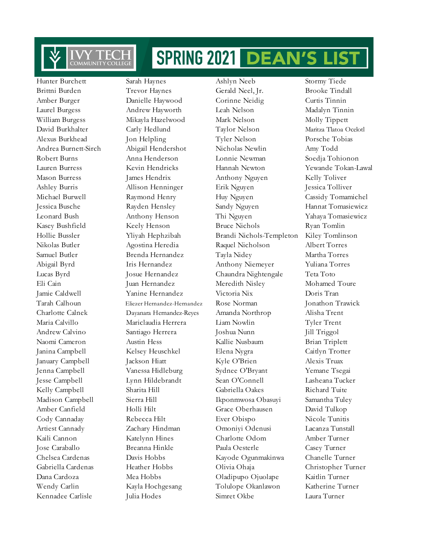

Hunter Burchett Sarah Haynes Ashlyn Neeb Stormy Tiede Brittni Burden Trevor Haynes Gerald Neel, Jr. Brooke Tindall Amber Burger Danielle Haywood Corinne Neidig Curtis Tinnin Laurel Burgess Andrew Hayworth Leah Nelson Madalyn Tinnin William Burgess Mikayla Hazelwood Mark Nelson Molly Tippett David Burkhalter Carly Hedlund Taylor Nelson Maritza Tlatoa Ocelotl Alexus Burkhead Jon Helpling Tyler Nelson Porsche Tobias Andrea Burnett-Sirch Abigail Hendershot Nicholas Newlin Amy Todd Robert Burns Anna Henderson Lonnie Newman Soedja Tohionon Lauren Burress Kevin Hendricks Hannah Newton Yewande Tokan-Lawal Mason Burress James Hendrix Anthony Nguyen Kelly Toliver Ashley Burris Allison Henninger Erik Nguyen Jessica Tolliver Michael Burwell Raymond Henry Huy Nguyen Cassidy Tomamichel Jessica Busche Rayden Hensley Sandy Nguyen Hannat Tomasiewicz Leonard Bush Anthony Henson Thi Nguyen Yahaya Tomasiewicz Kasey Bushfield Keely Henson Bruce Nichols Ryan Tomlin Hollie Bussler Yliyah Hephzibah Brandi Nichols-Templeton Kiley Tomlinson Nikolas Butler Agostina Heredia Raquel Nicholson Albert Torres Samuel Butler Brenda Hernandez Tayla Nidey Martha Torres Abigail Byrd Iris Hernandez Anthony Niemeyer Yuliana Torres Lucas Byrd Josue Hernandez Chaundra Nightengale Teta Toto Eli Cain Juan Hernandez Meredith Nisley Mohamed Toure Jamie Caldwell Yanine Hernandez Victoria Nix Doris Tran Tarah Calhoun Eliezer Hernandez-Hernandez Rose Norman Jonathon Trawick Charlotte Calnek Dayanara Hernandez-Reyes Amanda Northrop Alisha Trent Maria Calvillo Mariclaudia Herrera Liam Nowlin Tyler Trent Andrew Calvino Santiago Herrera Joshua Nunn Jill Triggol Naomi Cameron Austin Hess Kallie Nusbaum Brian Triplett Janina Campbell Kelsey Heuschkel Elena Nygra Caitlyn Trotter January Campbell Jackson Hiatt Kyle O'Brien Alexis Truax Jenna Campbell Vanessa Hidleburg Sydnee O'Bryant Yemane Tsegai Jesse Campbell Lynn Hildebrandt Sean O'Connell Lasheana Tucker Kelly Campbell Sharita Hill Gabriella Oakes Richard Tuite Madison Campbell Sierra Hill Ikponmwosa Obasuyi Samantha Tuley Amber Canfield Holli Hilt Grace Oberhausen David Tulkop Cody Cannaday Rebecca Hilt Ever Obispo Nicole Tunitis Artiest Cannady Zachary Hindman Omoniyi Odenusi Lacanza Tunstall Kaili Cannon Katelynn Hines Charlotte Odom Amber Turner Jose Caraballo Breanna Hinkle Paula Oesterle Casey Turner Chelsea Cardenas Davis Hobbs Kayode Ogunmakinwa Chanelle Turner Gabriella Cardenas Heather Hobbs Olivia Ohaja Christopher Turner Dana Cardoza Mea Hobbs Oladipupo Ojuolape Kaitlin Turner Wendy Carlin Kayla Hochgesang Tolulope Okanlawon Katherine Turner Kennadee Carlisle Julia Hodes Simret Okbe Laura Turner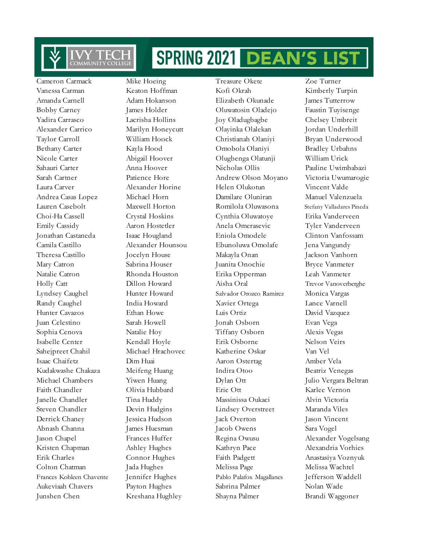

Junshen Chen Kreshana Hughley Shayna Palmer Brandi Waggoner

Cameron Carmack Mike Hoeing Treasure Okete Zoe Turner Vanessa Carman Keaton Hoffman Kofi Okrah Kimberly Turpin Amanda Carnell Adam Hokanson Elizabeth Okunade James Tutterrow Bobby Carney James Holder Oluwatosin Oladejo Faustin Tuyisenge Yadira Carrasco Lacrisha Hollins Joy Oladugbagbe Chelsey Umbreit Alexander Carrico Marilyn Honeycutt Olayinka Olalekan Jordan Underhill Taylor Carroll William Hoock Christianah Olaniyi Bryan Underwood Bethany Carter Kayla Hood Omobola Olaniyi Bradley Urbahns Nicole Carter Abigail Hoover Olugbenga Olatunji William Urick Sahauri Carter Anna Hoover Nicholas Ollis Pauline Uwimbabazi Sarah Cartner Patience Hore Andrew Olson Moyano Victoria Uwumarogie Laura Carver Alexander Horine Helen Olukotun Vincent Valde Andrea Casas Lopez Michael Horn Damilare Oluniran Manuel Valenzuela Lauren Casebolt Maxwell Horton Romilola Oluwasona Stefany Valladares Pineda Choi-Ha Cassell Crystal Hoskins Cynthia Oluwatoye Erika Vanderveen Emily Cassidy Aaron Hostetler Anela Omerasevic Tyler Vanderveen Jonathan Castaneda Isaac Hougland Eniola Omodele Clinton Vanfossam Camila Castillo Alexander Hounsou Ebunoluwa Omolafe Jena Vangundy Theresa Castillo Jocelyn House Makayla Onan Jackson Vanhorn Mary Catron Sabrina Houser Juanita Onochie Bryce Vanmeter Natalie Catron Rhonda Houston Erika Opperman Leah Vanmeter Holly Catt Dillon Howard Aisha Oral Trevor Vanoverberghe Lyndsey Caughel Hunter Howard Salvador Orozco Ramirez Monica Vargas Randy Caughel India Howard Xavier Ortega Lance Varnell Hunter Cavazos Ethan Howe Luis Ortiz David Vazquez Juan Celestino Sarah Howell Jonah Osborn Evan Vega Sophia Cenova Natalie Hoy Tiffany Osborn Alexis Vegas Isabelle Center Kendall Hoyle Erik Osborne Nelson Veirs Sahejpreet Chahil Michael Hrachovec Katherine Oskar Van Vel Isaac Chaifetz Dim Huai Aaron Ostertag Amber Vela Kudakwashe Chakaza Meifeng Huang Indira Otoo Beatriz Venegas Michael Chambers Yiwen Huang Dylan Ott Julio Vergara Beltran Faith Chandler Olivia Hubbard Eric Ott Karlee Vernon Janelle Chandler Tina Huddy Massinissa Oukaci Alvin Victoria Steven Chandler Devin Hudgins Lindsey Overstreet Maranda Viles Derrick Chaney Jessica Hudson Jack Overton Jason Vincent Abnash Channa James Huesman Jacob Owens Sara Vogel Jason Chapel Frances Huffer Regina Owusu Alexander Vogelsang Kristen Chapman Ashley Hughes Kathryn Pace Alexandria Vorhies Erik Charles Connor Hughes Faith Padgett Anastasiya Voznyuk Colton Chatman Jada Hughes Melissa Page Melissa Wachtel Frances Kohleen Chavente Jennifer Hughes Pablo Palafox Magallanes Jefferson Waddell Aukeviaah Chavers Payton Hughes Sabrina Palmer Nolan Wade

SPRING 2021 DEAN'S LIST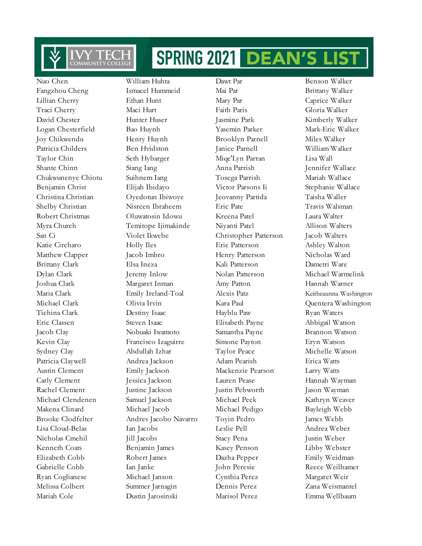

Nuo Chen William Huhta Dawt Par Benson Walker Fangzhou Cheng Ismaeel Hummeid Mai Par Brittany Walker Lillian Cherry Ethan Hunt Mary Par Caprice Walker Traci Cherry Maci Hurt Faith Paris Gloria Walker David Chester Hunter Huser Jasmine Park Kimberly Walker Logan Chesterfield Bao Huynh Yasemin Parker Mark-Eric Walker Joy Chikwendu Henry Huynh Brooklyn Parnell Miles Walker Patricia Childers Ben Hvidston Janice Parnell William Walker Taylor Chin Seth Hybarger Miqe'Lyn Parran Lisa Wall Shante Chinn Siang Iang Anna Parrish Jennifer Wallace Chukwunenye Chiotu Suihnem Iang Tosega Parrish Mariah Wallace Benjamin Christ Elijah Ibidayo Victor Parsons Ii Stephanie Wallace Christina Christian Oyedotun Ibiwoye Jeovanny Partida Taisha Waller Shelby Christian Nisreen Ibraheem Eric Pate Travis Walsman Robert Christmas Oluwatosin Idowu Kreena Patel Laura Walter Myra Church Temitope Ijimakinde Niyanti Patel Allison Walters San Ci Violet Ikwebe Christopher Patterson Jacob Walters Katie Circharo Holly Iles Eric Patterson Ashley Walton Matthew Clapper Jacob Imbro Henry Patterson Nicholas Ward Brittany Clark Elsa Ineza Kali Patterson Dametri Ware Dylan Clark Jeremy Inlow Nolan Patterson Michael Warmelink Joshua Clark Margaret Inman Amy Patton Hannah Warner Maria Clark Emily Ireland-Toal Alexis Patz Keitheaunna Washington Michael Clark Olivia Irvin Kara Paul Quentera Washington Tichina Clark Destiny Isaac Hayblu Paw Ryan Waters Eric Classen Steven Isaac Elisabeth Payne Abbigail Watson Jacob Clay Nobuaki Iwamoto Samantha Payne Brannon Watson Kevin Clay Francisco Izaguirre Simone Payton Eryn Watson Sydney Clay Abdullah Izhar Taylor Peace Michelle Watson Patricia Claywell Andrea Jackson Adam Pearish Erica Watts Austin Clement Emily Jackson Mackenzie Pearson Larry Watts Carly Clement Jessica Jackson Lauren Pease Hannah Wayman Rachel Clement Justine Jackson Justin Pebworth Jason Wayman Michael Clendenen Samuel Jackson Michael Peck Kathryn Weaver Makena Clinard Michael Jacob Michael Pedigo Bayleigh Webb Brooke Clodfelter Andres Jacobo Navarro Toyin Pedro James Webb Lisa Cloud-Belas Ian Jacobs Leslie Pell Andrea Weber Nicholas Cmehil Jill Jacobs Stacy Pena Justin Weber Kenneth Coats Benjamin James Kasey Penson Libby Webster Elizabeth Cobb Robert James Dazha Pepper Emily Weidman Gabrielle Cobb Ian Janke John Peresie Reece Weilhamer Ryan Coglianese Michael Janson Cynthia Perez Margaret Weir Melissa Colbert Summer Jarnagin Dennis Perez Zana Weismantel Mariah Cole Dustin Jarosinski Marisol Perez Emma Wellbaum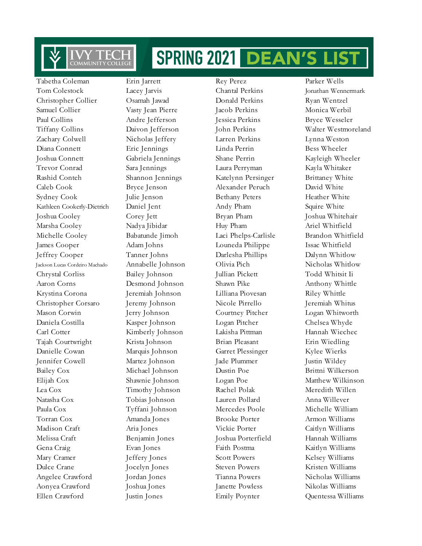

Tom Colestock Lacey Jarvis Chantal Perkins Jonathan Wennermark Christopher Collier Osamah Jawad Donald Perkins Ryan Wentzel Samuel Collier Vasty Jean Pierre Jacob Perkins Monica Werbil Paul Collins Andre Jefferson Jessica Perkins Bryce Wesseler Tiffany Collins Daivon Jefferson John Perkins Walter Westmoreland Zachary Colwell Nicholas Jeffery Larren Perkins Lynna Weston Diana Connett Eric Jennings Linda Perrin Bess Wheeler Joshua Connett Gabriela Jennings Shane Perrin Kayleigh Wheeler Trevor Conrad Sara Jennings Laura Perryman Kayla Whitaker Rashid Conteh Shannon Jennings Katelynn Persinger Brittaney White Caleb Cook Bryce Jenson Alexander Peruch David White Sydney Cook Julie Jenson Bethany Peters Heather White Kathleen Cookerly-Dietrich Daniel Jent Andy Pham Squire White Joshua Cooley Corey Jett Bryan Pham Joshua Whitehair Marsha Cooley Nadya Jibidar Huy Pham Ariel Whitfield Michelle Cooley Babatunde Jimoh Laci Phelps-Carlisle Brandon Whitfield James Cooper Adam Johns Louneda Philippe Issac Whitfield Jeffrey Cooper Tanner Johns Darlesha Phillips Dalynn Whitlow Jackson Lucas Cordeiro Machado Annabelle Johnson Olivia Pich Nicholas Whitlow Chrystal Corliss Bailey Johnson Jullian Pickett Todd Whitsit Ii Aaron Corns Desmond Johnson Shawn Pike Anthony Whittle Krystina Corona Jeremiah Johnson Lilliana Piovesan Riley Whittle Christopher Corsaro Jeremy Johnson Nicole Pirrello Jeremiah Whitus Mason Corwin Jerry Johnson Courtney Pitcher Logan Whitworth Daniela Costilla Kasper Johnson Logan Pitcher Chelsea Whyde Carl Cotter Kimberly Johnson Lakisha Pittman Hannah Wiechec Tajah Courtwright Krista Johnson Brian Pleasant Erin Wiedling Danielle Cowan Marquis Johnson Garret Plessinger Kylee Wierks Jennifer Cowell Martez Johnson Jade Plummer Justin Wildey Bailey Cox Michael Johnson Dustin Poe Brittni Wilkerson Elijah Cox Shawnie Johnson Logan Poe Matthew Wilkinson Lea Cox Timothy Johnson Rachel Polak Meredith Willen Natasha Cox Tobias Johnson Lauren Pollard Anna Willever Paula Cox Tyffani Johnson Mercedes Poole Michelle William Torran Cox Amanda Jones Brooke Porter Armon Williams Madison Craft Aria Jones Vickie Porter Caitlyn Williams Melissa Craft Benjamin Jones Joshua Porterfield Hannah Williams Gena Craig Evan Jones Faith Postma Kaitlyn Williams Mary Cramer Teffery Jones Scott Powers Kelsey Williams Dulce Crane Jocelyn Jones Steven Powers Kristen Williams Angelee Crawford Jordan Jones Tianna Powers Nicholas Williams Aonyea Crawford Joshua Jones Janette Powless Nikolas Williams Ellen Crawford Justin Jones Emily Poynter Quentessa Williams

Tabetha Coleman Erin Jarrett Rey Perez Parker Wells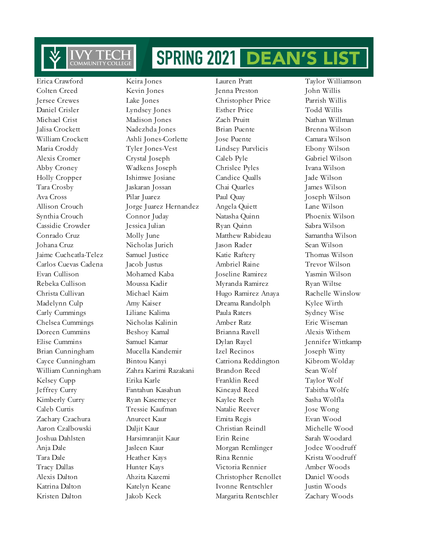

Erica Crawford Keira Jones Lauren Pratt Taylor Williamson Colten Creed Kevin Jones Jenna Preston John Willis

Jersee Crewes Lake Jones Christopher Price Parrish Willis Daniel Crisler Lyndsey Jones Esther Price Todd Willis Michael Crist Madison Jones Zach Pruitt Nathan Willman Jalisa Crockett Nadezhda Jones Brian Puente Brenna Wilson William Crockett Ashli Jones-Corlette Jose Puente Camara Wilson Maria Croddy Tyler Jones-Vest Lindsey Purvlicis Ebony Wilson Alexis Cromer Crystal Joseph Caleb Pyle Gabriel Wilson Abby Croney Wadkens Joseph Chrislee Pyles Ivana Wilson Holly Cropper Ishimwe Josiane Candice Qualls Jade Wilson Tara Crosby Jaskaran Jossan Chai Quarles James Wilson Ava Cross Pilar Juarez Paul Quay Joseph Wilson Allison Crouch Jorge Juarez Hernandez Angela Quiett Lane Wilson Synthia Crouch Connor Juday Natasha Quinn Phoenix Wilson Cassidie Crowder Jessica Julian Ryan Quinn Sabra Wilson Conrado Cruz Molly June Matthew Rabideau Samantha Wilson Johana Cruz Nicholas Jurich Jason Rader Sean Wilson Jaime Cuchcatla-Telez Samuel Justice Katie Raftery Thomas Wilson Carlos Cuevas Cadena Jacob Justus Ambriel Raine Trevor Wilson Evan Cullison Mohamed Kaba Joseline Ramirez Yasmin Wilson Rebeka Cullison Moussa Kadir Myranda Ramirez Ryan Wiltse Christa Cullivan Michael Kaim Hugo Ramirez Anaya Rachelle Winslow Madelynn Culp Amy Kaiser Dreama Randolph Kylee Wirth Carly Cummings Liliane Kalima Paula Raters Sydney Wise Chelsea Cummings Nicholas Kalinin Amber Ratz Eric Wiseman Doreen Cummins Beshoy Kamal Brianna Ravell Alexis Withem Elise Cummins Samuel Kamar Dylan Rayel Jennifer Wittkamp Brian Cunningham Mucella Kandemir Izel Recinos Joseph Witty Cayce Cunningham Bintou Kanyi Catriona Reddington Kibrom Wolday William Cunningham Zahra Karimi Razakani Brandon Reed Sean Wolf Kelsey Cupp Erika Karle Franklin Reed Taylor Wolf Jeffrey Curry Fantahun Kasahun Kincayd Reed Tabitha Wolfe Kimberly Curry **Ryan Kasemeyer** Kaylee Reeh Sasha Wolfla Caleb Curtis Tressie Kaufman Natalie Reever Jose Wong Zachary Czachura Anureet Kaur Emita Regis Evan Wood Aaron Czalbowski Daljit Kaur Christian Reindl Michelle Wood Joshua Dahlsten Harsimranjit Kaur Erin Reine Sarah Woodard Anja Dale Jasleen Kaur Morgan Remlinger Jodee Woodruff Tara Dale Heather Kays Rina Rennie Krista Woodruff Tracy Dallas Hunter Kays Victoria Rennier Amber Woods Alexis Dalton Ahzita Kazemi Christopher Renollet Daniel Woods Katrina Dalton Katelyn Keane Ivonne Rentschler Justin Woods Kristen Dalton Jakob Keck Margarita Rentschler Zachary Woods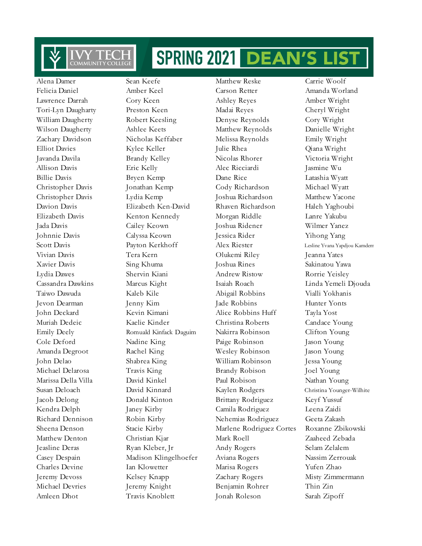

Alena Damer Sean Keefe Matthew Reske Carrie Woolf

Felicia Daniel Amber Keel Carson Retter Amanda Worland Lawrence Darrah Cory Keen Ashley Reyes Amber Wright Tori-Lyn Daugharty Preston Keen Madai Reyes Cheryl Wright William Daugherty Robert Keesling Denyse Reynolds Cory Wright Wilson Daugherty Ashlee Keets Matthew Reynolds Danielle Wright Zachary Davidson Nicholas Keffaber Melissa Reynolds Emily Wright Elliot Davies Kylee Keller Julie Rhea Qiana Wright Javanda Davila Brandy Kelley Nicolas Rhorer Victoria Wright Allison Davis Eric Kelly Alec Ricciardi Jasmine Wu Billie Davis **Bryen Kemp** Dane Rice Latashia Wyatt Christopher Davis Jonathan Kemp Cody Richardson Michael Wyatt Christopher Davis Lydia Kemp Joshua Richardson Matthew Yacone Davion Davis Elizabeth Ken-David Rhaven Richardson Haleh Yaghoubi Elizabeth Davis Kenton Kennedy Morgan Riddle Lanre Yakubu Jada Davis Cailey Keown Joshua Ridener Wilmer Yanez Johnnie Davis Calyssa Keown Jessica Rider Yihong Yang Scott Davis Payton Kerkhoff Alex Riester Lesline Yvana Yapdjou Kamdem Vivian Davis Tera Kern Olukemi Riley Jeanna Yates Xavier Davis Sing Khuma Joshua Rines Sakinatou Yawa Lydia Dawes Shervin Kiani Andrew Ristow Rorrie Yeisley Cassandra Dawkins Marcus Kight Isaiah Roach Linda Yemeli Djouda Taiwo Dawuda Kaleb Kile Abigail Robbins Vialli Yokhanis Jevon Dearman Jenny Kim Jade Robbins Hunter Yonts John Deckard Kevin Kimani Alice Robbins Huff Tayla Yost Muriah Dedeic Kaelie Kinder Christina Roberts Candace Young Emily Deely Romuald Kinfack Daguim Nakirra Robinson Clifton Young Cole Deford Nadine King Paige Robinson Jason Young Amanda Degroot Rachel King Wesley Robinson Jason Young John Delao Shabrea King William Robinson Jessa Young Michael Delarosa Travis King Brandy Robison Joel Young Marissa Della Villa David Kinkel Paul Robison Nathan Young Susan Deloach David Kinnard Kaylen Rodgers Christina Younger-Wilhite Jacob Delong Donald Kinton Brittany Rodriguez Keyf Yussuf Kendra Delph Janey Kirby Camila Rodriguez Leena Zaidi Richard Dennison Robin Kirby Nehemias Rodriguez Geeta Zakash Sheena Denson Stacie Kirby Marlene Rodriguez Cortes Roxanne Zbikowski Matthew Denton Christian Kjar Mark Roell Zaaheed Zebada Jeasline Deras Ryan Kleber, Jr Andy Rogers Selam Zelalem Casey Despain Madison Klingelhoefer Aviana Rogers Nassim Zerrouak Charles Devine Ian Klowetter Marisa Rogers Yufen Zhao Jeremy Devoss Kelsey Knapp Zachary Rogers Misty Zimmermann Michael Devries Jeremy Knight Benjamin Rohrer Thin Zin Amleen Dhot Travis Knoblett Jonah Roleson Sarah Zipoff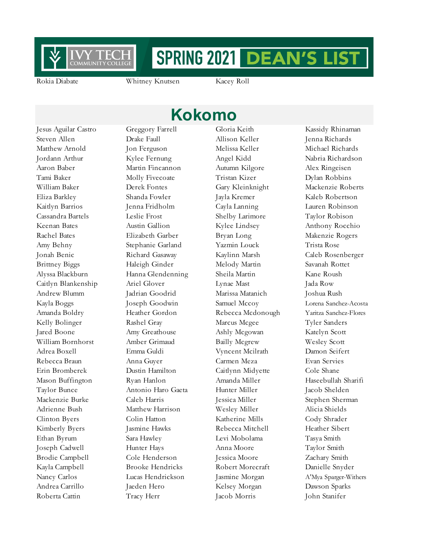

Rokia Diabate Whitney Knutsen Kacey Roll

### **Kokomo**

Jesus Aguilar Castro Greggory Farrell Gloria Keith Kassidy Rhinaman Steven Allen Drake Faull Allison Keller Jenna Richards Matthew Arnold Jon Ferguson Melissa Keller Michael Richards Jordann Arthur Kylee Fernung Angel Kidd Nabria Richardson Aaron Baber Martin Fincannon Autumn Kilgore Alex Ringeisen Tami Baker Molly Fivecoate Tristan Kizer Dylan Robbins William Baker Derek Fontes Gary Kleinknight Mackenzie Roberts Eliza Barkley Shanda Fowler Jayla Kremer Kaleb Robertson Kaitlyn Barrios Jenna Fridholm Cayla Lanning Lauren Robinson Cassandra Bartels Leslie Frost Shelby Larimore Taylor Robison Keenan Bates Austin Gallion Kylee Lindsey Anthony Rocchio Rachel Bates Elizabeth Garber Bryan Long Makenzie Rogers Amy Behny Stephanie Garland Yazmin Louck Trista Rose Jonah Benic Richard Gasaway Kaylinn Marsh Caleb Rosenberger Brittney Biggs Haleigh Ginder Melody Martin Savanah Rottet Alyssa Blackburn Hanna Glendenning Sheila Martin Kane Roush Caitlyn Blankenship Ariel Glover Lynae Mast Jada Row Andrew Blumm Jadrian Goodrid Marissa Matanich Joshua Rush Kelly Bolinger **Rashel Gray** Marcus Mcgee Tyler Sanders Jared Boone Amy Greathouse Ashly Mcgowan Katelyn Scott William Bornhorst Amber Grimaud Bailly Mcgrew Wesley Scott Adrea Boxell Emma Guldi Vyncent Mcilrath Damon Seifert Rebecca Braun Anna Guyer Carmen Meza Evan Servies Erin Bromberek Dustin Hamilton Caitlynn Midyette Cole Shane Mason Buffington Ryan Hanlon Amanda Miller Haseebullah Sharifi Taylor Bunce Antonio Haro Gaeta Hunter Miller Jacob Shelden Mackenzie Burke Caleb Harris Jessica Miller Stephen Sherman Adrienne Bush Matthew Harrison Wesley Miller Alicia Shields Clinton Byers Colin Hatton Katherine Mills Cody Shrader Kimberly Byers Jasmine Hawks Rebecca Mitchell Heather Sibert Ethan Byrum Sara Hawley Levi Mobolama Tasya Smith Joseph Cadwell Hunter Hays Anna Moore Taylor Smith Brodie Campbell Cole Henderson Jessica Moore Zachary Smith Kayla Campbell Brooke Hendricks Robert Morecraft Danielle Snyder Andrea Carrillo Jaeden Hero Kelsey Morgan Dawson Sparks

Roberta Cattin Tracy Herr Jacob Morris John Stanifer

Kayla Boggs Joseph Goodwin Samuel Mccoy Lorena Sanchez-Acosta Amanda Boldry Heather Gordon Rebecca Mcdonough Yaritza Sanchez-Flores Nancy Carlos Lucas Hendrickson Jasmine Morgan A'Mya Sparger-Withers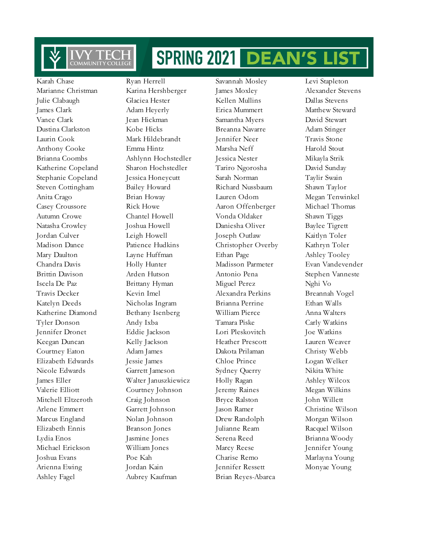

### Y TECH

### SPRING 2021 DEAN'S LIST

Marianne Christman Karina Hershberger James Moxley Alexander Stevens Julie Clabaugh Glaciea Hester Kellen Mullins Dallas Stevens James Clark Adam Heyerly Erica Mummert Matthew Steward Vance Clark Jean Hickman Samantha Myers David Stewart Dustina Clarkston Kobe Hicks Breanna Navarre Adam Stinger Laurin Cook Mark Hildebrandt Jennifer Neer Travis Stone Anthony Cooke **Emma Hintz** Marsha Neff Harold Stout Brianna Coombs Ashlynn Hochstedler Jessica Nester Mikayla Strik Katherine Copeland Sharon Hochstedler Tariro Ngorosha David Sunday Stephanie Copeland Jessica Honeycutt Sarah Norman Taylir Swain Steven Cottingham Bailey Howard Richard Nussbaum Shawn Taylor Anita Crago Brian Howay Lauren Odom Megan Tenwinkel Casey Croussore Rick Howe Aaron Offenberger Michael Thomas Autumn Crowe Chantel Howell Vonda Oldaker Shawn Tiggs Natasha Crowley Joshua Howell Daniesha Oliver Baylee Tigrett Jordan Culver Leigh Howell Joseph Outlaw Kaitlyn Toler Madison Dance Patience Hudkins Christopher Overby Kathryn Toler Mary Daulton Layne Huffman Ethan Page Ashley Tooley Chandra Davis Holly Hunter Madisson Parmeter Evan Vandevender Brittin Davison Arden Hutson Antonio Pena Stephen Vanneste Iscela De Paz Brittany Hyman Miguel Perez Nghi Vo Travis Decker Kevin Imel Alexandra Perkins Breannah Vogel Katelyn Deeds Nicholas Ingram Brianna Perrine Ethan Walls Katherine Diamond Bethany Isenberg William Pierce Anna Walters Tyler Donson Andy Ixba Tamara Piske Carly Watkins Jennifer Dronet Eddie Jackson Lori Pleskovitch Joe Watkins Keegan Duncan Kelly Jackson Heather Prescott Lauren Weaver Courtney Eaton Adam James Dakota Prilaman Christy Webb Elizabeth Edwards Jessie James Chloe Prince Logan Welker Nicole Edwards Garrett Jameson Sydney Querry Nikita White James Eller Walter Januszkiewicz Holly Ragan Ashley Wilcox Valerie Elliott Courtney Johnson Jeremy Raines Megan Wilkins Mitchell Eltzeroth Craig Johnson Bryce Ralston John Willett Arlene Emmert Garrett Johnson Jason Ramer Christine Wilson Marcus England Nolan Johnson Drew Randolph Morgan Wilson Elizabeth Ennis Branson Jones Julianne Ream Racquel Wilson Lydia Enos Jasmine Jones Serena Reed Brianna Woody Michael Erickson William Jones Marcy Reese Jennifer Young Joshua Evans Poe Kah Charise Remo Marlayna Young Arienna Ewing **Jordan Kain** Jennifer Ressett Monyae Young Ashley Fagel **Aubrey Kaufman** Brian Reyes-Abarca

Karah Chase Ryan Herrell Savannah Mosley Levi Stapleton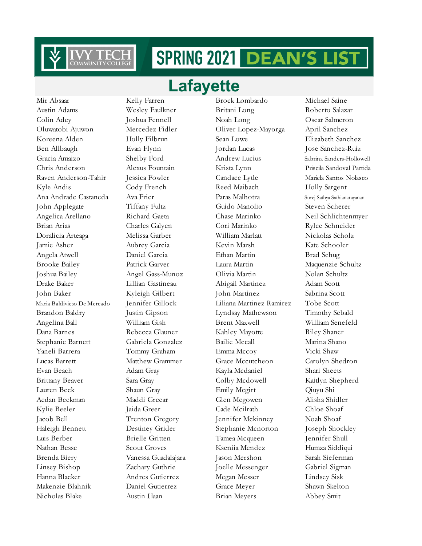

# **Lafayette**

Austin Adams Wesley Faulkner Britani Long Roberto Salazar Colin Adey Joshua Fennell Noah Long Oscar Salmeron Oluwatobi Ajuwon Mercedez Fidler Oliver Lopez-Mayorga April Sanchez Koreena Alden Holly Filbrun Sean Lowe Elizabeth Sanchez Ben Allbaugh Evan Flynn Jordan Lucas Jose Sanchez-Ruiz Gracia Amaizo Shelby Ford Andrew Lucius Sabrina Sanders-Hollowell Chris Anderson Alexus Fountain Krista Lynn Priscila Sandoval Partida Raven Anderson-Tahir Jessica Fowler Candace Lytle Mariela Santos Nolasco Kyle Andis Cody French Reed Maibach Holly Sargent Ana Andrade Castaneda Ava Frier Paras Malhotra Surej Sathya Sathianarayanan John Applegate Tiffany Fultz Guido Manolio Steven Scherer Angelica Arellano Richard Gaeta Chase Marinko Neil Schlichtenmyer Brian Arias Charles Galyen Cori Marinko Rylee Schneider Doralicia Arteaga Melissa Garber William Marlatt Nickolas Scholz Jamie Asher Aubrey Garcia Kevin Marsh Kate Schooler Angela Atwell Daniel Garcia Ethan Martin Brad Schug Brooke Bailey Patrick Garver Laura Martin Maquenzie Schultz Joshua Bailey Angel Gass-Munoz Olivia Martin Nolan Schultz Drake Baker Lillian Gastineau Abigail Martinez Adam Scott John Baker Kyleigh Gilbert John Martinez Sabrina Scott Maria Baldivieso De Mercado Jennifer Gillock Liliana Martinez Ramirez Tobe Scott Brandon Baldry Justin Gipson Lyndsay Mathewson Timothy Sebald Angelina Ball William Gish Brent Maxwell William Senefeld Dana Barnes Rebecca Glauner Kahley Mayotte Riley Shaner Stephanie Barnett Gabriela Gonzalez Bailie Mccall Marina Shano Yaneli Barrera Tommy Graham Emma Mccoy Vicki Shaw Lucas Barrett Matthew Grammer Grace Mccutcheon Carolyn Shedron Evan Beach Adam Gray Kayla Mcdaniel Shari Sheets Brittany Beaver Sara Gray Colby Mcdowell Kaitlyn Shepherd Lauren Beck Shaun Gray Emily Mcgirt Qiuyu Shi Aedan Beckman Maddi Greear Glen Mcgowen Alisha Shidler Kylie Beeler Jaida Greer Cade Mcilrath Chloe Shoaf Jacob Bell Trenton Gregory Jennifer Mckinney Noah Shoaf Haleigh Bennett Destiney Grider Stephanie Mcnorton Joseph Shockley Luis Berber Brielle Gritten Tamea Mcqueen Jennifer Shull Nathan Besse Scout Groves Kseniia Mendez Humza Siddiqui Brenda Biery Vanessa Guadalajara Jason Mershon Sarah Sieferman Linsey Bishop Zachary Guthrie Joelle Messenger Gabriel Sigman Hanna Blacker Andres Gutierrez Megan Messer Lindsey Sisk Makenzie Blahnik Daniel Gutierrez Grace Meyer Shawn Skelton Nicholas Blake Austin Haan Brian Meyers Abbey Smit

Mir Absaar Kelly Farren Brock Lombardo Michael Saine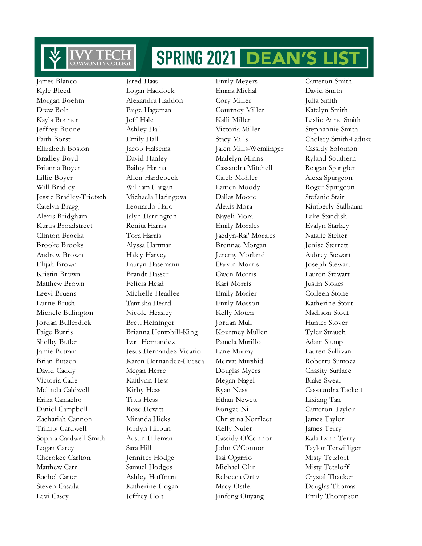

James Blanco Jared Haas Emily Meyers Cameron Smith Kyle Bleed **Logan Haddock** Emma Michal David Smith Morgan Boehm Alexandra Haddon Cory Miller Julia Smith Drew Bolt Paige Hageman Courtney Miller Katelyn Smith Kayla Bonner Jeff Hale Kalli Miller Leslie Anne Smith Jeffrey Boone Ashley Hall Victoria Miller Stephannie Smith Faith Borst Emily Hall Stacy Mills Chelsey Smith-Laduke Elizabeth Boston Jacob Halsema Jalen Mills-Wemlinger Cassidy Solomon Bradley Boyd David Hanley Madelyn Minns Ryland Southern Brianna Boyer Bailey Hanna Cassandra Mitchell Reagan Spangler Lillie Boyer Allen Hardebeck Caleb Mohler Alexa Spurgeon Will Bradley William Hargan Lauren Moody Roger Spurgeon Jessie Bradley-Trietsch Michaela Haringova Dallas Moore Stefanie Stair Catelyn Bragg Leonardo Haro Alexis Mora Kimberly Stalbaum Alexis Bridgham Jalyn Harrington Nayeli Mora Luke Standish Kurtis Broadstreet Renita Harris Emily Morales Evalyn Starkey Clinton Brocka Tora Harris Jaedyn-Rai' Morales Natalie Stelter Brooke Brooks Alyssa Hartman Brennae Morgan Jenise Sterrett Andrew Brown Haley Harvey Jeremy Morland Aubrey Stewart Elijah Brown Lauryn Hasemann Daryin Morris Joseph Stewart Kristin Brown Brandt Hasser Gwen Morris Lauren Stewart Matthew Brown Felicia Head Kari Morris Justin Stokes Leevi Bruens Michelle Headlee Emily Mosier Colleen Stone Lorne Brush Tamisha Heard Emily Mosson Katherine Stout Michele Bulington Nicole Heasley Kelly Moten Madison Stout Jordan Bullerdick Brett Heininger Jordan Mull Hunter Stover Paige Burris Brianna Hemphill-King Kourtney Mullen Tyler Strauch Shelby Butler Ivan Hernandez Pamela Murillo Adam Stump Jamie Butram Jesus Hernandez Vicario Lane Murray Lauren Sullivan Brian Butzen Karen Hernandez-Huesca Mervat Murshid Roberto Sumoza David Caddy Megan Herre Douglas Myers Chasity Surface Victoria Cade Kaitlynn Hess Megan Nagel Blake Sweat Melinda Caldwell Kirby Hess Ryan Ness Cassaundra Tackett Erika Camacho Titus Hess Ethan Newett Lixiang Tan Daniel Campbell Rose Hewitt Rongze Ni Cameron Taylor Zachariah Cannon Miranda Hicks Christina Norfleet James Taylor Trinity Cardwell Jordyn Hilbun Kelly Nufer James Terry Sophia Cardwell-Smith Austin Hileman Cassidy O'Connor Kala-Lynn Terry Logan Carey Sara Hill John O'Connor Taylor Terwilliger Cherokee Carlton Jennifer Hodge Isai Ogarrio Misty Tetzloff Matthew Carr Samuel Hodges Michael Olin Misty Tetzloff Rachel Carter Ashley Hoffman Rebecca Ortiz Crystal Thacker Steven Casada Katherine Hogan Macy Ostler Douglas Thomas

Levi Casey Jeffrey Holt Jinfeng Ouyang Emily Thompson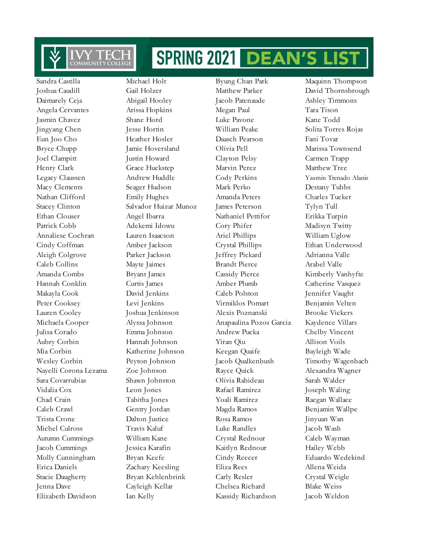

# Sandra Castilla Michael Holt Byung Chan Park Maquinn Thompson

Elizabeth Davidson Ian Kelly Kassidy Richardson Jacob Weldon

Joshua Caudill Gail Holzer Matthew Parker David Thornsbrough Daimarely Ceja Abigail Hooley Jacob Patenaude Ashley Timmons Angela Cervantes Arissa Hopkins Megan Paul Tara Tison Jasmin Chavez Shane Hord Luke Pavone Kane Todd Jingyang Chen Jesse Hortin William Peake Solita Torres Rojas Eun Joo Cho Heather Hosler Daasch Pearson Fani Tovar Bryce Chupp Jamie Hoversland Olivia Pell Marissa Townsend Joel Clampitt Justin Howard Clayton Pelsy Carmen Trapp Henry Clark Grace Huckstep Marvin Perez Matthew Tree Legacy Claussen Andrew Huddle Cody Perkins Yasmin Trenado Alanis Macy Clements Seager Hudson Mark Perko Destany Tubbs Nathan Clifford Emily Hughes Amanda Peters Charles Tucker Stacey Clinton Salvador Huizar Munoz James Peterson Tylyn Tull Ethan Clouser Angel Ibarra Nathaniel Pettifor Erikka Turpin Patrick Cobb Adekemi Idowu Cory Phifer Madisyn Twitty Annaliese Cochran Lauren Isaacson Ariel Phillips William Uglow Cindy Coffman Amber Jackson Crystal Phillips Ethan Underwood Aleigh Colgrove Parker Jackson Jeffrey Pickard Adrianna Valle Caleb Collins Mayte Jaimes Brandt Pierce Arabel Valle Amanda Combs Bryant James Cassidy Pierce Kimberly Vanhyfte Hannah Conklin Curtis James Amber Plumb Catherine Vasquez Makayla Cook David Jenkins Caleb Polston Jennifer Vaught Peter Cooksey Levi Jenkins Virmiklos Pomart Benjamin Velten Lauren Cooley Joshua Jenkinson Alexis Poznanski Brooke Vickers Michaela Cooper Alyssa Johnson Anapaulina Pozos Garcia Kaydence Villars Julisa Corado Emma Johnson Andrew Pucka Chelby Vincent Aubry Corbin Hannah Johnson Yiran Qiu Allison Voils Mia Corbin Katherine Johnson Keegan Quaife Bayleigh Wade Wesley Corbin Peyton Johnson Jacob Qualkenbush Timothy Wagenbach Nayelli Corona Lezama Zoe Johnson Rayce Quick Alexandra Wagner Sara Covarrubias Shawn Johnston Olivia Rabideau Sarah Walder Vidalia Cox Leon Jones Rafael Ramirez Joseph Waling Chad Crain Tabitha Jones Yoali Ramirez Raegan Wallace Caleb Crawl Gentry Jordan Magda Ramos Benjamin Wallpe Trista Crone Dalton Justice Rosa Ramos Jinyuan Wan Michel Culross Travis Kaluf Luke Randles Jacob Wash Autumn Cummings William Kane Crystal Rednour Caleb Wayman Jacob Cummings Jessica Karafin Kaitlyn Rednour Hailey Webb Molly Cunningham Bryan Keefe Cindy Reecer Eduardo Wedekind Erica Daniels Zachary Keesling Eliza Rees Allena Weida Stacie Daugherty Bryan Kehlenbrink Carly Resler Crystal Weigle Jenna Dave Cayleigh Kellar Chelsea Richard Blake Weiss

SPRING 2021 DEAN'S LIST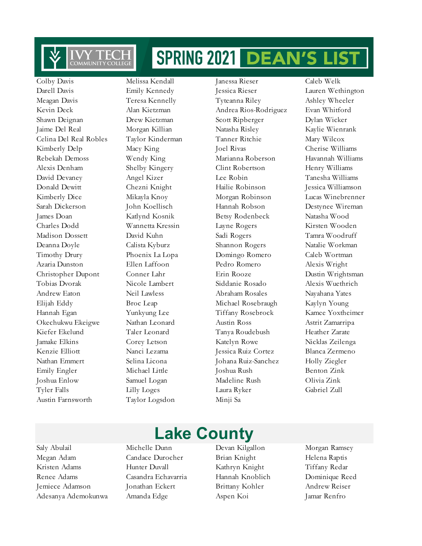

Darell Davis Emily Kennedy Jessica Rieser Lauren Wethington Meagan Davis Teresa Kennelly Tyteanna Riley Ashley Wheeler Kevin Deck Alan Kietzman Andrea Rios-Rodriguez Evan Whitford Shawn Deignan Drew Kietzman Scott Ripberger Dylan Wicker Jaime Del Real Morgan Killian Natasha Risley Kaylie Wienrank Celina Del Real Robles Taylor Kinderman Tanner Ritchie Mary Wilcox Kimberly Delp Macy King Joel Rivas Cherise Williams Rebekah Demoss Wendy King Marianna Roberson Havannah Williams Alexis Denham Shelby Kingery Clint Robertson Henry Williams David Devaney Angel Kizer Lee Robin Tanesha Williams Donald Dewitt Chezni Knight Hailie Robinson Jessica Williamson Kimberly Dice Mikayla Knoy Morgan Robinson Lucas Winebrenner Sarah Dickerson John Koellisch Hannah Robson Destynee Wireman James Doan Katlynd Kosnik Betsy Rodenbeck Natasha Wood Charles Dodd Wannetta Kressin Layne Rogers Kirsten Wooden Madison Dossett David Kuhn Sadi Rogers Tamra Woodruff Deanna Doyle Calista Kyburz Shannon Rogers Natalie Workman Timothy Drury Phoenix La Lopa Domingo Romero Caleb Wortman Azaria Dunston Ellen Laffoon Pedro Romero Alexis Wright Christopher Dupont Conner Lahr Erin Rooze Dustin Wrightsman Tobias Dvorak Nicole Lambert Siddanie Rosado Alexis Wuethrich Andrew Eaton Neil Lawless Abraham Rosales Nayahana Yates Elijah Eddy Broc Leap Michael Rosebraugh Kaylyn Young Hannah Egan Yunkyung Lee Tiffany Rosebrock Kamee Yoxtheimer Okechukwu Ekeigwe Nathan Leonard Austin Ross Astrit Zamarripa Kiefer Ekelund Taler Leonard Tanya Roudebush Heather Zarate Jamake Elkins Corey Letson Katelyn Rowe Nicklas Zeilenga Kenzie Elliott Nanci Lezama Jessica Ruiz Cortez Blanca Zermeno Nathan Emmert Selina Licona Johana Ruiz-Sanchez Holly Ziegler Emily Engler Michael Little Joshua Rush Benton Zink Joshua Enlow Samuel Logan Madeline Rush Olivia Zink Tyler Falls Lilly Loges Laura Ryker Gabriel Zull Austin Farnsworth Taylor Logsdon Minji Sa

Colby Davis Melissa Kendall Janessa Rieser Caleb Welk

Megan Adam Candace Durocher Brian Knight Helena Raptis Kristen Adams Hunter Duvall Kathryn Knight Tiffany Redar Renee Adams Casandra Echavarria Hannah Knoblich Dominique Reed Jemiece Adamson Jonathan Eckert Brittany Kohler Andrew Reiser Adesanya Ademokunwa Amanda Edge Aspen Koi Jamar Renfro

Saly Abulail Michelle Dunn Devan Kilgallon Morgan Ramsey

**Lake County**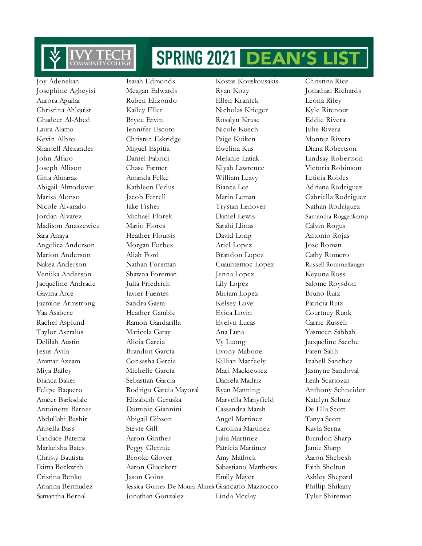

Samantha Bernal Jonathan Gonzalez Linda Mcclay Tyler Shireman

Joy Adenekan Isaiah Edmonds Kostas Kouskousakis Christina Rice Josephine Agheyisi Meagan Edwards Ryan Kozy Jonathan Richards Aurora Aguilar Ruben Elizondo Ellen Kranick Leona Riley Christina Ahlquist Kailey Eller Nicholas Krieger Kyle Ritenour Ghadeer Al-Abed Bryce Ervin Rosalyn Kruse Eddie Rivera Laura Alamo Jennifer Escoto Nicole Kuech Julie Rivera Kevin Albro Christen Eskridge Paige Kuiken Montez Rivera Shantell Alexander Miguel Espitia Ewelina Kus Diana Robertson John Alfaro Daniel Fabrici Melanie Latiak Lindsay Robertson Joseph Allison Chase Farmer Kiyah Lawrence Victoria Robinson Gina Almaraz Amanda Felke William Leavy Leticia Robles Abigail Almodovar Kathleen Ferlus Bianca Lee Adriana Rodriguez Marisa Alonso Jacob Ferrell Marin Leman Gabriella Rodriguez Nicole Alvarado Jake Fisher Trystan Lenover Nathan Rodriguez Jordan Alvarez Michael Florek Daniel Lewis Samantha Roggenkamp Madison Anaszewicz Mario Flores Sarahi Llinas Calvin Rogus Sara Anaya Heather Floutsis David Long Antonio Rojas Angelica Anderson Morgan Forbes Ariel Lopez Jose Roman Marion Anderson Aliah Ford Brandon Lopez Cathy Romero Nakea Anderson Nathan Foreman Cuauhtemoc Lopez Russell Rommelfanger Veniika Anderson Shawna Foreman Jenna Lopez Keyona Ross Jacqueline Andrade Julia Friedrich Lily Lopez Salome Roysdon Gavina Arce Javier Fuentes Miriam Lopez Bruno Ruiz Jazmine Armstrong Sandra Gaeta Kelsey Love Patricia Ruiz Yaa Asabere Heather Gamble Evica Lovin Courtney Runk Rachel Asplund Ramon Gandarilla Evelyn Lucas Carrie Russell Taylor Asztalos Maricela Garay Ana Luna Yasmeen Sabbah Delilah Austin Alicia Garcia Vy Luong Jacqueline Sacche Jesus Avila Brandon Garcia Evony Mabone Faten Salih Ammar Azzam Consasha Garcia Killian Macfeely Izabell Sanchez Miya Bailey Michelle Garcia Maci Mackiewicz Jasmyne Sandoval Bianca Baker Sebastian Garcia Daniela Madriz Leah Scartozzi Felipe Baquero Rodrigo Garcia Mayoral Ryan Manning Anthony Schneider Ameer Barksdale Elizabeth Geruska Marvella Manyfield Katelyn Schutz Antoinette Barner Dominic Giannini Cassandra Marsh De Ella Scott Abdullahi Bashir Abigail Gibson Angel Martinez Tanya Scott Arisella Bass Stevie Gill Carolina Martinez Kayla Serna Candace Batema Aaron Ginther Julia Martinez Brandon Sharp Markeisha Bates Peggy Glennie Patricia Martinez Jamie Sharp Christy Bautista Brooke Glover Amy Matlock Aaron Shebesh Ikima Beckwith Aaron Glueckert Sabastiano Matthews Faith Shelton Cristina Benko Jason Goins Emily Mayer Ashley Shepard Arianna Bermudez Jessica Gomes De Moura Almei Giancarlo Mazzocco Phillip Shikany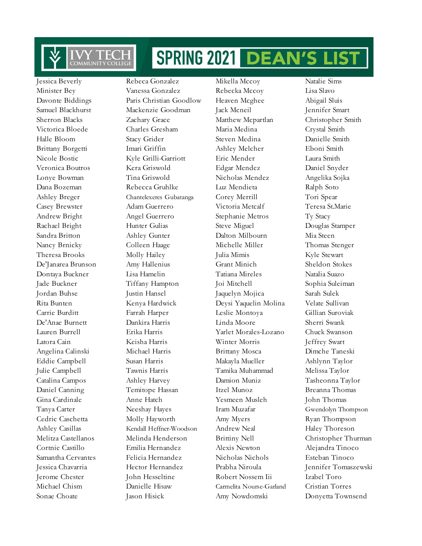

# SPRING 2021 DEAN'S LIST

Jessica Beverly Rebeca Gonzalez Mikella Mccoy Natalie Sims Minister Bey Vanessa Gonzalez Rebecka Mccoy Lisa Slavo Davonte Biddings Paris Christian Goodlow Heaven Mcghee Abigail Sluis Samuel Blackhurst Mackenzie Goodman Jack Mcneil Jennifer Smart Sherron Blacks Zachary Grace Matthew Mcpartlan Christopher Smith Victorica Bloede Charles Gresham Maria Medina Crystal Smith Halle Bloom Stacy Grider Steven Medina Danielle Smith Brittany Borgetti Imari Griffin Ashley Melcher Eboni Smith Nicole Bostic Kyle Grilli-Garriott Eric Mender Laura Smith Veronica Boutros Kera Griswold Edgar Mendez Daniel Snyder Lonye Bowman Tina Griswold Nicholas Mendez Angelika Sojka Dana Bozeman Rebecca Gruhlke Luz Mendieta Ralph Soto Ashley Breger Chantelexeres Gubatanga Corey Merrill Tori Spear Casey Brewster Adam Guerrero Victoria Metcalf Teresa St.Marie Andrew Bright Angel Guerrero Stephanie Metros Ty Stacy Rachael Bright Hunter Gulias Steve Miguel Douglas Stamper Sandra Britton Ashley Gunter Dalton Milbourn Mia Steen Nancy Brnicky Colleen Haage Michelle Miller Thomas Stenger Theresa Brooks Molly Hailey Julia Mimis Kyle Stewart De'Janarea Brunson Amy Hallenius Grant Minich Sheldon Stokes Dontaya Buckner Lisa Hamelin Tatiana Mireles Natalia Suazo Jade Buckner Tiffany Hampton Joi Mitchell Sophia Suleiman Jordan Buhse Justin Hansel Jaquelyn Mojica Sarah Sulek Rita Bunten Kenya Hardwick Deysi Yaquelin Molina Velate Sullivan Carrie Burditt Farrah Harper Leslie Montoya Gillian Suroviak De'Anae Burnett Dankira Harris Linda Moore Sherri Swank Lauren Burrell Erika Harris Yarlet Morales-Lozano Chuck Swanson Latora Cain Keisha Harris Winter Morris Jeffrey Swart Angelina Calinski Michael Harris Brittany Mosca Dimche Taneski Eddie Campbell Susan Harris Makayla Mueller Ashlynn Taylor Julie Campbell Tawnis Harris Tamika Muhammad Melissa Taylor Catalina Campos Ashley Harvey Damion Muniz Tasheonna Taylor Daniel Canning Temitope Hassan Itzel Munoz Breanna Thomas Gina Cardinale Anne Hatch Yesmeen Musleh John Thomas Tanya Carter Neeshay Hayes Iram Muzafar Gwendolyn Thompson Cedric Caschetta Molly Hayworth Amy Myers Ryan Thompson Ashley Casillas Kendall Heffner-Woodson Andrew Neal Haley Thoreson Melitza Castellanos Melinda Henderson Brittiny Nell Christopher Thurman Cortnie Castillo Emilia Hernandez Alexis Newton Alejandra Tinoco Samantha Cervantes Felicia Hernandez Nicholas Nichols Esteban Tinoco Jessica Chavarria Hector Hernandez Prabha Niroula Jennifer Tomaszewski Jerome Chester John Hesseltine Robert Nossem Iii Izabel Toro Michael Chism Danielle Hisaw Carmelita Nourse-Garland Cristian Torres Sonae Choate Jason Hisick Amy Nowdomski Donyetta Townsend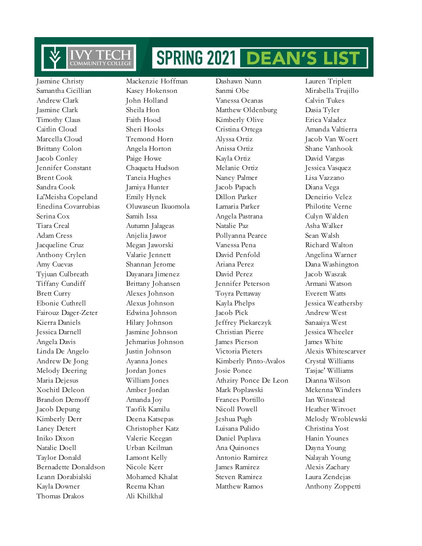

Samantha Cicillian Kasey Hokenson Sanmi Obe Mirabella Trujillo Andrew Clark John Holland Vanessa Ocanas Calvin Tukes Jasmine Clark Sheila Hon Matthew Oldenburg Dasia Tyler Timothy Claus Faith Hood Kimberly Olive Erica Valadez Caitlin Cloud Sheri Hooks Cristina Ortega Amanda Valtierra Marcella Cloud Tremond Horn Alyssa Ortiz Jacob Van Woert Brittany Colon Angela Horton Anissa Ortiz Shane Vanhook Jacob Conley Paige Howe Kayla Ortiz David Vargas Jennifer Constant Chaqueta Hudson Melanie Ortiz Jessica Vasquez Brent Cook Taneia Hughes Nancy Palmer Lisa Vazzano Sandra Cook Jamiya Hunter Jacob Papach Diana Vega La'Meisha Copeland Emily Hynek Dillon Parker Deneirio Velez Enedina Covarrubias Oluwaseun Ikuomola Lamaria Parker Philotite Verne Serina Cox Samih Issa Angela Pastrana Culyn Walden Tiara Creal Autumn Jalageas Natalie Paz Asha Walker Adam Cress Anjelia Jawor Pollyanna Pearce Sean Walsh Jacqueline Cruz Megan Jaworski Vanessa Pena Richard Walton Anthony Crylen Valarie Jennett David Penfold Angelina Warner Amy Cuevas Shannan Jerome Ariana Perez Dana Washington Tyjuan Culbreath Dayanara Jimenez David Perez Jacob Waszak Tiffany Cundiff Brittany Johansen Jennifer Peterson Armani Watson Brett Curry Alexes Johnson Toyra Pettaway Everett Watts Ebonie Cuthrell Alexus Johnson Kayla Phelps Jessica Weathersby Fairouz Dager-Zeter Edwina Johnson Jacob Pick Andrew West Kierra Daniels Hilary Johnson Jeffrey Piekarczyk Sanaaiya West Jessica Darnell Jasmine Johnson Christian Pierre Jessica Wheeler Angela Davis Jehmarius Johnson James Pierson James White Linda De Angelo Justin Johnson Victoria Pieters Alexis Whitescarver Andrew De Jong Ayanna Jones Kimberly Pinto-Avalos Crystal Williams Melody Deering Jordan Jones Josie Ponce Tasjae' Williams Maria Dejesus William Jones Athziry Ponce De Leon Dianna Wilson Xochitl Deleon Amber Jordan Mark Poplawski Mckenna Winders Brandon Demoff Amanda Joy Frances Portillo Ian Winstead Jacob Depung Taofik Kamilu Nicoll Powell Heather Witvoet Kimberly Derr Deena Katsepas Jeshua Pugh Melody Wroblewski Laney Detert Christopher Katz Luisana Pulido Christina Yost Iniko Dixon Valerie Keegan Daniel Puplava Hanin Younes Natalie Doell Urban Keilman Ana Quinones Dayna Young Taylor Donald Lamont Kelly Antonio Ramirez Nalayah Young Bernadette Donaldson Nicole Kerr James Ramirez Alexis Zachary Leann Dorabialski Mohamed Khalat Steven Ramirez Laura Zendejas Kayla Downer Reema Khan Matthew Ramos Anthony Zoppetti Thomas Drakos Ali Khilkhal

Jasmine Christy Mackenzie Hoffman Dashawn Nunn Lauren Triplett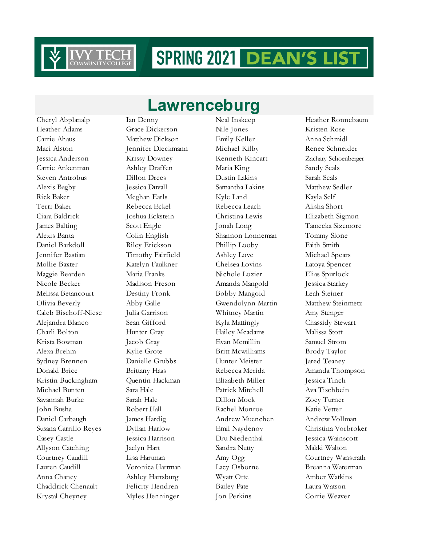# **Lawrenceburg**

Cheryl Abplanalp Ian Denny Neal Inskeep Heather Ronnebaum Heather Adams Grace Dickerson Nile Jones Kristen Rose Carrie Ahaus Matthew Dickson Emily Keller Anna Schmidl Maci Alston Jennifer Dieckmann Michael Kilby Renee Schneider Jessica Anderson Krissy Downey Kenneth Kincart Zachary Schoenberger Carrie Ankenman Ashley Draffen Maria King Sandy Seals Steven Antrobus Dillon Drees Dustin Lakins Sarah Seals Alexis Bagby Jessica Duvall Samantha Lakins Matthew Sedler Rick Baker Meghan Earls Kyle Land Kayla Self Terri Baker Rebecca Eckel Rebecca Leach Alisha Short Ciara Baldrick Joshua Eckstein Christina Lewis Elizabeth Sigmon James Balting Scott Engle Jonah Long Tameeka Sizemore Alexis Banta Colin English Shannon Lonneman Tommy Slone Daniel Barkdoll Riley Erickson Phillip Looby Faith Smith Jennifer Bastian Timothy Fairfield Ashley Love Michael Spears Mollie Baxter Katelyn Faulkner Chelsea Lovins Latoya Spencer Maggie Bearden Maria Franks Nichole Lozier Elias Spurlock Nicole Becker Madison Freson Amanda Mangold Jessica Starkey Melissa Betancourt Destiny Fronk Bobby Mangold Leah Steiner Olivia Beverly Abby Galle Gwendolynn Martin Matthew Steinmetz Caleb Bischoff-Niese Julia Garrison Whitney Martin Amy Stenger Alejandra Blanco Sean Gifford Kyla Mattingly Chassidy Stewart Charli Bolton Hunter Gray Hailey Mcadams Malissa Stott Krista Bowman Jacob Gray Evan Mcmillin Samuel Strom Alexa Brehm Kylie Grote Britt Mcwilliams Brody Taylor Sydney Brennen Danielle Grubbs Hunter Meister Jared Teaney Donald Brice Brittany Haas Rebecca Merida Amanda Thompson Kristin Buckingham Quentin Hackman Elizabeth Miller Jessica Tinch Michael Bunten Sara Hale Patrick Mitchell Ava Tischbein Savannah Burke Sarah Hale Dillon Mock Zoey Turner John Busha Robert Hall Rachel Monroe Katie Vetter Daniel Carbaugh James Hardig Andrew Muenchen Andrew Vollman Susana Carrillo Reyes Dyllan Harlow Emil Naydenov Christina Vorbroker Casey Castle Jessica Harrison Dru Niedenthal Jessica Wainscott Allyson Catching Jaclyn Hart Sandra Nutty Makki Walton Courtney Caudill Lisa Hartman Amy Ogg Courtney Wanstrath Lauren Caudill Veronica Hartman Lacy Osborne Breanna Waterman Anna Chaney Ashley Hartsburg Wyatt Otte Amber Watkins Chaddrick Chenault Felicity Hendren Bailey Pate Laura Watson

Krystal Cheyney Myles Henninger Jon Perkins Corrie Weaver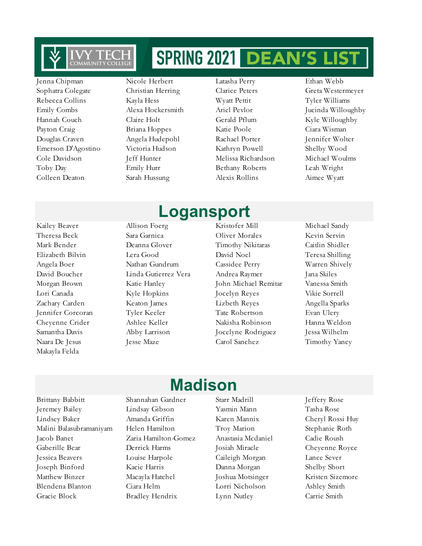

Sophatra Colegate Christian Herring Clarice Peters Greta Westermeyer Rebecca Collins Kayla Hess Wyatt Pettit Tyler Williams Emily Combs Alexa Hockersmith Ariel Pevlor Jucinda Willoughby Hannah Couch Claire Holt Gerald Pflum Kyle Willoughby Payton Craig Briana Hoppes Katie Poole Ciara Wisman Douglas Craven Angela Hudepohl Rachael Porter Jennifer Wolter Emerson D'Agostino Victoria Hudson Kathryn Powell Shelby Wood Cole Davidson Jeff Hunter Melissa Richardson Michael Woulms Toby Day **Emily Hurr** Bethany Roberts Leah Wright Colleen Deaton Sarah Hussung Alexis Rollins Aimee Wyatt

# Jenna Chipman Nicole Herbert Latasha Perry Ethan Webb

SPRING 2021 DEAN'S LIST

Makayla Felda

Kailey Beaver Allison Foerg Kristofer Mill Michael Sandy Theresa Beck Sara Garnica Oliver Morales Kevin Servin Mark Bender Deanna Glover Timothy Nikitaras Caitlin Shidler Elizabeth Bilvin Lera Good David Noel Teresa Shilling Angela Boer Nathan Gundrum Cassidee Perry Warren Shively David Boucher Linda Gutierrez Vera Andrea Raymer Jana Skiles Morgan Brown Katie Hanley John Michael Remitar Vanessa Smith Lori Canada Kyle Hopkins Jocelyn Reyes Vikie Sorrell Zachary Carden Keaton James Lizbeth Reyes Angella Sparks Jennifer Corcoran Tyler Keeler Tate Robertson Evan Ulery Cheyenne Crider Ashlee Keller Nakisha Robinson Hanna Weldon Samantha Davis Abby Larrison Jocelyne Rodriguez Jessa Wilhelm Naara De Jesus Jesse Maze Carol Sanchez Timothy Yancy

# **Madison**

**Logansport**

Brittany Babbitt Shannahan Gardner Starr Madrill Jeffery Rose Jeremey Bailey Lindsay Gibson Yasmin Mann Tasha Rose Lindsey Baker Amanda Griffin Karen Mannix Cheryl Rossi Huy Malini Balasubramaniyam Helen Hamilton Troy Marion Stephanie Roth Jacob Banet Zaria Hamilton-Gomez Anastasia Mcdaniel Cadie Roush Gaberille Bear Derrick Harms Josiah Miracle Cheyenne Royce Jessica Beavers Louise Harpole Caileigh Morgan Lance Sever Joseph Binford Kacie Harris Danna Morgan Shelby Short Matthew Binzer Macayla Hatchel Joshua Motsinger Kristen Sizemore Blendena Blanton Ciara Helm Lorri Nicholson Ashley Smith Gracie Block Bradley Hendrix Lynn Nutley Carrie Smith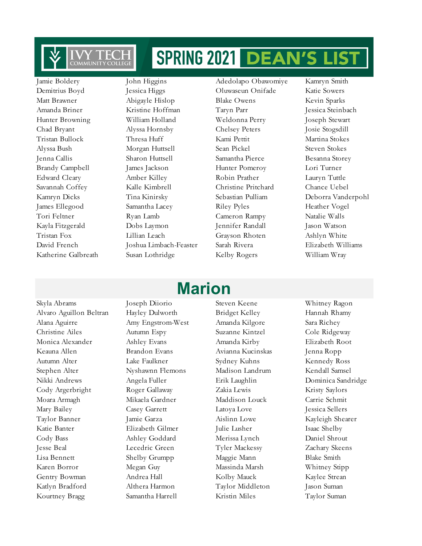

# SPRING 2021 DEAN'S LIST Jamie Boldery John Higgins Adedolapo Obawomiye Kamryn Smith

Demitrius Boyd Jessica Higgs Oluwaseun Onifade Katie Sowers Matt Brawner Abigayle Hislop Blake Owens Kevin Sparks Amanda Briner Kristine Hoffman Taryn Parr Jessica Steinbach Hunter Browning William Holland Weldonna Perry Joseph Stewart Chad Bryant Alyssa Hornsby Chelsey Peters Josie Stogsdill Tristan Bullock Thresa Huff Kami Pettit Martina Stokes Alyssa Bush Morgan Huttsell Sean Pickel Steven Stokes Jenna Callis Sharon Huttsell Samantha Pierce Besanna Storey Brandy Campbell James Jackson Hunter Pomeroy Lori Turner Edward Cleary Amber Killey Robin Prather Lauryn Tuttle Savannah Coffey Kalle Kimbrell Christine Pritchard Chance Uebel Kamryn Dicks Tina Kinirsky Sebastian Pulliam Deborra Vanderpohl James Ellegood Samantha Lacey Riley Pyles Heather Vogel Tori Feltner Ryan Lamb Cameron Rampy Natalie Walls Kayla Fitzgerald Dobs Laymon Jennifer Randall Jason Watson Tristan Fox Lillian Leach Grayson Rhoten Ashlyn White David French Joshua Limbach-Feaster Sarah Rivera Elizabeth Williams

Katherine Galbreath Susan Lothridge Kelby Rogers William Wray

# **Marion**

Skyla Abrams Joseph Diiorio Steven Keene Whitney Ragon Alvaro Aguillon Beltran Hayley Dulworth Bridget Kelley Hannah Rhamy Alana Aguirre Amy Engstrom-West Amanda Kilgore Sara Richey Christine Ailes Autumn Espy Suzanne Kintzel Cole Ridgeway Monica Alexander Ashley Evans Amanda Kirby Elizabeth Root Keauna Allen Brandon Evans Avianna Kucinskas Jenna Ropp Autumn Alter Lake Faulkner Sydney Kuhns Kennedy Ross Stephen Alter Nyshawnn Flemons Madison Landrum Kendall Samsel Nikki Andrews Angela Fuller Erik Laughlin Dominica Sandridge Cody Argerbright Roger Gallaway Zakia Lewis Kristy Saylors Moara Armagh Mikaela Gardner Maddison Louck Carrie Schmit Mary Bailey Casey Garrett Latoya Love Jessica Sellers Taylor Banner Jamie Garza Aislinn Lowe Kayleigh Shearer Katie Banter Elizabeth Gilmer Julie Lusher Isaac Shelby Cody Bass Ashley Goddard Merissa Lynch Daniel Shrout Jesse Beal Lecedric Green Tyler Mackessy Zachary Skeens Lisa Bennett Shelby Grumpp Maggie Mann Blake Smith Karen Borror Megan Guy Massinda Marsh Whitney Stipp Gentry Bowman Andrea Hall Kolby Mauck Kaylee Strean Katlyn Bradford Althera Harmon Taylor Middleton Jason Suman Kourtney Bragg Samantha Harrell Kristin Miles Taylor Suman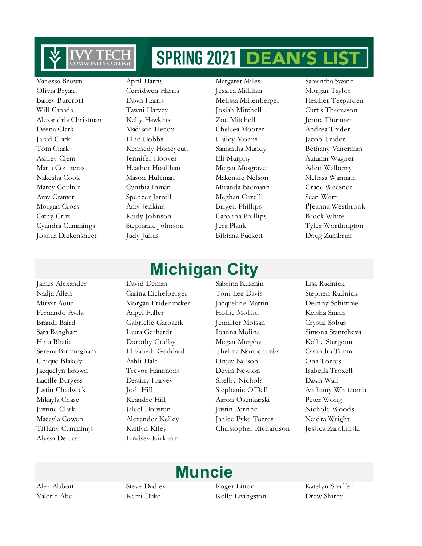

Vanessa Brown April Harris Margaret Miles Samantha Swann Olivia Bryant Cerridwen Harris Jessica Millikan Morgan Taylor Bailey Burcroff Dawn Harris Melissa Miltenberger Heather Teegarden Will Canada Tawni Harvey Josiah Mitchell Curtis Thomason Alexandria Christman Kelly Hawkins Zoe Mitchell Jenna Thurman Deena Clark Madison Hecox Chelsea Moorer Andrea Trader Jared Clark Ellie Hobbs Hailey Morris Jacob Trader Tom Clark Kennedy Honeycutt Samantha Mundy Bethany Vanerman Ashley Clem Jennifer Hoover Eli Murphy Autumn Wagner Maria Contreras Heather Houlihan Megan Musgrave Aden Walberry Nakesha Cook Mason Huffman Makenzie Nelson Melissa Warmath Marcy Coulter Cynthia Inman Miranda Niemann Grace Weesner Amy Cramer Spencer Jarrell Meghan Orrell Sean Wert Morgan Cross Amy Jenkins Brigett Phillips I'Jeanna Westbrook Cathy Cruz Kody Johnson Carolina Phillips Brock White Cyandra Cummings Stephanie Johnson Jera Plank Tyler Worthington Joshua Dickensheet Judy Julius Bibiana Puckett Doug Zumbrun

SPRING 2021 DEAN'S LIST

# **Michigan City**

Alyssa Deluca Lindsey Kirkham

James Alexander David Deman Sabrina Kuzmin Lisa Rudnick Nadja Allen Carina Eichelberger Toni Lee-Davis Stephen Rudnick Mirvat Aoun Morgan Fridenmaker Jacqueline Martin Destiny Schimmel Fernando Avila Angel Fuller Hollie Moffitt Keisha Smith Brandi Baird Gabrielle Garbacik Jennifer Moisan Crystal Sobus Sara Banghart Laura Gerhardt Ioanna Molina Simona Stantcheva Hina Bhatia Dorothy Godby Megan Murphy Kellie Sturgeon Serena Birmingham Elizabeth Goddard Thelma Namuchimba Casandra Timm Unique Blakely Ashli Hale Onjay Nelson Ona Torres Jacquelyn Brown Trevor Hammons Devin Newton Isabella Troxell Lucille Burgess Destiny Harvey Shelby Nichols Dawn Wall Justin Chadwick Jodi Hill Stephanie O'Dell Anthony Whitcomb Mikayla Chase Keandre Hill Aaron Osenkarski Peter Wong Justine Clark Jaleel Houston Justin Perrine Nichole Woods Macayla Cowen Alexander Kelley Janice Pyke Torres Neidra Wright Tiffany Cummings Kaitlyn Kiley Christopher Richardson Jessica Zarobinski

# **Muncie**

Alex Abbott Steve Dudley Roger Litton Katelyn Shaffer Valerie Abel Kerri Duke Kelly Livingston Drew Shirey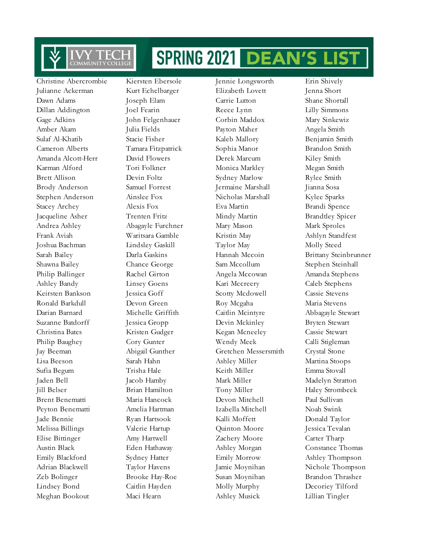

Julianne Ackerman Kurt Echelbarger Elizabeth Lovett Jenna Short Dawn Adams Joseph Elam Carrie Lutton Shane Shortall Dillan Addington Joel Fearin Reece Lynn Lilly Simmons Gage Adkins John Felgenhauer Corbin Maddox Mary Sinkewiz Amber Akam Julia Fields Payton Maher Angela Smith Sulaf Al-Khatib Stacie Fisher Kaleb Mallory Benjamin Smith Cameron Alberts Tamara Fitzpatrick Sophia Manor Brandon Smith Amanda Alcott-Herr David Flowers Derek Marcum Kiley Smith Karman Alford Tori Folkner Monica Markley Megan Smith Brett Allison Devin Foltz Sydney Marlow Rylee Smith Brody Anderson Samuel Forrest Jermaine Marshall Jianna Sosa Stephen Anderson Ainslee Fox Nicholas Marshall Kylee Sparks Stacey Archey Alexis Fox Eva Martin Brandi Spence Jacqueline Asher Trenten Fritz Mindy Martin Brandtley Spicer Andrea Ashley Abagayle Furchner Mary Mason Mark Sproles Frank Aviah Waritsara Gamble Kristin May Ashlyn Standfest Joshua Bachman Lindsley Gaskill Taylor May Molly Steed Sarah Bailey Darla Gaskins Hannah Mccoin Brittany Steinbrunner Shawna Bailey Chance George Sam Mccollum Stephen Steinhall Philip Ballinger Rachel Girton Angela Mccowan Amanda Stephens Ashley Bandy Linsey Goens Kari Mccreery Caleb Stephens Keirsten Bankson Jessica Goff Scotty Mcdowell Cassie Stevens Ronald Barkdull Devon Green Roy Mcgaha Maria Stevens Darian Barnard Michelle Griffith Caitlin Mcintyre Abbagayle Stewart Suzanne Batdorff Jessica Gropp Devin Mckinley Bryten Stewart Christina Bates Kristen Gudger Kegan Mcneeley Cassie Stewart Philip Baughey Cory Gunter Wendy Meek Calli Stigleman Jay Beeman Abigail Gunther Gretchen Messersmith Crystal Stone Lisa Beeson Sarah Hahn Ashley Miller Martina Stoops Sufia Begum Trisha Hale Keith Miller Emma Stovall Jaden Bell Jacob Hamby Mark Miller Madelyn Stratton Jill Belser Brian Hamilton Tony Miller Haley Strombeck Brent Benematti Maria Hancock Devon Mitchell Paul Sullivan Peyton Benematti Amelia Hartman Izabella Mitchell Noah Swink Jade Bennie Ryan Hartsook Kalli Moffett Donald Taylor Melissa Billings Valerie Hartup Quinton Moore Jessica Tevalan Elise Bittinger Amy Hartwell Zachery Moore Carter Tharp Austin Black Eden Hathaway Ashley Morgan Constance Thomas Emily Blackford Sydney Hatter Emily Morrow Ashley Thompson Adrian Blackwell Taylor Havens Jamie Moynihan Nichole Thompson Zeb Bolinger Brooke Hay-Roe Susan Moynihan Brandon Thrasher Lindsey Bond Caitlin Hayden Molly Murphy Decoriey Tilford

Christine Abercrombie Kiersten Ebersole Jennie Longsworth Erin Shively Meghan Bookout Maci Hearn Ashley Musick Lillian Tingler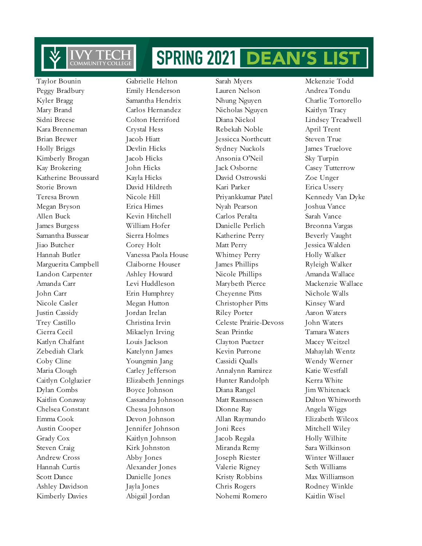

James Burgess William Hofer Danielle Perlich Breonna Vargas Samantha Bussear Sierra Holmes Katherine Perry Beverly Vaught Jiao Butcher Corey Holt Matt Perry Jessica Walden John Carr Erin Humphrey Cheyenne Pitts Nichole Walls Nicole Casler Megan Hutton Christopher Pitts Kinsey Ward Justin Cassidy Jordan Irelan Riley Porter Aaron Waters Trey Castillo Christina Irvin Celeste Prairie-Devoss John Waters

Taylor Bounin Gabrielle Helton Sarah Myers Mckenzie Todd Kimberly Davies Abigail Jordan Nohemi Romero Kaitlin Wisel

Peggy Bradbury Emily Henderson Lauren Nelson Andrea Tondu Kyler Bragg Samantha Hendrix Nhung Nguyen Charlie Tortorello Mary Brand Carlos Hernandez Nicholas Nguyen Kaitlyn Tracy Sidni Breese Colton Herriford Diana Nickol Lindsey Treadwell Kara Brenneman Crystal Hess Rebekah Noble April Trent Brian Brewer Jacob Hiatt Jessicca Northcutt Steven True Holly Briggs Devlin Hicks Sydney Nuckols James Truelove Kimberly Brogan Jacob Hicks Ansonia O'Neil Sky Turpin Kay Brokering John Hicks Jack Osborne Casey Tutterrow Katherine Broussard Kayla Hicks David Ostrowski Zoe Unger Storie Brown David Hildreth Kari Parker Erica Ussery Teresa Brown Nicole Hill Priyankkumar Patel Kennedy Van Dyke Megan Bryson Erica Himes Nyah Pearson Joshua Vance Allen Buck Kevin Hitchell Carlos Peralta Sarah Vance Hannah Butler Vanessa Paola House Whitney Perry Holly Walker Marguerita Campbell Claiborne Houser James Phillips Ryleigh Walker Landon Carpenter Ashley Howard Nicole Phillips Amanda Wallace Amanda Carr Levi Huddleson Marybeth Pierce Mackenzie Wallace Cierra Cecil Mikaelyn Irving Sean Printke Tamara Waters Katlyn Chalfant Louis Jackson Clayton Puetzer Macey Weitzel Zebediah Clark Katelynn James Kevin Purrone Mahaylah Wentz Coby Cline Youngmin Jang Cassidi Qualls Wendy Werner Maria Clough Carley Jefferson Annalynn Ramirez Katie Westfall Caitlyn Colglazier Elizabeth Jennings Hunter Randolph Kerra White Dylan Combs Boyce Johnson Diana Rangel Jim Whitenack Kaitlin Conaway Cassandra Johnson Matt Rasmussen Dalton Whitworth Chelsea Constant Chessa Johnson Dionne Ray Angela Wiggs Emma Cook Devon Johnson Allan Raymundo Elizabeth Wilcox Austin Cooper Jennifer Johnson Joni Rees Mitchell Wiley Grady Cox Kaitlyn Johnson Jacob Regala Holly Wilhite Steven Craig Kirk Johnston Miranda Remy Sara Wilkinson Andrew Cross Abby Jones Joseph Riester Winter Willauer Hannah Curtis Alexander Jones Valerie Rigney Seth Williams Scott Dance Danielle Jones Kristy Robbins Max Williamson Ashley Davidson Jayla Jones Chris Rogers Rodney Winkle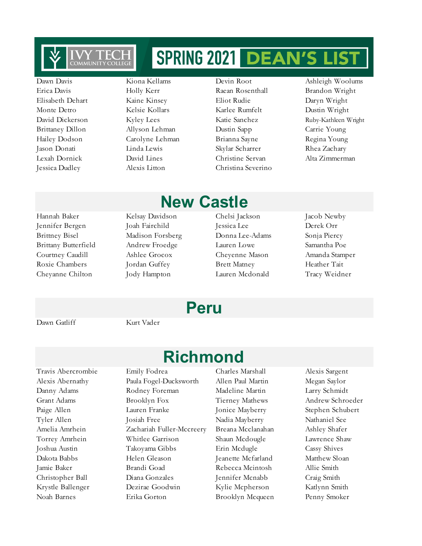

Dawn Davis Kiona Kellams Devin Root Ashleigh Woolums Erica Davis Holly Kerr Raean Rosenthall Brandon Wright Elisabeth Dehart Kaine Kinsey Eliot Rudie Daryn Wright Monte Detro Kelsie Kollars Karlee Rumfelt Dustin Wright Brittaney Dillon Allyson Lehman Dustin Sapp Carrie Young Hailey Dodson Carolyne Lehman Brianna Sayne Regina Young Jason Donati Linda Lewis Skylar Scharrer Rhea Zachary Lexah Dornick David Lines Christine Servan Alta Zimmerman Jessica Dudley Alexis Litton Christina Severino

SPRING 2021 DEAN'S LIST

David Dickerson Kyley Lees Katie Sanchez Ruby-Kathleen Wright

# **New Castle**

Jennifer Bergen Joah Fairchild Jessica Lee Derek Orr Brittney Bisel Madison Forsberg Donna Lee-Adams Sonja Piercy

Hannah Baker Kelsay Davidson Chelsi Jackson Jacob Newby Brittany Butterfield Andrew Froedge Lauren Lowe Samantha Poe Courtney Caudill Ashlee Grocox Cheyenne Mason Amanda Stamper Roxie Chambers Jordan Guffey Brett Matney Heather Tait Cheyanne Chilton Jody Hampton Lauren Mcdonald Tracy Weidner

# **Peru**

Dawn Gatliff Kurt Vader

# **Richmond**

Alexis Abernathy Paula Fogel-Ducksworth Allen Paul Martin Megan Saylor Danny Adams Rodney Foreman Madeline Martin Larry Schmidt Grant Adams Brooklyn Fox Tierney Mathews Andrew Schroeder Paige Allen Lauren Franke Jonice Mayberry Stephen Schubert Tyler Allen Josiah Free Nadia Mayberry Nathaniel See Amelia Amrhein Zachariah Fuller-Mccreery Breana Mcclanahan Ashley Shafer Torrey Amrhein Whitlee Garrison Shaun Mcdougle Lawrence Shaw Joshua Austin Takoyama Gibbs Erin Mcdugle Cassy Shives Dakota Babbs Helen Gleason Jeanette Mcfarland Matthew Sloan Jamie Baker Brandi Goad Rebecca Mcintosh Allie Smith Christopher Ball Diana Gonzales Jennifer Mcnabb Craig Smith Krystle Ballenger Dezirae Goodwin Kylie Mcpherson Katlynn Smith Noah Barnes Erika Gorton Brooklyn Mcqueen Penny Smoker

Travis Abercrombie Emily Fodrea Charles Marshall Alexis Sargent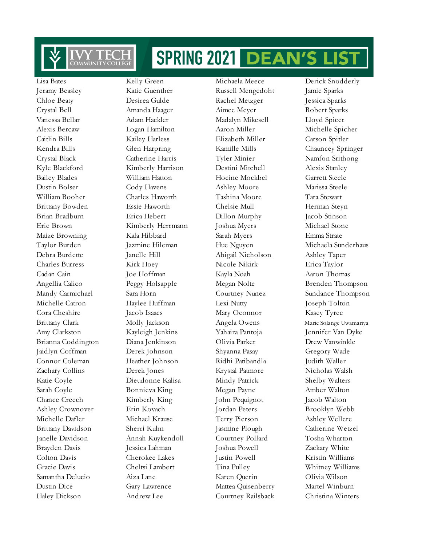

# SPRING 2021 DEAN'S LIST

Jeramy Beasley Katie Guenther Russell Mengedoht Jamie Sparks Chloe Beaty Desirea Gulde Rachel Metzger Jessica Sparks Crystal Bell Amanda Haager Aimee Meyer Robert Sparks Vanessa Bellar Adam Hackler Madalyn Mikesell Lloyd Spicer Alexis Bercaw Logan Hamilton Aaron Miller Michelle Spicher Caitlin Bills Kailey Harless Elizabeth Miller Carson Spitler Kendra Bills Glen Harpring Kamille Mills Chauncey Springer Crystal Black Catherine Harris Tyler Minier Namfon Srithong Kyle Blackford Kimberly Harrison Destini Mitchell Alexis Stanley Bailey Blades William Hatton Hocine Mockbel Garrett Steele Dustin Bolser Cody Havens Ashley Moore Marissa Steele William Booher Charles Haworth Tashina Moore Tara Stewart Brittany Bowden Essie Haworth Chelsie Mull Herman Steyn Brian Bradburn Erica Hebert Dillon Murphy Jacob Stinson Eric Brown Kimberly Herrmann Joshua Myers Michael Stone Maize Browning Kala Hibbard Sarah Myers Emma Strate Debra Burdette Janelle Hill Abigail Nicholson Ashley Taper Charles Burress Kirk Hoey Nicole Nikirk Erica Taylor Cadan Cain Joe Hoffman Kayla Noah Aaron Thomas Michelle Catron Haylee Huffman Lexi Nutty Joseph Tolton Cora Cheshire Jacob Isaacs Mary Oconnor Kasey Tyree Amy Clarkston Kayleigh Jenkins Yahaira Pantoja Jennifer Van Dyke Brianna Coddington Diana Jenkinson Olivia Parker Drew Vanwinkle Jaidlyn Coffman Derek Johnson Shyanna Pasay Gregory Wade Connor Coleman Heather Johnson Ridhi Patibandla Judith Waller Zachary Collins Derek Jones Krystal Patmore Nicholas Walsh Katie Coyle Dieudonne Kalisa Mindy Patrick Shelby Walters Sarah Coyle Bonnieva King Megan Payne Amber Walton Chance Creech Kimberly King John Pequignot Jacob Walton Ashley Crownover Erin Kovach Jordan Peters Brooklyn Webb Michelle Dafler Michael Krause Terry Pierson Ashley Wellere Brittany Davidson Sherri Kuhn Jasmine Plough Catherine Wetzel Janelle Davidson Annah Kuykendoll Courtney Pollard Tosha Wharton Brayden Davis Jessica Lahman Joshua Powell Zackary White Colton Davis Cherokee Lakes Justin Powell Kristin Williams Gracie Davis Cheltsi Lambert Tina Pulley Whitney Williams Samantha Delucio Aiza Lane Karen Querin Olivia Wilson Dustin Dice Gary Lawrence Mattea Quisenberry Martel Winburn Haley Dickson Andrew Lee Courtney Railsback Christina Winters

Lisa Bates Kelly Green Michaela Meece Derick Snodderly Taylor Burden Jazmine Hileman Hue Nguyen Michaela Sunderhaus Angellia Calico Peggy Holsapple Megan Nolte Brenden Thompson Mandy Carmichael Sara Horn Courtney Nunez Sundance Thompson Brittany Clark Molly Jackson Angela Owens Marie Solange Uwamariya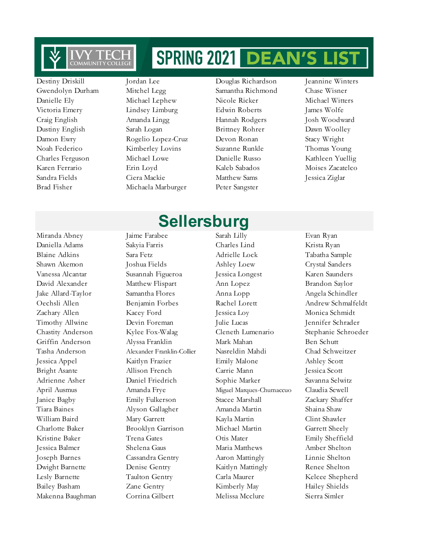

Destiny Driskill Jordan Lee Douglas Richardson Jeannine Winters Gwendolyn Durham Mitchel Legg Samantha Richmond Chase Wisner Danielle Ely Michael Lephew Nicole Ricker Michael Witters Victoria Emery Lindsey Limburg Edwin Roberts James Wolfe Craig English Amanda Lingg Hannah Rodgers Josh Woodward Dustiny English Sarah Logan Brittney Rohrer Dawn Woolley Damon Ewry Rogelio Lopez-Cruz Devon Ronan Stacy Wright Noah Federico Kimberley Lovins Suzanne Runkle Thomas Young Charles Ferguson Michael Lowe Danielle Russo Kathleen Yuellig Karen Ferrario Erin Loyd Kaleb Sabados Moises Zacatelco Sandra Fields Ciera Mackie Matthew Sams Jessica Ziglar Brad Fisher Michaela Marburger Peter Sangster

SPRING 2021 DEAN'S LIST

# **Sellersburg**

Makenna Baughman Corrina Gilbert Melissa Mcclure Sierra Simler

Miranda Abney Jaime Farabee Sarah Lilly Evan Ryan Daniella Adams Sakyia Farris Charles Lind Krista Ryan Blaine Adkins Sara Fetz Adrielle Lock Tabatha Sample Shawn Akemon Joshua Fields Ashley Loew Crystal Sanders Vanessa Alcantar Susannah Figueroa Jessica Longest Karen Saunders David Alexander Matthew Flispart Ann Lopez Brandon Saylor Jake Allard-Taylor Samantha Flores Anna Lopp Angela Schindler Oechsli Allen Benjamin Forbes Rachel Lorett Andrew Schmalfeldt Zachary Allen Kacey Ford Jessica Loy Monica Schmidt Timothy Allwine Devin Foreman Julie Lucas Jennifer Schrader Chastity Anderson Kylee Fox-Walag Cleneth Lumenario Stephanie Schroeder Griffin Anderson Alyssa Franklin Mark Mahan Ben Schutt Tasha Anderson Alexander Franklin-Collier Nasreldin Mahdi Chad Schweitzer Jessica Appel Kaitlyn Frazier Emily Malone Ashley Scott Bright Asante Allison French Carrie Mann Jessica Scott Adrienne Asher Daniel Friedrich Sophie Marker Savanna Selwitz April Ausmus Amanda Frye Miguel Marques-Chumaccuo Claudia Sewell Janice Bagby Emily Fulkerson Stacee Marshall Zackary Shaffer Tiara Baines Alyson Gallagher Amanda Martin Shaina Shaw William Baird Mary Garrett Kayla Martin Clint Shawler Charlotte Baker Brooklyn Garrison Michael Martin Garrett Sheely Kristine Baker Trena Gates Otis Mater Emily Sheffield Jessica Balmer Shelena Gaus Maria Matthews Amber Shelton Joseph Barnes Cassandra Gentry Aaron Mattingly Linnie Shelton Dwight Barnette Denise Gentry Kaitlyn Mattingly Renee Shelton Lesly Barnette Taulton Gentry Carla Maurer Kelcee Shepherd Bailey Basham Zane Gentry Kimberly May Hailey Shields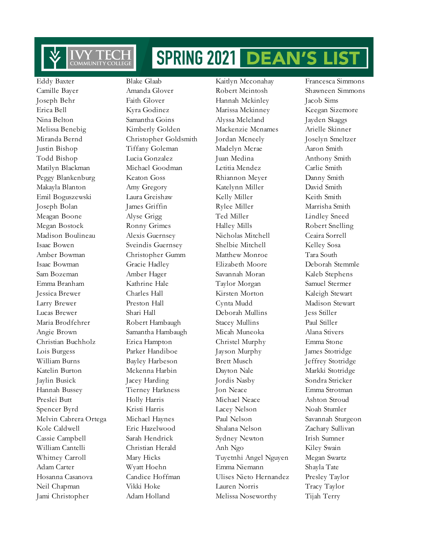

Eddy Baxter Blake Glaab Kaitlyn Mcconahay Francesca Simmons Joseph Behr Faith Glover Hannah Mckinley Jacob Sims Miranda Bernd Christopher Goldsmith Jordan Mcneely Joselyn Smeltzer Justin Bishop Tiffany Goleman Madelyn Mcrae Aaron Smith Todd Bishop Lucia Gonzalez Juan Medina Anthony Smith Joseph Bolan James Griffin Rylee Miller Marrisha Smith Jessica Brewer Charles Hall Kirsten Morton Kaleigh Stewart Larry Brewer Preston Hall Cynta Mudd Madison Stewart Jaylin Busick Jacey Harding Jordis Nasby Sondra Stricker Neil Chapman Vikki Hoke Lauren Norris Tracy Taylor

Jami Christopher Adam Holland Melissa Noseworthy Tijah Terry

Camille Bayer Amanda Glover Robert Mcintosh Shawneen Simmons Erica Bell Kyra Godinez Marissa Mckinney Keegan Sizemore Nina Belton Samantha Goins Alyssa Mcleland Jayden Skaggs Melissa Benebig Kimberly Golden Mackenzie Mcnames Arielle Skinner Matilyn Blackman Michael Goodman Letitia Mendez Carlie Smith Peggy Blankenburg Keaton Goss Rhiannon Meyer Danny Smith Makayla Blanton Amy Gregory Katelynn Miller David Smith Emil Boguszewski Laura Greishaw Kelly Miller Keith Smith Meagan Boone Alyse Grigg Ted Miller Lindley Sneed Megan Bostock Ronny Grimes Halley Mills Robert Snelling Madison Boulineau Alexis Guernsey Nicholas Mitchell Ceaira Sorrell Isaac Bowen Sveindis Guernsey Shelbie Mitchell Kelley Sosa Amber Bowman Christopher Gumm Matthew Monroe Tara South Isaac Bowman Gracie Hadley Elizabeth Moore Deborah Stemmle Sam Bozeman Amber Hager Savannah Moran Kaleb Stephens Emma Branham Kathrine Hale Taylor Morgan Samuel Stermer Lucas Brewer Shari Hall Deborah Mullins Jess Stiller Maria Brodfehrer Robert Hambaugh Stacey Mullins Paul Stiller Angie Brown Samantha Hambaugh Micah Muneoka Alana Stivers Christian Buchholz Erica Hampton Christel Murphy Emma Stone Lois Burgess Parker Handiboe Jayson Murphy James Stotridge William Burns Bayley Harbeson Brett Musch Jeffrey Stotridge Katelin Burton Mckenna Harbin Dayton Nale Markki Stotridge Hannah Bussey Tierney Harkness Jon Neace Emma Strotman Preslei Butt Holly Harris Michael Neace Ashton Stroud Spencer Byrd Kristi Harris Lacey Nelson Noah Stumler Melvin Cabrera Ortega Michael Haynes Paul Nelson Savannah Sturgeon Kole Caldwell Eric Hazelwood Shalana Nelson Zachary Sullivan Cassie Campbell Sarah Hendrick Sydney Newton Irish Sumner William Cantelli Christian Herald Anh Ngo Kiley Swain Whitney Carroll Mary Hicks Tuyetnhi Angel Nguyen Megan Swartz Adam Carter Wyatt Hoehn Emma Niemann Shayla Tate Hosanna Casanova Candice Hoffman Ulises Nieto Hernandez Presley Taylor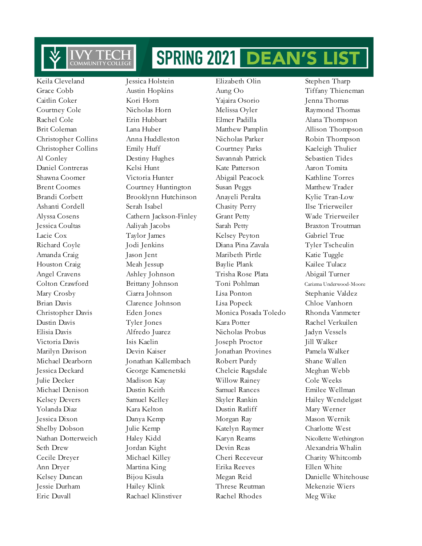

Keila Cleveland Jessica Holstein Elizabeth Olin Stephen Tharp Eric Duvall Rachael Klinstiver Rachel Rhodes Meg Wike

Grace Cobb Austin Hopkins Aung Oo Tiffany Thieneman Caitlin Coker Kori Horn Yajaira Osorio Jenna Thomas Courtney Cole Nicholas Horn Melissa Oyler Raymond Thomas Rachel Cole Erin Hubbart Elmer Padilla Alana Thompson Brit Coleman Lana Huber Matthew Pamplin Allison Thompson Christopher Collins Anna Huddleston Nicholas Parker Robin Thompson Christopher Collins Emily Huff Courtney Parks Kaeleigh Thulier Al Conley Destiny Hughes Savannah Patrick Sebastien Tides Daniel Contreras Kelsi Hunt Kate Patterson Aaron Tomita Shawna Coomer Victoria Hunter Abigail Peacock Kathline Torres Brent Coomes Courtney Huntington Susan Peggs Matthew Trader Brandi Corbett Brooklynn Hutchinson Anayeli Peralta Kylie Tran-Low Ashanti Cordell Serah Isabel Chasity Perry Ilse Trierweiler Alyssa Cosens Cathern Jackson-Finley Grant Petty Wade Trierweiler Jessica Coultas Aaliyah Jacobs Sarah Petty Braxton Troutman Lacie Cox Taylor James Kelsey Peyton Gabriel True Richard Coyle Jodi Jenkins Diana Pina Zavala Tyler Tscheulin Amanda Craig Jason Jent Maribeth Pirtle Katie Tuggle Houston Craig Meah Jessup Baylie Plank Kailee Tulacz Angel Cravens Ashley Johnson Trisha Rose Plata Abigail Turner Colton Crawford Brittany Johnson Toni Pohlman Carizma Underwood-Moore Mary Crosby Ciarra Johnson Lisa Ponton Stephanie Valdez Brian Davis Clarence Johnson Lisa Popeck Chloe Vanhorn Christopher Davis Eden Jones Monica Posada Toledo Rhonda Vanmeter Dustin Davis Tyler Jones Kara Potter Rachel Verkuilen Elisia Davis Alfredo Juarez Nicholas Probus Jadyn Vessels Victoria Davis Isis Kaelin Joseph Proctor Jill Walker Marilyn Davison Devin Kaiser Jonathan Provines Pamela Walker Michael Dearborn Jonathan Kallembach Robert Purdy Shane Wallen Jessica Deckard George Kamenetski Chelcie Ragsdale Meghan Webb Julie Decker Madison Kay Willow Rainey Cole Weeks Michael Denison Dustin Keith Samuel Rances Emilee Wellman Kelsey Devers Samuel Kelley Skyler Rankin Hailey Wendelgast Yolanda Diaz Kara Kelton Dustin Ratliff Mary Werner Jessica Dixon Danya Kemp Morgan Ray Mason Wernik Shelby Dobson Julie Kemp Katelyn Raymer Charlotte West Nathan Dotterweich Haley Kidd Karyn Reams Nicollette Wethington Seth Drew Jordan Kight Devin Reas Alexandria Whalin Cecile Dreyer Michael Killey Cheri Receveur Charity Whitcomb Ann Dryer Martina King Erika Reeves Ellen White Kelsey Duncan Bijou Kisula Megan Reid Danielle Whitehouse Jessie Durham Hailey Klink Threse Reutman Mekenzie Wiers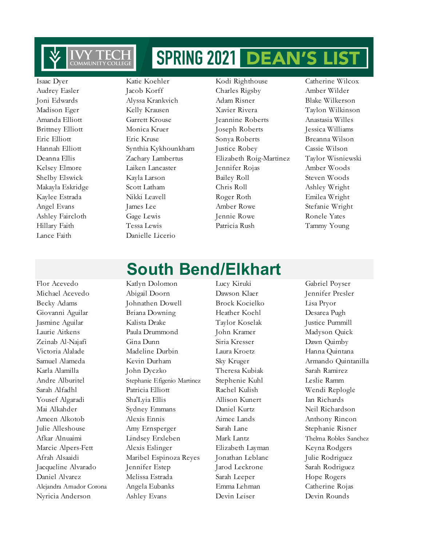

Lance Faith Danielle Licerio

Isaac Dyer Katie Koehler Kodi Righthouse Catherine Wilcox Audrey Easler Jacob Korff Charles Rigsby Amber Wilder Joni Edwards Alyssa Krankvich Adam Risner Blake Wilkerson Madison Eger Kelly Krausen Xavier Rivera Taylon Wilkinson Amanda Elliott Garrett Krouse Jeannine Roberts Anastasia Willes Brittney Elliott Monica Kruer Joseph Roberts Jessica Williams Eric Elliott Eric Kruse Sonya Roberts Breanna Wilson Hannah Elliott Synthia Kykhounkham Justice Robey Cassie Wilson Deanna Ellis Zachary Lambertus Elizabeth Roig-Martinez Taylor Wisniewski Kelsey Elmore Laiken Lancaster Jennifer Rojas Amber Woods Shelby Elswick Kayla Larson Bailey Roll Steven Woods Makayla Eskridge Scott Latham Chris Roll Ashley Wright Kaylee Estrada Nikki Leavell Roger Roth Emilea Wright Angel Evans James Lee Amber Rowe Stefanie Wright Ashley Faircloth Gage Lewis Jennie Rowe Ronele Yates Hillary Faith Tessa Lewis Patricia Rush Tammy Young

# **South Bend/Elkhart**

Flor Acevedo Katlyn Dolomon Lucy Kiruki Gabriel Poyser Michael Acevedo Abigail Doorn Dawson Klaer Jennifer Presler Becky Adams Johnathen Dowell Brock Kocielko Lisa Pryor Giovanni Aguilar Briana Downing Heather Koehl Desarea Pugh Jasmine Aguilar Kalista Drake Taylor Koselak Justice Pummill Laurie Aitkens Paula Drummond John Kramer Madyson Quick Zeinab Al-Najafi Gina Dunn Siria Kresser Dawn Quimby Victoria Alalade Madeline Durbin Laura Kroetz Hanna Quintana Samuel Alameda Kevin Durham Sky Kruger Armando Quintanilla Karla Alamilla John Dyczko Theresa Kubiak Sarah Ramirez Andre Alburitel Stephanie Efigenio Martinez Stephenie Kuhl Leslie Ramm Sarah Alfadhl Patricia Elliott Rachel Kulish Wendi Replogle Yousef Algaradi Sha'Lyia Ellis Allison Kunert Ian Richards Mai Alkahder Sydney Emmans Daniel Kurtz Neil Richardson Ameen Alkotob Alexis Ennis Aimee Lands Anthony Rincon Julie Alleshouse Amy Ernsperger Sarah Lane Stephanie Risner Afkar Alnuaimi Lindsey Erxleben Mark Lantz Thelma Robles Sanchez Marcie Alpers-Fett Alexis Eslinger Elizabeth Layman Keyna Rodgers Afrah Alsaaidi Maribel Espinoza Reyes Jonathan Leblanc Julie Rodriguez Jacqueline Alvarado Jennifer Estep Jarod Leckrone Sarah Rodriguez Daniel Alvarez Melissa Estrada Sarah Leeper Hope Rogers Alejandra Amador Corona Angela Eubanks Emma Lehman Catherine Rojas Nyricia Anderson Ashley Evans Devin Leiser Devin Rounds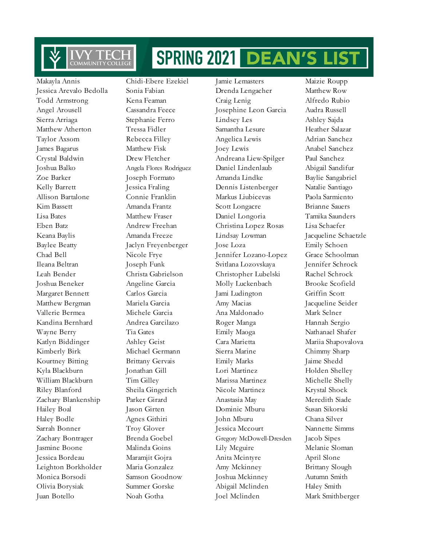

# Makayla Annis Chidi-Ebere Ezekiel Jamie Lemasters Maizie Roupp

# SPRING 2021 DEAN'S LIST

Jessica Arevalo Bedolla Sonia Fabian Drenda Lengacher Matthew Row Todd Armstrong Kena Feaman Craig Lenig Alfredo Rubio Angel Arousell Cassandra Feece Josephine Leon Garcia Audra Russell Sierra Arriaga Stephanie Ferro Lindsey Les Ashley Sajda Matthew Atherton Tressa Fidler Samantha Lesure Heather Salazar Taylor Axsom Rebecca Filley Angelica Lewis Adrian Sanchez James Bagarus Matthew Fisk Joey Lewis Anabel Sanchez Crystal Baldwin Drew Fletcher Andreana Liew-Spilger Paul Sanchez Joshua Balko Angela Flores Rodriguez Daniel Lindenlaub Abigail Sandifur Zoe Barker Joseph Formato Amanda Lindke Baylie Sangabriel Kelly Barrett **Interpretental Francisco Fraling** Dennis Listenberger Natalie Santiago Allison Bartalone Connie Franklin Markus Liubicevas Paola Sarmiento Kim Bassett Amanda Frantz Scott Longacre Brianne Sauers Lisa Bates Matthew Fraser Daniel Longoria Tamika Saunders Eben Batz Andrew Freehan Christina Lopez Rosas Lisa Schaefer Keana Baylis Amanda Freeze Lindsay Lowman Jacqueline Schaetzle Baylee Beatty Jaclyn Freyenberger Jose Loza Emily Schoen Chad Bell Nicole Frye Jennifer Lozano-Lopez Grace Schoolman Ileana Beltran Joseph Funk Svitlana Lozovskaya Jennifer Schrock Leah Bender Christa Gabrielson Christopher Lubelski Rachel Schrock Joshua Beneker Angeline Garcia Molly Luckenbach Brooke Scofield Margaret Bennett Carlos Garcia Jami Ludington Griffin Scott Matthew Bergman Mariela Garcia Amy Macias Jacqueline Seider Vallerie Bermea Michele Garcia Ana Maldonado Mark Selner Kandina Bernhard Andrea Garcilazo Roger Manga Hannah Sergio Wayne Berry Tia Gates Emily Maoga Nathanael Shafer Katlyn Biddinger Ashley Geist Cara Marietta Mariia Shapovalova Kimberly Birk Michael Germann Sierra Marine Chimmy Sharp Kourtney Bitting Brittany Gervais Emily Marks Jaime Shedd Kyla Blackburn Jonathan Gill Lori Martinez Holden Shelley William Blackburn Tim Gilley Marissa Martinez Michelle Shelly Riley Blanford Sheila Gingerich Nicole Martinez Krystal Shock Zachary Blankenship Parker Girard Anastasia May Meredith Siade Hailey Boal Jason Girten Dominic Mburu Susan Sikorski Haley Bodle Agnes Githiri John Mburu Chana Silver Sarrah Bonner Troy Glover Jessica Mccourt Nannette Simms Zachary Bontrager Brenda Goebel Gregory McDowell-Dresden Jacob Sipes Jasmine Boone Malinda Goins Lily Mcguire Melanie Sloman Jessica Bordeau Maramjit Gojra Anita Mcintyre April Slone Leighton Borkholder Maria Gonzalez Amy Mckinney Brittany Slough Monica Borsodi Samson Goodnow Joshua Mckinney Autumn Smith Olivia Borysiak Summer Gorske Abigail Mclinden Haley Smith Juan Botello Noah Gotha Joel Mclinden Mark Smithberger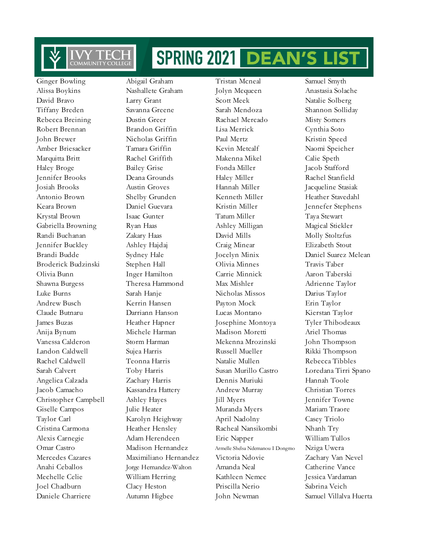

Ginger Bowling Abigail Graham Tristan Mcneal Samuel Smyth

Daniele Charriere Autumn Higbee John Newman Samuel Villalva Huerta

Alissa Boykins Nashallete Graham Jolyn Mcqueen Anastasia Solache David Bravo Larry Grant Scott Meek Natalie Solberg Tiffany Breden Savanna Greene Sarah Mendoza Shannon Solliday Rebecca Breining Dustin Greer Rachael Mercado Misty Somers Robert Brennan Brandon Griffin Lisa Merrick Cynthia Soto John Brewer Nicholas Griffin Paul Mertz Kristin Speed Amber Briesacker Tamara Griffin Kevin Metcalf Naomi Speicher Marquitta Britt Rachel Griffith Makenna Mikel Calie Speth Haley Broge Bailey Grise Fonda Miller Jacob Stafford Jennifer Brooks Deana Grounds Haley Miller Rachel Stanfield Josiah Brooks Austin Groves Hannah Miller Jacqueline Stasiak Antonio Brown Shelby Grunden Kenneth Miller Heather Stavedahl Keara Brown Daniel Guevara Kristin Miller Jennefer Stephens Krystal Brown Isaac Gunter Tatum Miller Taya Stewart Gabriella Browning Ryan Haas Ashley Milligan Magical Stickler Randi Buchanan Zakary Haas David Mills Molly Stoltzfus Jennifer Buckley Ashley Hajdaj Craig Minear Elizabeth Stout Brandi Budde Sydney Hale Jocelyn Minix Daniel Suarez Melean Broderick Budzinski Stephen Hall Olivia Minnes Travis Taber Olivia Bunn Inger Hamilton Carrie Minnick Aaron Taberski Shawna Burgess Theresa Hammond Max Mishler Adrienne Taylor Luke Burns Sarah Hanje Nicholas Missos Darius Taylor Andrew Busch Kerrin Hansen Payton Mock Erin Taylor Claude Butnaru Darriann Hanson Lucas Montano Kierstan Taylor James Buzas Heather Hapner Josephine Montoya Tyler Thibodeaux Anija Bynum Michele Harman Madison Moretti Ariel Thomas Vanessa Calderon Storm Harman Mekenna Mrozinski John Thompson Landon Caldwell Sujea Harris Russell Mueller Rikki Thompson Rachel Caldwell Teonna Harris Natalie Mullen Rebecca Tibbles Sarah Calvert Toby Harris Susan Murillo Castro Loredana Tirri Spano Angelica Calzada Zachary Harris Dennis Muriuki Hannah Toole Jacob Camacho Kassandra Hattery Andrew Murray Christian Torres Christopher Campbell Ashley Hayes Jill Myers Jennifer Towne Giselle Campos Julie Heater Muranda Myers Mariam Traore Taylor Carl Karolyn Heighway April Nadolny Casey Triolo Cristina Carmona Heather Hensley Racheal Nansikombi Nhanh Try Alexis Carnegie Adam Herendeen Eric Napper William Tullos Omar Castro Madison Hernandez Armelle Shelsa Ndemanou I Dongmo Nziga Uwera Mercedes Cazares Maximiliano Hernandez Victoria Ndovie Zachary Van Nevel Anahi Ceballos Jorge Hernandez-Walton Amanda Neal Catherine Vance Mechelle Celie William Herring Kathleen Nemec Jessica Vardaman Joel Chadburn Clacy Heston Priscilla Nerio Sabrina Veich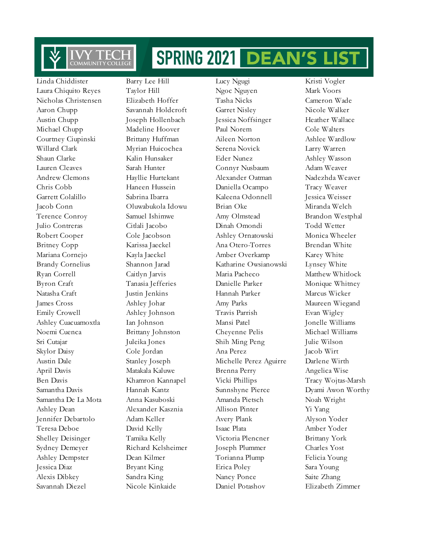

## Linda Chiddister Barry Lee Hill Lucy Ngugi Kristi Vogler Laura Chiquito Reyes Taylor Hill Ngoc Nguyen Mark Voors Nicholas Christensen Elizabeth Hoffer Tasha Nicks Cameron Wade Aaron Chupp Savannah Holdcroft Garret Nisley Nicole Walker Austin Chupp Joseph Hollenbach Jessica Noffsinger Heather Wallace Michael Chupp Madeline Hoover Paul Norem Cole Walters Courtney Ciupinski Brittany Huffman Aileen Norton Ashlee Wardlow Willard Clark Myrian Huicochea Serena Novick Larry Warren Shaun Clarke Kalin Hunsaker Eder Nunez Ashley Wasson Lauren Cleaves Sarah Hunter Connyr Nusbaum Adam Weaver Andrew Clemons Hayllie Hurtekant Alexander Oatman Nadezhda Weaver Chris Cobb Haneen Hussein Daniella Ocampo Tracy Weaver Garrett Colalillo Sabrina Ibarra Kaleena Odonnell Jessica Weisser Jacob Conn Oluwabukola Idowu Brian Oke Miranda Welch Terence Conroy Samuel Ishimwe Amy Olmstead Brandon Westphal Julio Contreras Citlali Jacobo Dinah Omondi Todd Wetter Robert Cooper Cole Jacobson Ashley Ornatowski Monica Wheeler Britney Copp Karissa Jaeckel Ana Otero-Torres Brendan White Mariana Cornejo Kayla Jaeckel Amber Overkamp Karey White Brandy Cornelius Shannon Jarad Katharine Owsianowski Lynsey White Ryan Correll Caitlyn Jarvis Maria Pacheco Matthew Whitlock Byron Craft Tanasia Jefferies Danielle Parker Monique Whitney Natasha Craft Justin Jenkins Hannah Parker Marcus Wicker James Cross Ashley Johar Amy Parks Maureen Wiegand Emily Crowell Ashley Johnson Travis Parrish Evan Wigley Ashley Cuacuamoxtla Ian Johnson Mansi Patel Jonelle Williams Noemi Cuenca Brittany Johnston Cheyenne Pelis Michael Williams Sri Cutajar Juleika Jones Shih Ming Peng Julie Wilson Skylor Daisy Cole Jordan Ana Perez Jacob Wirt Austin Dale Stanley Joseph Michelle Perez Aguirre Darlene Wirth April Davis Matakala Kaluwe Brenna Perry Angelica Wise Ben Davis Khamron Kannapel Vicki Phillips Tracy Wojtas-Marsh Samantha Davis Hannah Kantz Sunnshyne Pierce Dyami Awon Worthy Samantha De La Mota Anna Kasuboski Amanda Pietsch Noah Wright Ashley Dean Alexander Kasznia Allison Pinter Yi Yang Jennifer Debartolo Adam Keller Avery Plank Alyson Yoder Teresa Deboe David Kelly Isaac Plata Amber Yoder Shelley Deisinger Tamika Kelly Victoria Plencner Brittany York Sydney Demeyer Richard Kelsheimer Joseph Plummer Charles Yost Ashley Dempster Dean Kilmer Torianna Plump Felicia Young Jessica Diaz Bryant King Erica Poley Sara Young Alexis Dibkey Sandra King Nancy Ponce Saite Zhang Savannah Diezel Nicole Kinkaide Daniel Potashov Elizabeth Zimmer

SPRING 2021 DEAN'S LIST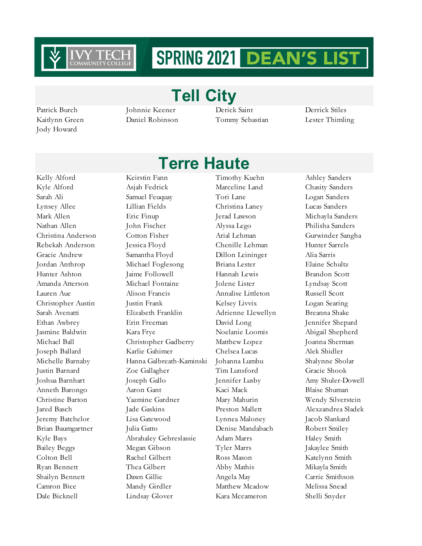

Jody Howard

# SPRING 2021 DEAN'S LIST

# **Tell City**

Patrick Burch Johnnie Keener Derick Saint Derrick Stiles Kaitlynn Green Daniel Robinson Tommy Sebastian Lester Thimling

# **Terre Haute**

Kyle Alford Asjah Fedrick Marceline Land Chasity Sanders Sarah Ali Samuel Feuquay Tori Lane Logan Sanders Lynsey Allee Lillian Fields Christina Laney Lucas Sanders Mark Allen Eric Finup Jerad Lawson Michayla Sanders Nathan Allen John Fischer Alyssa Lego Philisha Sanders Christina Anderson Cotton Fisher Arial Lehman Gurwinder Sangha Rebekah Anderson Jessica Floyd Chenille Lehman Hunter Sarrels Gracie Andrew Samantha Floyd Dillon Leininger Alia Sarris Jordan Anthrop Michael Foglesong Briana Lester Elaine Schultz Hunter Ashton Jaime Followell Hannah Lewis Brandon Scott Amanda Atterson Michael Fontaine Jolene Lister Lyndsay Scott Lauren Aue Alison Francis Annalise Littleton Russell Scott Christopher Austin Justin Frank Kelsey Livvix Logan Searing Sarah Avenatti Elizabeth Franklin Adrienne Llewellyn Breanna Shake Ethan Awbrey Erin Freeman David Long Jennifer Shepard Jasmine Baldwin Kara Frye Noelanie Loomis Abigail Shepherd Michael Ball Christopher Gadberry Matthew Lopez Joanna Sherman Joseph Ballard Karlie Gahimer Chelsea Lucas Alek Shidler Michelle Barnaby Hanna Galbreath-Kaminski Johanna Lumbu Shalynne Sholar Justin Barnard Zoe Gallagher Tim Lunsford Gracie Shook Joshua Barnhart Joseph Gallo Jennifer Lusby Amy Shuler-Dowell Anneth Barongo Aaron Gant Kaci Mack Blaise Shuman Christine Barton Yazmine Gardner Mary Mahurin Wendy Silverstein Jared Basch Jade Gaskins Preston Mallett Alexzandrea Sladek Jeremy Batchelor Lisa Gatewood Lynnea Maloney Jacob Slankard Brian Baumgartner Julia Gatto Denise Mandabach Robert Smiley Kyle Bays Abrahaley Gebreslassie Adam Marrs Haley Smith Bailey Beggs Megan Gibson Tyler Marrs Jakaylee Smith Colton Bell Rachel Gilbert Ross Mason Katelynn Smith Ryan Bennett Thea Gilbert Abby Mathis Mikayla Smith Shailyn Bennett Dawn Gillie Angela May Carrie Smithson Camron Bice Mandy Girdler Matthew Mcadow Melissa Snead Dale Bicknell Lindsay Glover Kara Mccameron Shelli Snyder

Kelly Alford Keirstin Fann Timothy Kuehn Ashley Sanders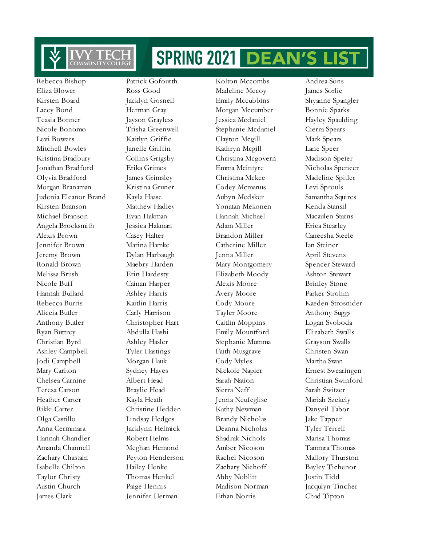

Eliza Blower Ross Good Madeline Mccoy James Sorlie Kirsten Board Jacklyn Gosnell Emily Mccubbins Shyanne Spangler Lacey Bond Herman Gray Morgan Mccumber Bonnie Sparks Teasia Bonner Jayson Grayless Jessica Mcdaniel Hayley Spaulding Nicole Bonomo Trisha Greenwell Stephanie Mcdaniel Cierra Spears Levi Bowers Kaitlyn Griffie Clayton Mcgill Mark Spears Mitchell Bowles Janelle Griffin Kathryn Mcgill Lane Speer Kristina Bradbury Collins Grigsby Christina Mcgovern Madison Speier Jonathan Bradford Erika Grimes Emma Mcintyre Nicholas Spencer Olyvia Bradford James Grimsley Christina Mckee Madeline Spitler Morgan Branaman Kristina Gruner Codey Mcmanus Levi Sprouls Judenia Eleanor Brand Kayla Haase Aubyn Medsker Samantha Squires Kirsten Branson Matthew Hadley Yonatan Mekonen Kenda Stansil Michael Branson Evan Hakman Hannah Michael Macaulen Starns Angela Brocksmith Jessica Hakman Adam Miller Erica Stearley Alexis Brown Casey Halter Brandon Miller Caneesha Steele Jennifer Brown Marina Hamke Catherine Miller Ian Steiner Jeremy Brown Dylan Harbaugh Jenna Miller April Stevens Ronald Brown Maebry Harden Mary Montgomery Spencer Steward Melissa Brush Erin Hardesty Elizabeth Moody Ashton Stewart Nicole Buff Cainan Harper Alexis Moore Brinley Stone Hannah Bullard Ashley Harris Avery Moore Parker Strohm Rebecca Burris Kaitlin Harris Cody Moore Kaeden Strosnider Aliceia Butler Carly Harrison Tayler Moore Anthony Suggs Anthony Butler Christopher Hart Caitlin Moppins Logan Svoboda Ryan Buttrey Abdulla Hashi Emily Mountford Elizabeth Swalls Christian Byrd Ashley Hasler Stephanie Mumma Grayson Swalls Ashley Campbell Tyler Hastings Faith Musgrave Christen Swan Jodi Campbell Morgan Hauk Cody Myles Martha Swan Mary Carlton Sydney Hayes Nickole Napier Ernest Swearingen Chelsea Carnine Albert Head Sarah Nation Christian Swinford Teresa Carson Braylie Head Sierra Neff Sarah Switzer Heather Carter Kayla Heath Jenna Neufeglise Mariah Szekely Rikki Carter Christine Hedden Kathy Newman Danyeil Tabor Olga Castillo Lindsay Hedges Brandy Nicholas Jake Tapper Anna Cerminara Jacklynn Helmick Deanna Nicholas Tyler Terrell Hannah Chandler Robert Helms Shadrak Nichols Marisa Thomas Amanda Channell Meghan Hemond Amber Nicoson Tammra Thomas Zachary Chastain Peyton Henderson Rachel Nicoson Mallory Thurston Isabelle Chilton Hailey Henke Zachary Niehoff Bayley Tichenor Taylor Christy Thomas Henkel Abby Noblitt Justin Tidd Austin Church Paige Hennis Madison Norman Jacqulyn Tincher

Rebecca Bishop Patrick Gofourth Kolton Mccombs Andrea Sons James Clark Jennifer Herman Ethan Norris Chad Tipton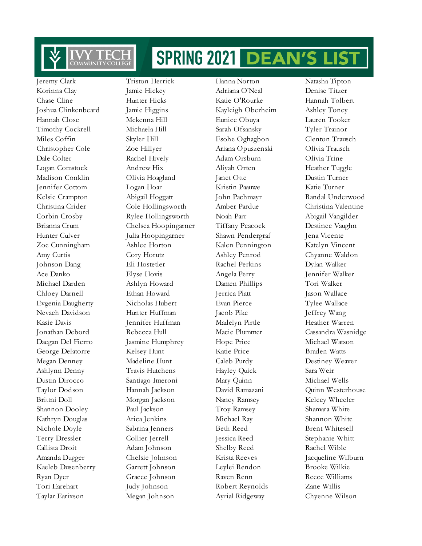

# SPRING 2021 DEAN'S LIST

Jeremy Clark Triston Herrick Hanna Norton Natasha Tipton Korinna Clay Jamie Hickey Adriana O'Neal Denise Titzer Chase Cline Hunter Hicks Katie O'Rourke Hannah Tolbert Joshua Clinkenbeard Jamie Higgins Kayleigh Oberheim Ashley Toney Hannah Close Mckenna Hill Eunice Obuya Lauren Tooker Timothy Cockrell Michaela Hill Sarah Ofsansky Tyler Trainor Miles Coffin Skyler Hill Esohe Oghagbon Clenton Trausch Christopher Cole Zoe Hillyer Ariana Opuszenski Olivia Trausch Dale Colter Rachel Hively Adam Orsburn Olivia Trine Logan Comstock Andrew Hix Aliyah Orten Heather Tuggle Madison Conklin Olivia Hoagland Janet Otte Dustin Turner Jennifer Cottom Logan Hoar Kristin Paauwe Katie Turner Kelsie Crampton Abigail Hoggatt John Pachmayr Randal Underwood Christina Crider Cole Hollingsworth Amber Pardue Christina Valentine Corbin Crosby Rylee Hollingsworth Noah Parr Abigail Vangilder Brianna Crum Chelsea Hoopingarner Tiffany Peacock Destinee Vaughn Hunter Culver Julia Hoopingarner Shawn Pendergraf Jena Vicente Zoe Cunningham Ashlee Horton Kalen Pennington Katelyn Vincent Amy Curtis Cory Horutz Ashley Penrod Chyanne Waldon Johnson Dang Eli Hostetler Rachel Perkins Dylan Walker Ace Danko Elyse Hovis Angela Perry Jennifer Walker Michael Darden Ashlyn Howard Damen Phillips Tori Walker Chloey Darnell Ethan Howard Jerrica Piatt Jason Wallace Evgenia Daugherty Nicholas Hubert Evan Pierce Tylee Wallace Nevaeh Davidson Hunter Huffman Jacob Pike Jeffrey Wang Kasie Davis Jennifer Huffman Madelyn Pirtle Heather Warren Daegan Del Fierro Jasmine Humphrey Hope Price Michael Watson George Delatorre Kelsey Hunt Katie Price Braden Watts Megan Denney Madeline Hunt Caleb Purdy Destiney Weaver Ashlynn Denny Travis Hutchens Hayley Quick Sara Weir Dustin Dirocco Santiago Imeroni Mary Quinn Michael Wells Taylor Dodson Hannah Jackson David Ramazani Quinn Westerhouse Brittni Doll Morgan Jackson Nancy Ramsey Kelcey Wheeler Shannon Dooley Paul Jackson Troy Ramsey Shamara White Kathryn Douglas Arica Jenkins Michael Ray Shannon White Nichole Doyle Sabrina Jenners Beth Reed Brent Whitesell Terry Dressler Collier Jerrell Jessica Reed Stephanie Whitt Callista Droit Adam Johnson Shelby Reed Rachel Wible Amanda Dugger Chelsie Johnson Krista Reeves Jacqueline Wilburn Kaeleb Dusenberry Garrett Johnson Leylei Rendon Brooke Wilkie Ryan Dyer Gracee Johnson Raven Renn Reece Williams Tori Earehart Judy Johnson Robert Reynolds Zane Willis Taylar Earixson Megan Johnson Ayrial Ridgeway Chyenne Wilson

Jonathan Debord Rebecca Hull Macie Plummer Cassandra Wasnidge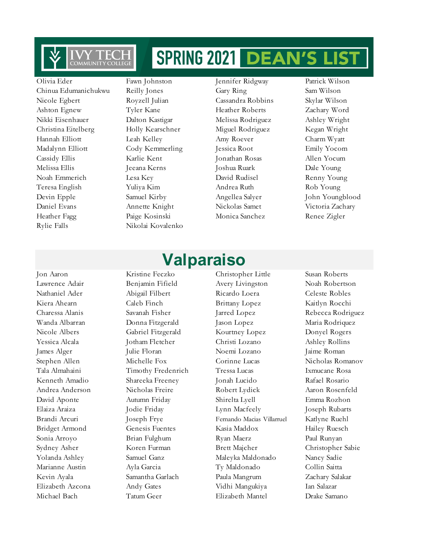

## Olivia Eder Fawn Johnston Jennifer Ridgway Patrick Wilson Chinua Edumanichukwu Reilly Jones Gary Ring Sam Wilson Nicole Egbert Royzell Julian Cassandra Robbins Skylar Wilson Ashton Egnew Tyler Kane Heather Roberts Zachary Word Nikki Eisenhauer Dalton Kastigar Melissa Rodriguez Ashley Wright Christina Eitelberg Holly Kearschner Miguel Rodriguez Kegan Wright Hannah Elliott Leah Kelley Amy Roever Charm Wyatt Madalynn Elliott Cody Kemmerling Jessica Root Emily Yocom Cassidy Ellis Karlie Kent Jonathan Rosas Allen Yocum Melissa Ellis Jeeana Kerns Joshua Ruark Dale Young Noah Emmerich Lesa Key David Rudisel Renny Young Teresa English Yuliya Kim Andrea Ruth Rob Young Devin Epple Samuel Kirby Angellea Salyer John Youngblood Daniel Evans Annette Knight Nickolas Samet Victoria Zachary Heather Fagg Paige Kosinski Monica Sanchez Renee Zigler Rylie Falls Nikolai Kovalenko

SPRING 2021 DEAN'S LIST

# **Valparaiso**

Jon Aaron Kristine Feczko Christopher Little Susan Roberts Lawrence Adair Benjamin Fifield Avery Livingston Noah Robertson Nathaniel Ader Abigail Filbert Ricardo Loera Celeste Robles Kiera Ahearn Caleb Finch Brittany Lopez Kaitlyn Rocchi Charessa Alanis Savanah Fisher Jarred Lopez Rebecca Rodriguez Wanda Albarran Donna Fitzgerald Jason Lopez Maria Rodriquez Nicole Albers Gabriel Fitzgerald Kourtney Lopez Donyel Rogers Yessica Alcala Jotham Fletcher Christi Lozano Ashley Rollins James Alger Julie Floran Noemi Lozano Jaime Roman Stephen Allen Michelle Fox Corinne Lucas Nicholas Romanov Tala Almahaini Timothy Fredenrich Tressa Lucas Ixmucane Rosa Kenneth Amadio Shareeka Freeney Jonah Lucido Rafael Rosario Andrea Anderson Nicholas Freire Robert Lydick Aaron Rosenfeld David Aponte Autumn Friday Shirelta Lyell Emma Rozhon Elaiza Araiza Jodie Friday Lynn Macfeely Joseph Rubarts Brandi Arcuri Joseph Frye Fernando Macias Villarruel Katlyne Ruehl Bridget Armond Genesis Fuentes Kasia Maddox Hailey Ruesch Sonia Arroyo Brian Fulghum Ryan Maerz Paul Runyan Sydney Asher Koren Furman Brett Majcher Christopher Sabie Yolanda Ashley Samuel Ganz Maleyka Maldonado Nancy Sadie Marianne Austin Ayla Garcia Ty Maldonado Collin Saitta Kevin Ayala Samantha Garlach Paula Mangrum Zachary Salakar Elizabeth Azcona Andy Gates Vidhi Mangukiya Ian Salazar Michael Bach Tatum Geer Elizabeth Mantel Drake Samano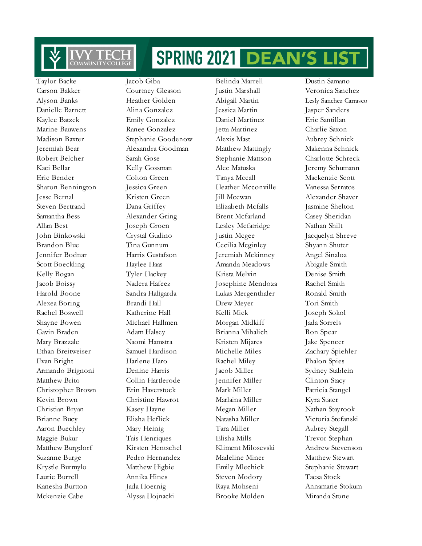

Taylor Backe Jacob Giba Belinda Marrell Dustin Samano

Carson Bakker Courtney Gleason Justin Marshall Veronica Sanchez Alyson Banks Heather Golden Abigail Martin Lesly Sanchez Carrasco Danielle Barnett Alina Gonzalez Jessica Martin Jasper Sanders Kaylee Batzek Emily Gonzalez Daniel Martinez Eric Santillan Marine Bauwens Ranee Gonzalez Jetta Martinez Charlie Saxon Madison Baxter Stephanie Goodenow Alexis Mast Aubrey Schnick Jeremiah Bear Alexandra Goodman Matthew Mattingly Makenna Schnick Robert Belcher Sarah Gose Stephanie Mattson Charlotte Schreck Kaci Bellar Kelly Gossman Alec Matuska Jeremy Schumann Eric Bender Colton Green Tanya Mccall Mackenzie Scott Sharon Bennington Jessica Green Heather Mcconville Vanessa Serratos Jesse Bernal Kristen Green Jill Mcewan Alexander Shaver Steven Bertrand Dana Griffey Elizabeth Mcfalls Jasmine Shelton Samantha Bess Alexander Gring Brent Mcfarland Casey Sheridan Allan Best Joseph Groen Lesley Mcfatridge Nathan Shilt John Binkowski Crystal Gudino Justin Mcgee Jacquelyn Shreve Brandon Blue Tina Gunnum Cecilia Mcginley Shyann Shuter Jennifer Bodnar Harris Gustafson Jeremiah Mckinney Angel Sinaloa Scott Boeckling Haylee Haas Amanda Meadows Abigale Smith Kelly Bogan Tyler Hackey Krista Melvin Denise Smith Jacob Boissy Nadera Hafeez Josephine Mendoza Rachel Smith Harold Boone Sandra Haligarda Lukas Mergenthaler Ronald Smith Alexea Boring Brandi Hall Drew Meyer Tori Smith Rachel Boswell Katherine Hall Kelli Mick Joseph Sokol Shayne Bowen Michael Hallmen Morgan Midkiff Jada Sorrels Gavin Braden Adam Halsey Brianna Mihalich Ron Spear Mary Brazzale Naomi Hamstra Kristen Mijares Jake Spencer Ethan Breitweiser Samuel Hardison Michelle Miles Zachary Spiehler Evan Bright Harlene Haro Rachel Miley Phalon Spies Armando Brignoni Denine Harris Jacob Miller Sydney Stablein Matthew Brito Collin Hartlerode Jennifer Miller Clinton Stacy Christopher Brown Erin Haverstock Mark Miller Patricia Stangel Kevin Brown Christine Hawrot Marlaina Miller Kyra Stater Christian Bryan Kasey Hayne Megan Miller Nathan Stayrook Brianne Bucy Elisha Heflick Natasha Miller Victoria Stefanski Aaron Buechley Mary Heinig Tara Miller Aubrey Stegall Maggie Bukur Tais Henriques Elisha Mills Trevor Stephan Matthew Burgdorf Kirsten Hentschel Kliment Milosevski Andrew Stevenson Suzanne Burge Pedro Hernandez Madeline Miner Matthew Stewart Krystle Burmylo Matthew Higbie Emily Mlechick Stephanie Stewart Laurie Burrell Annika Hines Steven Modory Taesa Stock Kanesha Burtton Jada Hoernig Raya Mohseni Annamarie Stokum Mckenzie Cabe Alyssa Hojnacki Brooke Molden Miranda Stone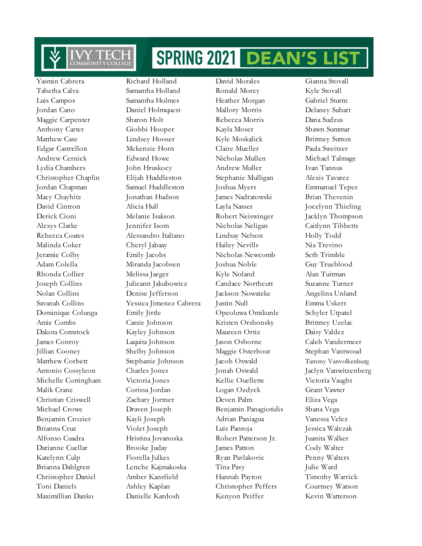

Jordan Chapman Samuel Huddleston Joshua Myers Emmanuel Tepes Jeramie Colby Emily Jacobs Nicholas Newcomb Seth Trimble James Conroy Laquita Johnson Jason Osborne Caleb Vandermeer Jillian Cooney Shelby Johnson Maggie Osterhout Stephan Vantwoud

Yasmin Cabrera Richard Holland David Morales Gianna Stovall

Tabetha Calva Samantha Holland Ronald Morey Kyle Stovall Luis Campos Samantha Holmes Heather Morgan Gabriel Sturm Jordan Cano Daniel Holmquest Mallory Morris Delaney Subart Maggie Carpenter Sharon Holt Rebecca Morris Dana Sudzus Anthony Carter Giobbi Hooper Kayla Moser Shawn Summar Matthew Case Lindsey Hooser Kyle Moskalick Brittney Sutton Edgar Castrellon Mckenzie Horn Claire Mueller Paula Sweitzer Andrew Cernick Edward Howe Nicholas Mullen Michael Talmage Lydia Chambers John Hruskocy Andrew Muller Ivan Tannus Christopher Chaplin Elijah Huddleston Stephanie Mulligan Alexis Tavarez Macy Chayhitz Jonathan Hudson James Nadratowski Brian Thevenin David Cintron Alicia Hull Layla Nasser Jocelynn Thieling Derick Cioni Melanie Isakson Robert Neiswinger Jacklyn Thompson Alexys Clarke Jennifer Isom Nicholas Neligan Caitlynn Tibbetts Rebecca Coates Alessandro Italiano Lindsay Nelson Holly Todd Malinda Coker Cheryl Jabaay Hailey Nevills Nia Trevino Adam Colella Miranda Jacobsen Joshua Noble Guy Trueblood Rhonda Collier Melissa Jaeger Kyle Noland Alan Tuitman Joseph Collins Julieann Jakubowicz Candace Northcutt Suzanne Turner Nolan Collins Denise Jefferson Jackson Nowatzke Angelina Unland Savanah Collins Yessica Jimenez Cabrera Justin Null Emma Uskert Dominique Colunga Emily Jirtle Opeoluwa Omikunle Schyler Utpatel Amie Combs Cassie Johnson Kristen Orshonsky Brittney Uzelac Dakota Comstock Kayley Johnson Maureen Ortiz Daisy Valdez Matthew Corbett Stephanie Johnson Jacob Oswald Tammy Vanvolkenburg Antonio Cossyleon Charles Jones Jonah Oswald Jaclyn Vanwitzenberg Michelle Cottingham Victoria Jones Kellie Ouellette Victoria Vaught Malik Crane Corissa Jordan Logan Ozdyck Grant Vawter Christian Criswell Zachary Jortner Deven Palm Eliza Vega Michael Crowe Draven Joseph Benjamin Panagiotidis Shana Vega Benjamin Crozier Kayli Joseph Adrian Paniagua Vanessa Velez Brianna Cruz Violet Joseph Luis Pantoja Jessica Walczak Alfonso Cuadra Hristina Jovanoska Robert Patterson Jr. Juanita Walker Darianne Cuellar Brooke Juday James Patton Cody Walter Katelynn Culp Fiorella Julkes Ryan Pavlakovic Penny Walters Brianna Dahlgren Lenche Kajmakoska Tina Pavy Julie Ward Christopher Daniel Amber Kansfield Hannah Payton Timothy Warrick Toni Daniels Ashley Kaplan Christopher Peffers Courtney Watson Maximillian Danko Danielle Kardosh Kenyon Peiffer Kevin Watterson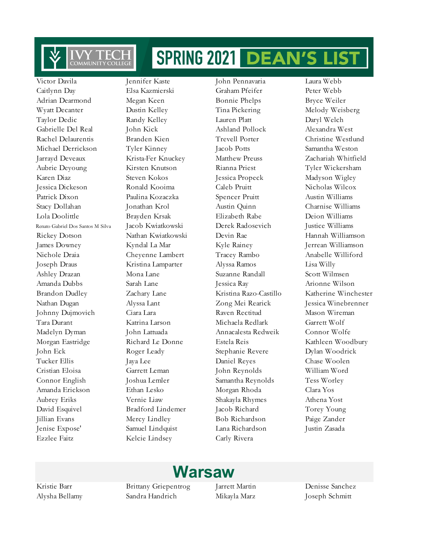

Victor Davila Jennifer Kaste John Pennavaria Laura Webb Caitlynn Day Elsa Kazmierski Graham Pfeifer Peter Webb Adrian Dearmond Megan Keen Bonnie Phelps Bryce Weiler Wyatt Decanter **Dustin Kelley Tina Pickering** Melody Weisberg Taylor Dedic Randy Kelley Lauren Platt Daryl Welch Gabrielle Del Real John Kick Ashland Pollock Alexandra West Rachel Delaurentis Branden Kien Trevell Porter Christine Westlund Michael Derrickson Tyler Kinney Jacob Potts Samantha Weston Jarrayd Deveaux Krista-Fer Knuckey Matthew Preuss Zachariah Whitfield Aubrie Deyoung Kirsten Knutson Rianna Priest Tyler Wickersham Karen Diaz Steven Kokos Jessica Propeck Madyson Wigley Jessica Dickeson Ronald Kooima Caleb Pruitt Nicholas Wilcox Patrick Dixon Paulina Kozaczka Spencer Pruitt Austin Williams Stacy Dollahan Jonathan Krol Austin Quinn Charnise Williams Lola Doolittle Brayden Krsak Elizabeth Rabe Deion Williams Renato Gabriel Dos Santos M Silva Jacob Kwiatkowski Derek Radosevich Justice Williams Rickey Dotson Nathan Kwiatkowski Devin Rae Hannah Williamson James Downey Kyndal La Mar Kyle Rainey Jerrean Williamson Nichole Draia Cheyenne Lambert Tracey Rambo Anabelle Williford Joseph Draus Kristina Lamparter Alyssa Ramos Lisa Willy Ashley Drazan Mona Lane Suzanne Randall Scott Wilmsen Amanda Dubbs Sarah Lane Jessica Ray Arionne Wilson Brandon Dudley Zachary Lane Kristina Razo-Castillo Katherine Winchester Nathan Dugan Alyssa Lant Zong Mei Rearick Jessica Winebrenner Johnny Dujmovich Ciara Lara Raven Rectitud Mason Wireman Tara Durant Katrina Larson Michaela Redlark Garrett Wolf Madelyn Dyman John Lattuada Annacalesta Redweik Connor Wolfe Morgan Eastridge Richard Le Donne Estela Reis Kathleen Woodbury John Eck Roger Leady Stephanie Revere Dylan Woodrick Tucker Ellis Jaya Lee Daniel Reyes Chase Woolen Cristian Eloisa Garrett Leman John Reynolds William Word Connor English Joshua Lemler Samantha Reynolds Tess Worley Amanda Erickson Ethan Lesko Morgan Rhoda Clara Yos Aubrey Eriks Vernie Liaw Shakayla Rhymes Athena Yost David Esquivel Bradford Lindemer Jacob Richard Torey Young Jillian Evans Mercy Lindley Bob Richardson Paige Zander Jenise Expose' Samuel Lindquist Lana Richardson Justin Zasada Ezzlee Faitz Kelcie Lindsey Carly Rivera

# **Warsaw**

Kristie Barr Brittany Griepentrog Jarrett Martin Denisse Sanchez Alysha Bellamy Sandra Handrich Mikayla Marz Joseph Schmitt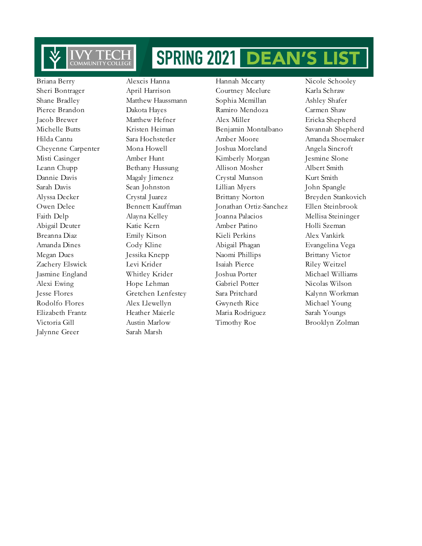

Jalynne Greer Sarah Marsh

Victoria Gill Austin Marlow Timothy Roe Brooklyn Zolman

Briana Berry Alexcis Hanna Hannah Mccarty Nicole Schooley Sheri Bontrager April Harrison Courtney Mcclure Karla Schraw Shane Bradley Matthew Haussmann Sophia Mcmillan Ashley Shafer Pierce Brandon Dakota Hayes Ramiro Mendoza Carmen Shaw Jacob Brewer Matthew Hefner Alex Miller Ericka Shepherd Michelle Butts Kristen Heiman Benjamin Montalbano Savannah Shepherd Hilda Cantu Sara Hochstetler Amber Moore Amanda Shoemaker Cheyenne Carpenter Mona Howell Joshua Moreland Angela Sincroft Misti Casinger Amber Hunt Kimberly Morgan Jesmine Slone Leann Chupp Bethany Hussung Allison Mosher Albert Smith Dannie Davis Magaly Jimenez Crystal Munson Kurt Smith Sarah Davis Sean Johnston Lillian Myers John Spangle Alyssa Decker Crystal Juarez Brittany Norton Breyden Stankovich Owen Delee Bennett Kauffman Jonathan Ortiz-Sanchez Ellen Steinbrook Faith Delp Alayna Kelley Joanna Palacios Mellisa Steininger Abigail Deuter Katie Kern Amber Patino Holli Szeman Breanna Diaz Emily Kitson Kieli Perkins Alex Vankirk Amanda Dines Cody Kline Abigail Phagan Evangelina Vega Megan Dues Jessika Knepp Naomi Phillips Brittany Victor Zachery Elswick Levi Krider Isaiah Pierce Riley Weitzel Jasmine England Whitley Krider Joshua Porter Michael Williams Alexi Ewing Hope Lehman Gabriel Potter Nicolas Wilson Jesse Flores Gretchen Lenfestey Sara Pritchard Kalynn Workman Rodolfo Flores Alex Llewellyn Gwyneth Rice Michael Young Elizabeth Frantz Heather Maierle Maria Rodriguez Sarah Youngs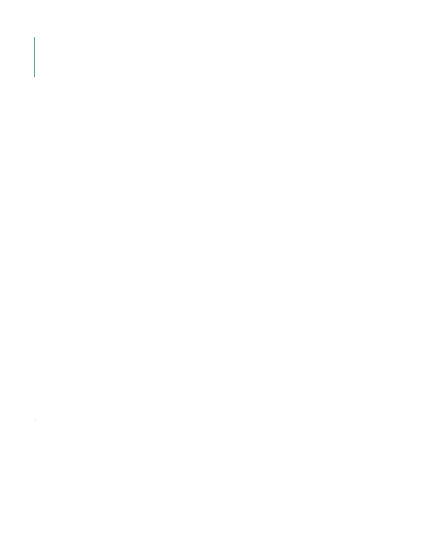$\mathbf{I}$  $T_{\rm eff}$  Tegmeyer-Rodriguez-Rodriguez-Rodriguez-Rodriguez-Rodriguez-Rodriguez-Rodriguez-Rodriguez-Rodriguez-Rodriguez-Rodriguez-Rodriguez-Rodriguez-Rodriguez-Rodriguez-Rodriguez-Rodriguez-Rodriguez-Rodriguez-Rodriguez-Rod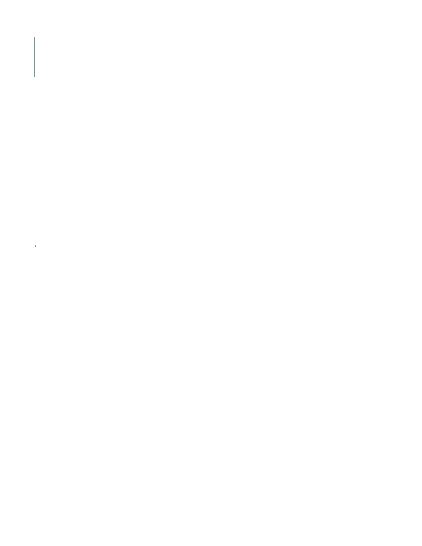$\overline{\phantom{a}}$  $\label{eq:2.1} \mathcal{A}(\mathcal{A})=\mathcal{A}(\mathcal{A})\mathcal{A}(\mathcal{A}).$